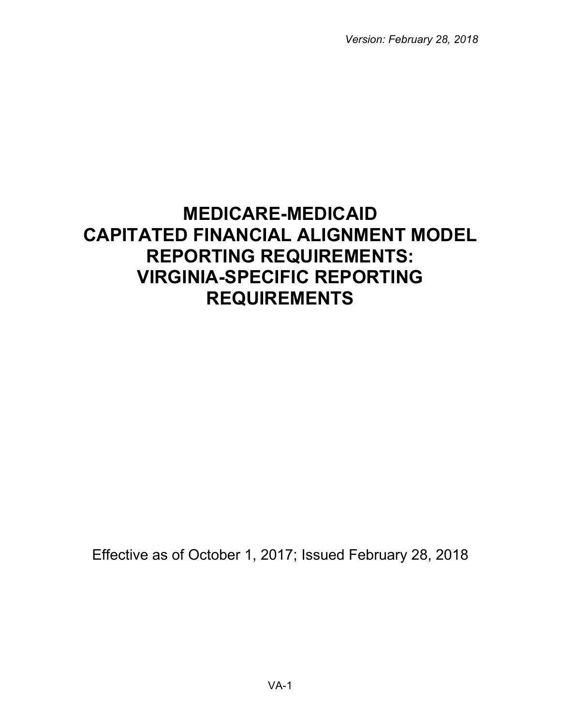*Version: February 28, 2018*

# **MEDICARE-MEDICAID CAPITATED FINANCIAL ALIGNMENT MODEL REPORTING REQUIREMENTS: VIRGINIA-SPECIFIC REPORTING REQUIREMENTS**

Effective as of October 1, 2017; Issued February 28, 2018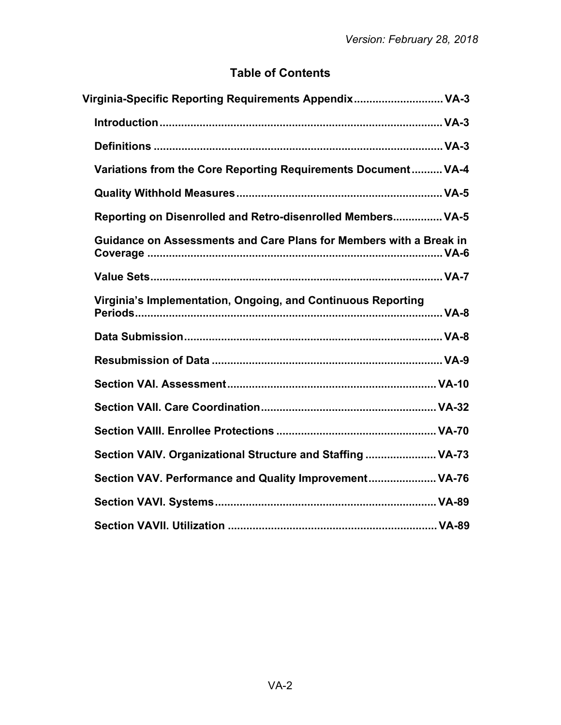# **Table of Contents**

| Virginia-Specific Reporting Requirements Appendix VA-3             |  |
|--------------------------------------------------------------------|--|
|                                                                    |  |
|                                                                    |  |
| Variations from the Core Reporting Requirements Document VA-4      |  |
|                                                                    |  |
| Reporting on Disenrolled and Retro-disenrolled Members VA-5        |  |
| Guidance on Assessments and Care Plans for Members with a Break in |  |
|                                                                    |  |
| Virginia's Implementation, Ongoing, and Continuous Reporting       |  |
|                                                                    |  |
|                                                                    |  |
|                                                                    |  |
|                                                                    |  |
|                                                                    |  |
| Section VAIV. Organizational Structure and Staffing  VA-73         |  |
| Section VAV. Performance and Quality Improvement VA-76             |  |
|                                                                    |  |
|                                                                    |  |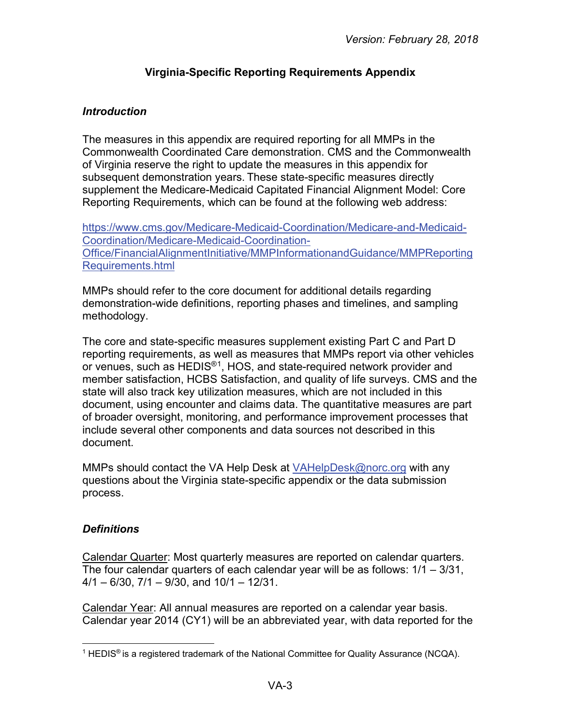# **Virginia-Specific Reporting Requirements Appendix**

## <span id="page-2-1"></span><span id="page-2-0"></span>*Introduction*

The measures in this appendix are required reporting for all MMPs in the Commonwealth Coordinated Care demonstration. CMS and the Commonwealth of Virginia reserve the right to update the measures in this appendix for subsequent demonstration years. These state-specific measures directly supplement the Medicare-Medicaid Capitated Financial Alignment Model: Core Reporting Requirements, which can be found at the following web address:

[https://www.cms.gov/Medicare-Medicaid-Coordination/Medicare-and-Medicaid-](https://www.cms.gov/Medicare-Medicaid-Coordination/Medicare-and-Medicaid-Coordination/Medicare-Medicaid-Coordination-Office/FinancialAlignmentInitiative/MMPInformationandGuidance/MMPReportingRequirements.html)[Coordination/Medicare-Medicaid-Coordination-](https://www.cms.gov/Medicare-Medicaid-Coordination/Medicare-and-Medicaid-Coordination/Medicare-Medicaid-Coordination-Office/FinancialAlignmentInitiative/MMPInformationandGuidance/MMPReportingRequirements.html)[Office/FinancialAlignmentInitiative/MMPInformationandGuidance/MMPReporting](https://www.cms.gov/Medicare-Medicaid-Coordination/Medicare-and-Medicaid-Coordination/Medicare-Medicaid-Coordination-Office/FinancialAlignmentInitiative/MMPInformationandGuidance/MMPReportingRequirements.html) [Requirements.html](https://www.cms.gov/Medicare-Medicaid-Coordination/Medicare-and-Medicaid-Coordination/Medicare-Medicaid-Coordination-Office/FinancialAlignmentInitiative/MMPInformationandGuidance/MMPReportingRequirements.html)

MMPs should refer to the core document for additional details regarding demonstration-wide definitions, reporting phases and timelines, and sampling methodology.

The core and state-specific measures supplement existing Part C and Part D reporting requirements, as well as measures that MMPs report via other vehicles or venues, such as HEDIS®[1,](#page-2-3) HOS, and state-required network provider and member satisfaction, HCBS Satisfaction, and quality of life surveys. CMS and the state will also track key utilization measures, which are not included in this document, using encounter and claims data. The quantitative measures are part of broader oversight, monitoring, and performance improvement processes that include several other components and data sources not described in this document.

MMPs should contact the VA Help Desk at [VAHelpDesk@norc.org](mailto:VAHelpDesk@norc.org) with any questions about the Virginia state-specific appendix or the data submission process.

# <span id="page-2-2"></span>*Definitions*

Calendar Quarter: Most quarterly measures are reported on calendar quarters. The four calendar quarters of each calendar year will be as follows: 1/1 – 3/31,  $4/1 - 6/30$ ,  $7/1 - 9/30$ , and  $10/1 - 12/31$ .

Calendar Year: All annual measures are reported on a calendar year basis. Calendar year 2014 (CY1) will be an abbreviated year, with data reported for the

<span id="page-2-3"></span> $\overline{a}$ <sup>1</sup> HEDIS<sup>®</sup> is a registered trademark of the National Committee for Quality Assurance (NCQA).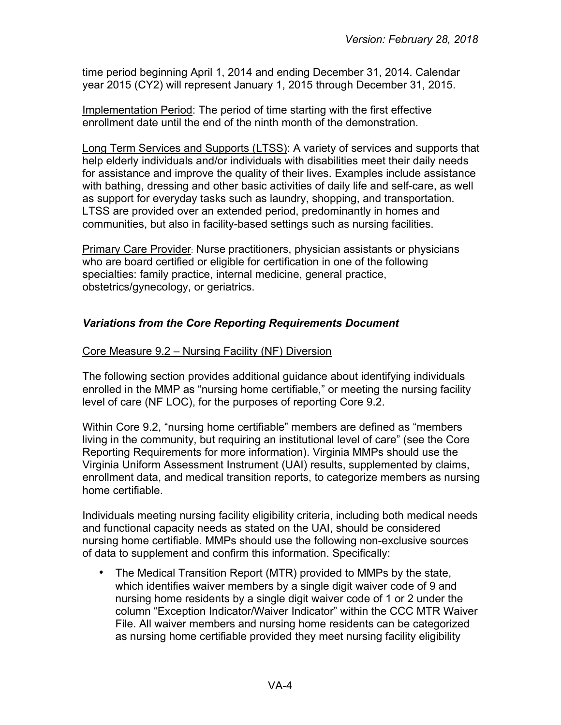time period beginning April 1, 2014 and ending December 31, 2014. Calendar year 2015 (CY2) will represent January 1, 2015 through December 31, 2015.

Implementation Period: The period of time starting with the first effective enrollment date until the end of the ninth month of the demonstration.

Long Term Services and Supports (LTSS): A variety of services and supports that help elderly individuals and/or individuals with disabilities meet their daily needs for assistance and improve the quality of their lives. Examples include assistance with bathing, dressing and other basic activities of daily life and self-care, as well as support for everyday tasks such as laundry, shopping, and transportation. LTSS are provided over an extended period, predominantly in homes and communities, but also in facility-based settings such as nursing facilities.

Primary Care Provider: Nurse practitioners, physician assistants or physicians who are board certified or eligible for certification in one of the following specialties: family practice, internal medicine, general practice, obstetrics/gynecology, or geriatrics.

# <span id="page-3-0"></span>*Variations from the Core Reporting Requirements Document*

# Core Measure 9.2 – Nursing Facility (NF) Diversion

The following section provides additional guidance about identifying individuals enrolled in the MMP as "nursing home certifiable," or meeting the nursing facility level of care (NF LOC), for the purposes of reporting Core 9.2.

Within Core 9.2, "nursing home certifiable" members are defined as "members living in the community, but requiring an institutional level of care" (see the Core Reporting Requirements for more information). Virginia MMPs should use the Virginia Uniform Assessment Instrument (UAI) results, supplemented by claims, enrollment data, and medical transition reports, to categorize members as nursing home certifiable.

Individuals meeting nursing facility eligibility criteria, including both medical needs and functional capacity needs as stated on the UAI, should be considered nursing home certifiable. MMPs should use the following non-exclusive sources of data to supplement and confirm this information. Specifically:

• The Medical Transition Report (MTR) provided to MMPs by the state, which identifies waiver members by a single digit waiver code of 9 and nursing home residents by a single digit waiver code of 1 or 2 under the column "Exception Indicator/Waiver Indicator" within the CCC MTR Waiver File. All waiver members and nursing home residents can be categorized as nursing home certifiable provided they meet nursing facility eligibility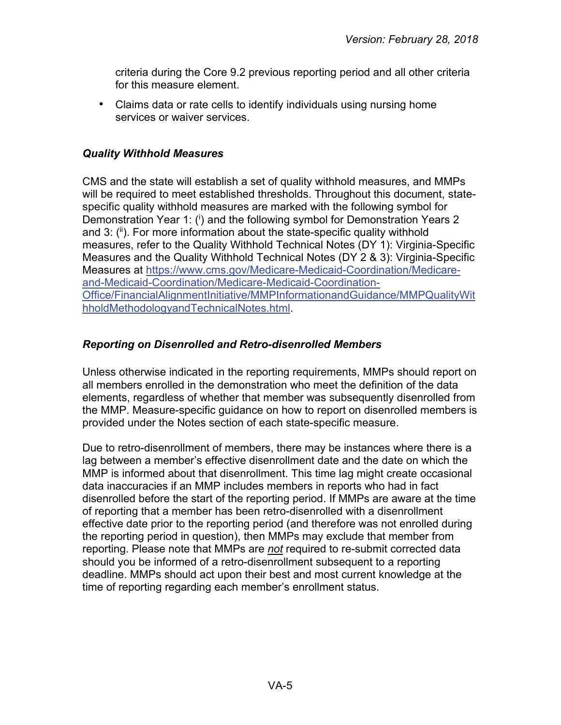criteria during the Core 9.2 previous reporting period and all other criteria for this measure element.

• Claims data or rate cells to identify individuals using nursing home services or waiver services.

## <span id="page-4-0"></span>*Quality Withhold Measures*

CMS and the state will establish a set of quality withhold measures, and MMPs will be required to meet established thresholds. Throughout this document, statespecific quality withhold measures are marked with the following symbol for Demonstration Year 1: (i) and the following symbol for Demonstration Years 2 and 3: (ii). For more information about the state-specific quality withhold measures, refer to the Quality Withhold Technical Notes (DY 1): Virginia-Specific Measures and the Quality Withhold Technical Notes (DY 2 & 3): Virginia-Specific Measures at [https://www.cms.gov/Medicare-Medicaid-Coordination/Medicare](https://www.cms.gov/Medicare-Medicaid-Coordination/Medicare-and-Medicaid-Coordination/Medicare-Medicaid-Coordination-Office/FinancialAlignmentInitiative/MMPInformationandGuidance/MMPQualityWithholdMethodologyandTechnicalNotes.html)[and-Medicaid-Coordination/Medicare-Medicaid-Coordination-](https://www.cms.gov/Medicare-Medicaid-Coordination/Medicare-and-Medicaid-Coordination/Medicare-Medicaid-Coordination-Office/FinancialAlignmentInitiative/MMPInformationandGuidance/MMPQualityWithholdMethodologyandTechnicalNotes.html)[Office/FinancialAlignmentInitiative/MMPInformationandGuidance/MMPQualityWit](https://www.cms.gov/Medicare-Medicaid-Coordination/Medicare-and-Medicaid-Coordination/Medicare-Medicaid-Coordination-Office/FinancialAlignmentInitiative/MMPInformationandGuidance/MMPQualityWithholdMethodologyandTechnicalNotes.html) [hholdMethodologyandTechnicalNotes.html.](https://www.cms.gov/Medicare-Medicaid-Coordination/Medicare-and-Medicaid-Coordination/Medicare-Medicaid-Coordination-Office/FinancialAlignmentInitiative/MMPInformationandGuidance/MMPQualityWithholdMethodologyandTechnicalNotes.html)

# <span id="page-4-1"></span>*Reporting on Disenrolled and Retro-disenrolled Members*

Unless otherwise indicated in the reporting requirements, MMPs should report on all members enrolled in the demonstration who meet the definition of the data elements, regardless of whether that member was subsequently disenrolled from the MMP. Measure-specific guidance on how to report on disenrolled members is provided under the Notes section of each state-specific measure.

Due to retro-disenrollment of members, there may be instances where there is a lag between a member's effective disenrollment date and the date on which the MMP is informed about that disenrollment. This time lag might create occasional data inaccuracies if an MMP includes members in reports who had in fact disenrolled before the start of the reporting period. If MMPs are aware at the time of reporting that a member has been retro-disenrolled with a disenrollment effective date prior to the reporting period (and therefore was not enrolled during the reporting period in question), then MMPs may exclude that member from reporting. Please note that MMPs are *not* required to re-submit corrected data should you be informed of a retro-disenrollment subsequent to a reporting deadline. MMPs should act upon their best and most current knowledge at the time of reporting regarding each member's enrollment status.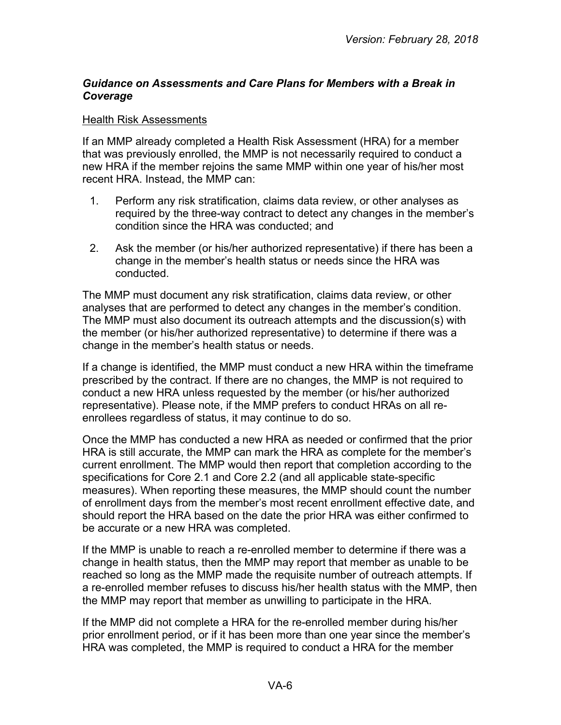# <span id="page-5-0"></span>*Guidance on Assessments and Care Plans for Members with a Break in Coverage*

#### Health Risk Assessments

If an MMP already completed a Health Risk Assessment (HRA) for a member that was previously enrolled, the MMP is not necessarily required to conduct a new HRA if the member rejoins the same MMP within one year of his/her most recent HRA. Instead, the MMP can:

- 1. Perform any risk stratification, claims data review, or other analyses as required by the three-way contract to detect any changes in the member's condition since the HRA was conducted; and
- 2. Ask the member (or his/her authorized representative) if there has been a change in the member's health status or needs since the HRA was conducted.

The MMP must document any risk stratification, claims data review, or other analyses that are performed to detect any changes in the member's condition. The MMP must also document its outreach attempts and the discussion(s) with the member (or his/her authorized representative) to determine if there was a change in the member's health status or needs.

If a change is identified, the MMP must conduct a new HRA within the timeframe prescribed by the contract. If there are no changes, the MMP is not required to conduct a new HRA unless requested by the member (or his/her authorized representative). Please note, if the MMP prefers to conduct HRAs on all reenrollees regardless of status, it may continue to do so.

Once the MMP has conducted a new HRA as needed or confirmed that the prior HRA is still accurate, the MMP can mark the HRA as complete for the member's current enrollment. The MMP would then report that completion according to the specifications for Core 2.1 and Core 2.2 (and all applicable state-specific measures). When reporting these measures, the MMP should count the number of enrollment days from the member's most recent enrollment effective date, and should report the HRA based on the date the prior HRA was either confirmed to be accurate or a new HRA was completed.

If the MMP is unable to reach a re-enrolled member to determine if there was a change in health status, then the MMP may report that member as unable to be reached so long as the MMP made the requisite number of outreach attempts. If a re-enrolled member refuses to discuss his/her health status with the MMP, then the MMP may report that member as unwilling to participate in the HRA.

If the MMP did not complete a HRA for the re-enrolled member during his/her prior enrollment period, or if it has been more than one year since the member's HRA was completed, the MMP is required to conduct a HRA for the member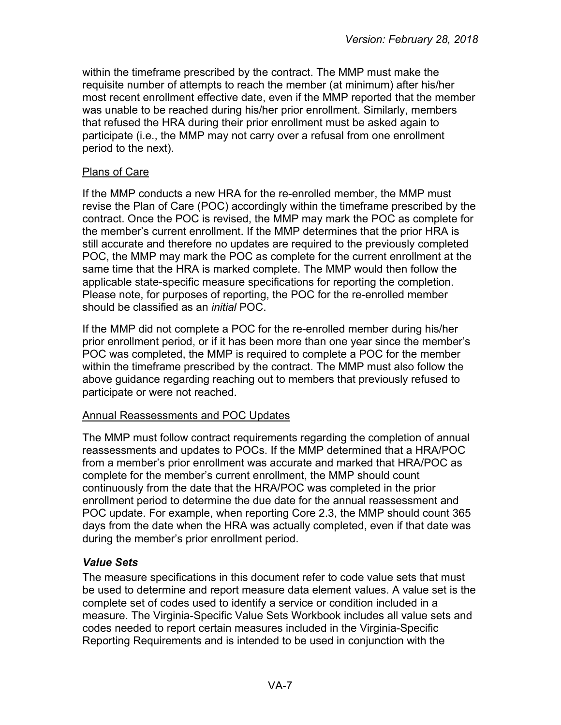within the timeframe prescribed by the contract. The MMP must make the requisite number of attempts to reach the member (at minimum) after his/her most recent enrollment effective date, even if the MMP reported that the member was unable to be reached during his/her prior enrollment. Similarly, members that refused the HRA during their prior enrollment must be asked again to participate (i.e., the MMP may not carry over a refusal from one enrollment period to the next).

#### Plans of Care

If the MMP conducts a new HRA for the re-enrolled member, the MMP must revise the Plan of Care (POC) accordingly within the timeframe prescribed by the contract. Once the POC is revised, the MMP may mark the POC as complete for the member's current enrollment. If the MMP determines that the prior HRA is still accurate and therefore no updates are required to the previously completed POC, the MMP may mark the POC as complete for the current enrollment at the same time that the HRA is marked complete. The MMP would then follow the applicable state-specific measure specifications for reporting the completion. Please note, for purposes of reporting, the POC for the re-enrolled member should be classified as an *initial* POC.

If the MMP did not complete a POC for the re-enrolled member during his/her prior enrollment period, or if it has been more than one year since the member's POC was completed, the MMP is required to complete a POC for the member within the timeframe prescribed by the contract. The MMP must also follow the above guidance regarding reaching out to members that previously refused to participate or were not reached.

#### Annual Reassessments and POC Updates

The MMP must follow contract requirements regarding the completion of annual reassessments and updates to POCs. If the MMP determined that a HRA/POC from a member's prior enrollment was accurate and marked that HRA/POC as complete for the member's current enrollment, the MMP should count continuously from the date that the HRA/POC was completed in the prior enrollment period to determine the due date for the annual reassessment and POC update. For example, when reporting Core 2.3, the MMP should count 365 days from the date when the HRA was actually completed, even if that date was during the member's prior enrollment period.

# <span id="page-6-0"></span>*Value Sets*

The measure specifications in this document refer to code value sets that must be used to determine and report measure data element values. A value set is the complete set of codes used to identify a service or condition included in a measure. The Virginia-Specific Value Sets Workbook includes all value sets and codes needed to report certain measures included in the Virginia-Specific Reporting Requirements and is intended to be used in conjunction with the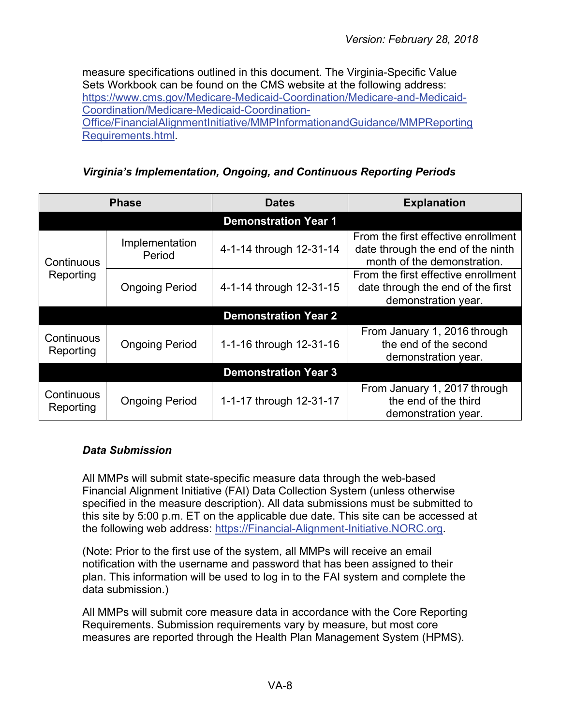measure specifications outlined in this document. The Virginia-Specific Value Sets Workbook can be found on the CMS website at the following address: [https://www.cms.gov/Medicare-Medicaid-Coordination/Medicare-and-Medicaid-](https://www.cms.gov/Medicare-Medicaid-Coordination/Medicare-and-Medicaid-Coordination/Medicare-Medicaid-Coordination-Office/FinancialAlignmentInitiative/MMPInformationandGuidance/MMPReportingRequirements.html)[Coordination/Medicare-Medicaid-Coordination-](https://www.cms.gov/Medicare-Medicaid-Coordination/Medicare-and-Medicaid-Coordination/Medicare-Medicaid-Coordination-Office/FinancialAlignmentInitiative/MMPInformationandGuidance/MMPReportingRequirements.html)[Office/FinancialAlignmentInitiative/MMPInformationandGuidance/MMPReporting](https://www.cms.gov/Medicare-Medicaid-Coordination/Medicare-and-Medicaid-Coordination/Medicare-Medicaid-Coordination-Office/FinancialAlignmentInitiative/MMPInformationandGuidance/MMPReportingRequirements.html) [Requirements.html.](https://www.cms.gov/Medicare-Medicaid-Coordination/Medicare-and-Medicaid-Coordination/Medicare-Medicaid-Coordination-Office/FinancialAlignmentInitiative/MMPInformationandGuidance/MMPReportingRequirements.html)

*Virginia's Implementation, Ongoing, and Continuous Reporting Periods*

<span id="page-7-0"></span>

| <b>Phase</b>                |                          | <b>Dates</b>                | <b>Explanation</b>                                                                                      |
|-----------------------------|--------------------------|-----------------------------|---------------------------------------------------------------------------------------------------------|
|                             |                          | <b>Demonstration Year 1</b> |                                                                                                         |
| Continuous<br>Reporting     | Implementation<br>Period | 4-1-14 through 12-31-14     | From the first effective enrollment<br>date through the end of the ninth<br>month of the demonstration. |
|                             | <b>Ongoing Period</b>    | 4-1-14 through 12-31-15     | From the first effective enrollment<br>date through the end of the first<br>demonstration year.         |
|                             |                          | <b>Demonstration Year 2</b> |                                                                                                         |
| Continuous<br>Reporting     | <b>Ongoing Period</b>    | 1-1-16 through 12-31-16     | From January 1, 2016 through<br>the end of the second<br>demonstration year.                            |
| <b>Demonstration Year 3</b> |                          |                             |                                                                                                         |
| Continuous<br>Reporting     | <b>Ongoing Period</b>    | 1-1-17 through 12-31-17     | From January 1, 2017 through<br>the end of the third<br>demonstration year.                             |

# <span id="page-7-1"></span>*Data Submission*

All MMPs will submit state-specific measure data through the web-based Financial Alignment Initiative (FAI) Data Collection System (unless otherwise specified in the measure description). All data submissions must be submitted to this site by 5:00 p.m. ET on the applicable due date. This site can be accessed at the following web address: [https://Financial-Alignment-Initiative.NORC.org.](https://financial-alignment-initiative.norc.org/)

(Note: Prior to the first use of the system, all MMPs will receive an email notification with the username and password that has been assigned to their plan. This information will be used to log in to the FAI system and complete the data submission.)

All MMPs will submit core measure data in accordance with the Core Reporting Requirements. Submission requirements vary by measure, but most core measures are reported through the Health Plan Management System (HPMS).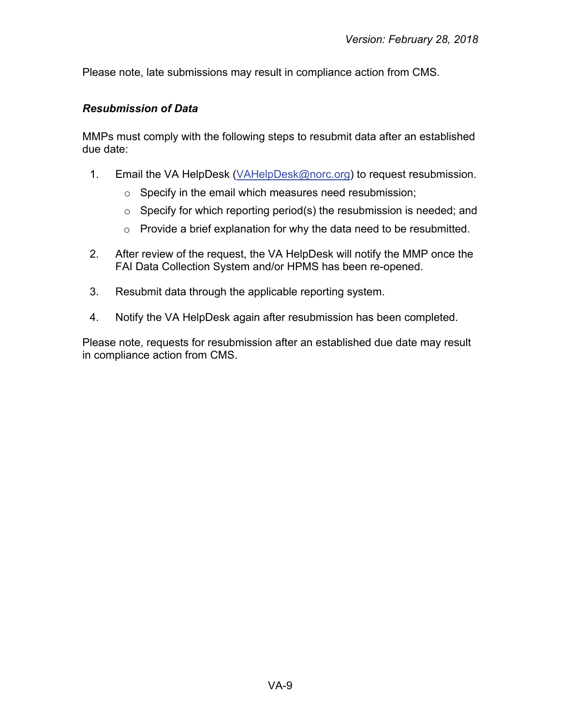Please note, late submissions may result in compliance action from CMS.

# <span id="page-8-0"></span>*Resubmission of Data*

MMPs must comply with the following steps to resubmit data after an established due date:

- 1. Email the VA HelpDesk [\(VAHelpDesk@norc.org\)](mailto:VAHelpDesk@norc.org) to request resubmission.
	- o Specify in the email which measures need resubmission;
	- $\circ$  Specify for which reporting period(s) the resubmission is needed; and
	- o Provide a brief explanation for why the data need to be resubmitted.
- 2. After review of the request, the VA HelpDesk will notify the MMP once the FAI Data Collection System and/or HPMS has been re-opened.
- 3. Resubmit data through the applicable reporting system.
- 4. Notify the VA HelpDesk again after resubmission has been completed.

Please note, requests for resubmission after an established due date may result in compliance action from CMS.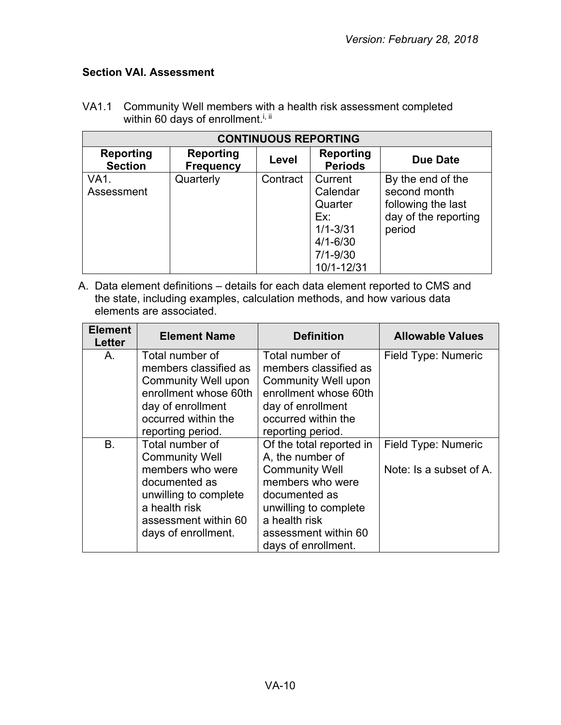# <span id="page-9-0"></span>**Section VAI. Assessment**

| <b>CONTINUOUS REPORTING</b>        |                                      |          |                                                                                                     |                                                                                           |
|------------------------------------|--------------------------------------|----------|-----------------------------------------------------------------------------------------------------|-------------------------------------------------------------------------------------------|
| <b>Reporting</b><br><b>Section</b> | <b>Reporting</b><br><b>Frequency</b> | Level    | Reporting<br><b>Periods</b>                                                                         | <b>Due Date</b>                                                                           |
| VA1.<br>Assessment                 | Quarterly                            | Contract | Current<br>Calendar<br>Quarter<br>Ex:<br>$1/1 - 3/31$<br>$4/1 - 6/30$<br>$7/1 - 9/30$<br>10/1-12/31 | By the end of the<br>second month<br>following the last<br>day of the reporting<br>period |

VA1.1 Community Well members with a health risk assessment completed within 60 days of enrollment.<sup>i, ii</sup>

A. Data element definitions – details for each data element reported to CMS and the state, including examples, calculation methods, and how various data elements are associated.

| <b>Element</b><br>Letter | <b>Element Name</b>                      | <b>Definition</b>                        | <b>Allowable Values</b> |
|--------------------------|------------------------------------------|------------------------------------------|-------------------------|
| А.                       | Total number of<br>members classified as | Total number of<br>members classified as | Field Type: Numeric     |
|                          | <b>Community Well upon</b>               | <b>Community Well upon</b>               |                         |
|                          | enrollment whose 60th                    | enrollment whose 60th                    |                         |
|                          | day of enrollment                        | day of enrollment                        |                         |
|                          | occurred within the                      | occurred within the                      |                         |
|                          | reporting period.                        | reporting period.                        |                         |
| B.                       | Total number of                          | Of the total reported in                 | Field Type: Numeric     |
|                          | <b>Community Well</b>                    | A, the number of                         |                         |
|                          | members who were                         | <b>Community Well</b>                    | Note: Is a subset of A. |
|                          | documented as                            | members who were                         |                         |
|                          | unwilling to complete                    | documented as                            |                         |
|                          | a health risk                            | unwilling to complete                    |                         |
|                          | assessment within 60                     | a health risk                            |                         |
|                          | days of enrollment.                      | assessment within 60                     |                         |
|                          |                                          | days of enrollment.                      |                         |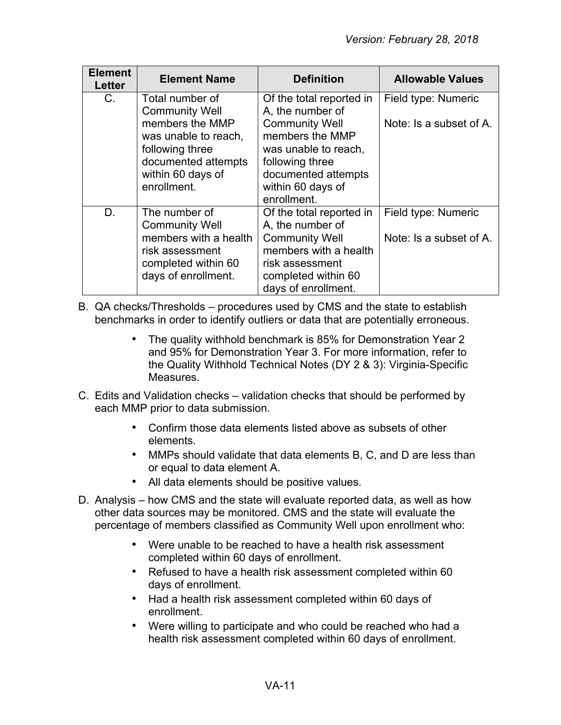| <b>Element</b><br>Letter | <b>Element Name</b>                                                                                                              | <b>Definition</b>                                                                                                                                               | <b>Allowable Values</b>                        |
|--------------------------|----------------------------------------------------------------------------------------------------------------------------------|-----------------------------------------------------------------------------------------------------------------------------------------------------------------|------------------------------------------------|
| C.                       | Total number of<br><b>Community Well</b>                                                                                         | Of the total reported in<br>A, the number of                                                                                                                    | Field type: Numeric                            |
|                          | members the MMP<br>was unable to reach,<br>following three<br>documented attempts<br>within 60 days of<br>enrollment.            | <b>Community Well</b><br>members the MMP<br>was unable to reach,<br>following three<br>documented attempts<br>within 60 days of<br>enrollment.                  | Note: Is a subset of A.                        |
| D.                       | The number of<br><b>Community Well</b><br>members with a health<br>risk assessment<br>completed within 60<br>days of enrollment. | Of the total reported in<br>A, the number of<br><b>Community Well</b><br>members with a health<br>risk assessment<br>completed within 60<br>days of enrollment. | Field type: Numeric<br>Note: Is a subset of A. |

B. QA checks/Thresholds – procedures used by CMS and the state to establish benchmarks in order to identify outliers or data that are potentially erroneous.

- The quality withhold benchmark is 85% for Demonstration Year 2 and 95% for Demonstration Year 3. For more information, refer to the Quality Withhold Technical Notes (DY 2 & 3): Virginia-Specific Measures.
- C. Edits and Validation checks validation checks that should be performed by each MMP prior to data submission.
	- Confirm those data elements listed above as subsets of other elements.
	- MMPs should validate that data elements B, C, and D are less than or equal to data element A.
	- All data elements should be positive values.
- D. Analysis how CMS and the state will evaluate reported data, as well as how other data sources may be monitored. CMS and the state will evaluate the percentage of members classified as Community Well upon enrollment who:
	- Were unable to be reached to have a health risk assessment completed within 60 days of enrollment.
	- Refused to have a health risk assessment completed within 60 days of enrollment.
	- Had a health risk assessment completed within 60 days of enrollment.
	- Were willing to participate and who could be reached who had a health risk assessment completed within 60 days of enrollment.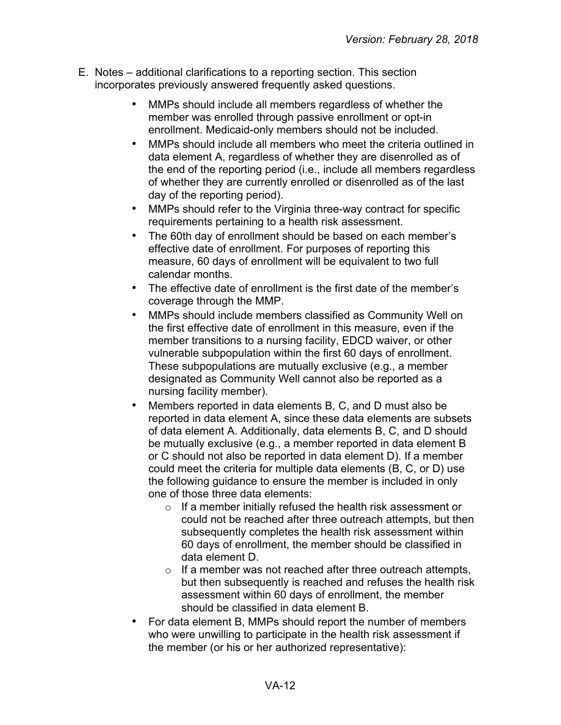- E. Notes additional clarifications to a reporting section. This section incorporates previously answered frequently asked questions.
	- MMPs should include all members regardless of whether the member was enrolled through passive enrollment or opt-in enrollment. Medicaid-only members should not be included.
	- MMPs should include all members who meet the criteria outlined in data element A, regardless of whether they are disenrolled as of the end of the reporting period (i.e., include all members regardless of whether they are currently enrolled or disenrolled as of the last day of the reporting period).
	- MMPs should refer to the Virginia three-way contract for specific requirements pertaining to a health risk assessment.
	- The 60th day of enrollment should be based on each member's effective date of enrollment. For purposes of reporting this measure, 60 days of enrollment will be equivalent to two full calendar months.
	- The effective date of enrollment is the first date of the member's coverage through the MMP.
	- MMPs should include members classified as Community Well on the first effective date of enrollment in this measure, even if the member transitions to a nursing facility, EDCD waiver, or other vulnerable subpopulation within the first 60 days of enrollment. These subpopulations are mutually exclusive (e.g., a member designated as Community Well cannot also be reported as a nursing facility member).
	- Members reported in data elements B, C, and D must also be reported in data element A, since these data elements are subsets of data element A. Additionally, data elements B, C, and D should be mutually exclusive (e.g., a member reported in data element B or C should not also be reported in data element D). If a member could meet the criteria for multiple data elements (B, C, or D) use the following guidance to ensure the member is included in only one of those three data elements:
		- o If a member initially refused the health risk assessment or could not be reached after three outreach attempts, but then subsequently completes the health risk assessment within 60 days of enrollment, the member should be classified in data element D.
		- $\circ$  If a member was not reached after three outreach attempts, but then subsequently is reached and refuses the health risk assessment within 60 days of enrollment, the member should be classified in data element B.
	- For data element B, MMPs should report the number of members who were unwilling to participate in the health risk assessment if the member (or his or her authorized representative):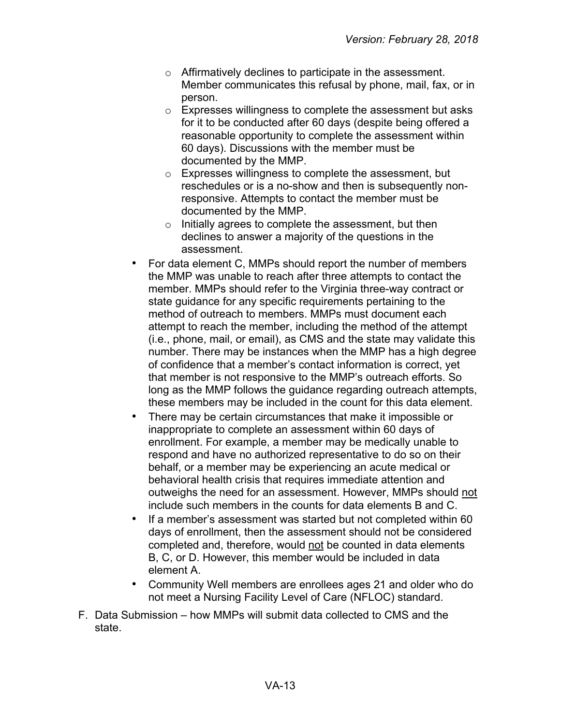- o Affirmatively declines to participate in the assessment. Member communicates this refusal by phone, mail, fax, or in person.
- o Expresses willingness to complete the assessment but asks for it to be conducted after 60 days (despite being offered a reasonable opportunity to complete the assessment within 60 days). Discussions with the member must be documented by the MMP.
- o Expresses willingness to complete the assessment, but reschedules or is a no-show and then is subsequently nonresponsive. Attempts to contact the member must be documented by the MMP.
- o Initially agrees to complete the assessment, but then declines to answer a majority of the questions in the assessment.
- For data element C, MMPs should report the number of members the MMP was unable to reach after three attempts to contact the member. MMPs should refer to the Virginia three-way contract or state guidance for any specific requirements pertaining to the method of outreach to members. MMPs must document each attempt to reach the member, including the method of the attempt (i.e., phone, mail, or email), as CMS and the state may validate this number. There may be instances when the MMP has a high degree of confidence that a member's contact information is correct, yet that member is not responsive to the MMP's outreach efforts. So long as the MMP follows the guidance regarding outreach attempts, these members may be included in the count for this data element.
- There may be certain circumstances that make it impossible or inappropriate to complete an assessment within 60 days of enrollment. For example, a member may be medically unable to respond and have no authorized representative to do so on their behalf, or a member may be experiencing an acute medical or behavioral health crisis that requires immediate attention and outweighs the need for an assessment. However, MMPs should not include such members in the counts for data elements B and C.
- If a member's assessment was started but not completed within 60 days of enrollment, then the assessment should not be considered completed and, therefore, would not be counted in data elements B, C, or D. However, this member would be included in data element A.
- Community Well members are enrollees ages 21 and older who do not meet a Nursing Facility Level of Care (NFLOC) standard.
- F. Data Submission how MMPs will submit data collected to CMS and the state.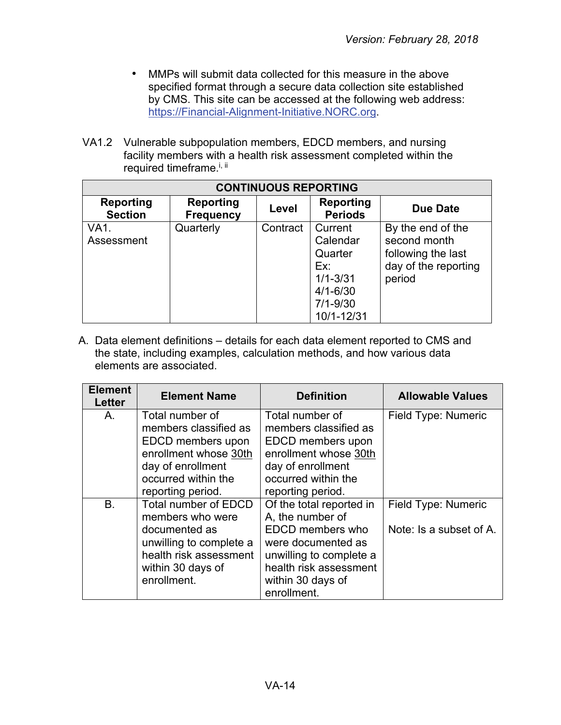- MMPs will submit data collected for this measure in the above specified format through a secure data collection site established by CMS. This site can be accessed at the following web address: [https://Financial-Alignment-Initiative.NORC.org.](https://financial-alignment-initiative.norc.org/)
- VA1.2 Vulnerable subpopulation members, EDCD members, and nursing facility members with a health risk assessment completed within the required timeframe.<sup>i, ii</sup>

| <b>CONTINUOUS REPORTING</b>        |                                      |          |                                                                                                     |                                                                                           |
|------------------------------------|--------------------------------------|----------|-----------------------------------------------------------------------------------------------------|-------------------------------------------------------------------------------------------|
| <b>Reporting</b><br><b>Section</b> | <b>Reporting</b><br><b>Frequency</b> | Level    | <b>Reporting</b><br><b>Periods</b>                                                                  | Due Date                                                                                  |
| VA1.<br>Assessment                 | Quarterly                            | Contract | Current<br>Calendar<br>Quarter<br>Ex:<br>$1/1 - 3/31$<br>$4/1 - 6/30$<br>$7/1 - 9/30$<br>10/1-12/31 | By the end of the<br>second month<br>following the last<br>day of the reporting<br>period |

A. Data element definitions – details for each data element reported to CMS and the state, including examples, calculation methods, and how various data elements are associated.

| <b>Element</b><br><b>Letter</b> | <b>Element Name</b>     | <b>Definition</b>        | <b>Allowable Values</b> |
|---------------------------------|-------------------------|--------------------------|-------------------------|
| Α.                              | Total number of         | Total number of          | Field Type: Numeric     |
|                                 | members classified as   | members classified as    |                         |
|                                 | EDCD members upon       | EDCD members upon        |                         |
|                                 | enrollment whose 30th   | enrollment whose 30th    |                         |
|                                 | day of enrollment       | day of enrollment        |                         |
|                                 | occurred within the     | occurred within the      |                         |
|                                 | reporting period.       | reporting period.        |                         |
| B.                              | Total number of EDCD    | Of the total reported in | Field Type: Numeric     |
|                                 | members who were        | A, the number of         |                         |
|                                 | documented as           | EDCD members who         | Note: Is a subset of A. |
|                                 | unwilling to complete a | were documented as       |                         |
|                                 | health risk assessment  | unwilling to complete a  |                         |
|                                 | within 30 days of       | health risk assessment   |                         |
|                                 | enrollment.             | within 30 days of        |                         |
|                                 |                         | enrollment.              |                         |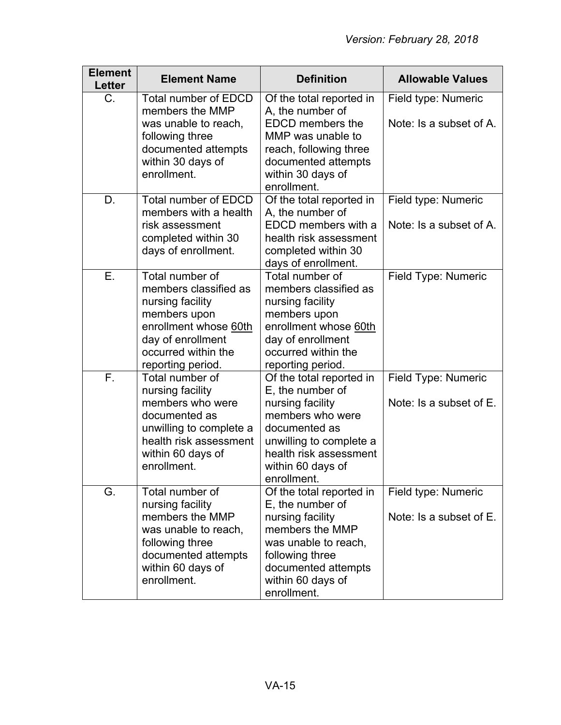| <b>Element</b><br><b>Letter</b> | <b>Element Name</b>                                                                                                                                                    | <b>Definition</b>                                                                                                                                                                              | <b>Allowable Values</b>                        |
|---------------------------------|------------------------------------------------------------------------------------------------------------------------------------------------------------------------|------------------------------------------------------------------------------------------------------------------------------------------------------------------------------------------------|------------------------------------------------|
| C.                              | <b>Total number of EDCD</b><br>members the MMP<br>was unable to reach,<br>following three<br>documented attempts<br>within 30 days of<br>enrollment.                   | Of the total reported in<br>A, the number of<br><b>EDCD</b> members the<br>MMP was unable to<br>reach, following three<br>documented attempts<br>within 30 days of<br>enrollment.              | Field type: Numeric<br>Note: Is a subset of A. |
| D.                              | <b>Total number of EDCD</b><br>members with a health<br>risk assessment<br>completed within 30<br>days of enrollment.                                                  | Of the total reported in<br>A, the number of<br>EDCD members with a<br>health risk assessment<br>completed within 30<br>days of enrollment.                                                    | Field type: Numeric<br>Note: Is a subset of A. |
| Ε.                              | Total number of<br>members classified as<br>nursing facility<br>members upon<br>enrollment whose 60th<br>day of enrollment<br>occurred within the<br>reporting period. | Total number of<br>members classified as<br>nursing facility<br>members upon<br>enrollment whose 60th<br>day of enrollment<br>occurred within the<br>reporting period.                         | Field Type: Numeric                            |
| F.                              | Total number of<br>nursing facility<br>members who were<br>documented as<br>unwilling to complete a<br>health risk assessment<br>within 60 days of<br>enrollment.      | Of the total reported in<br>E, the number of<br>nursing facility<br>members who were<br>documented as<br>unwilling to complete a<br>health risk assessment<br>within 60 days of<br>enrollment. | Field Type: Numeric<br>Note: Is a subset of E. |
| G.                              | Total number of<br>nursing facility<br>members the MMP<br>was unable to reach,<br>following three<br>documented attempts<br>within 60 days of<br>enrollment.           | Of the total reported in<br>E, the number of<br>nursing facility<br>members the MMP<br>was unable to reach,<br>following three<br>documented attempts<br>within 60 days of<br>enrollment.      | Field type: Numeric<br>Note: Is a subset of E. |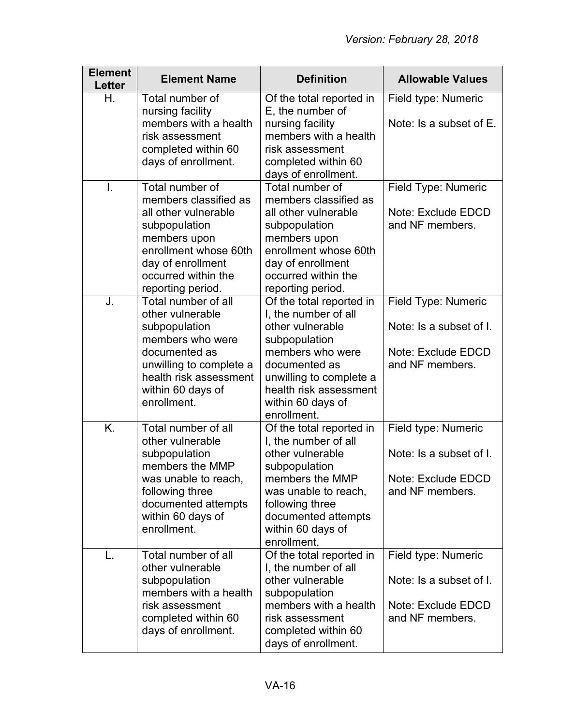| <b>Element</b><br><b>Letter</b> | <b>Element Name</b>                                                                                                                                                                         | <b>Definition</b>                                                                                                                                                                                                   | <b>Allowable Values</b>                                                                 |
|---------------------------------|---------------------------------------------------------------------------------------------------------------------------------------------------------------------------------------------|---------------------------------------------------------------------------------------------------------------------------------------------------------------------------------------------------------------------|-----------------------------------------------------------------------------------------|
| Η.                              | Total number of<br>nursing facility<br>members with a health<br>risk assessment<br>completed within 60<br>days of enrollment.                                                               | Of the total reported in<br>E, the number of<br>nursing facility<br>members with a health<br>risk assessment<br>completed within 60<br>days of enrollment.                                                          | Field type: Numeric<br>Note: Is a subset of E.                                          |
| $\mathbf{I}$ .                  | Total number of<br>members classified as<br>all other vulnerable<br>subpopulation<br>members upon<br>enrollment whose 60th<br>day of enrollment<br>occurred within the<br>reporting period. | Total number of<br>members classified as<br>all other vulnerable<br>subpopulation<br>members upon<br>enrollment whose 60th<br>day of enrollment<br>occurred within the<br>reporting period.                         | Field Type: Numeric<br>Note: Exclude EDCD<br>and NF members.                            |
| J.                              | Total number of all<br>other vulnerable<br>subpopulation<br>members who were<br>documented as<br>unwilling to complete a<br>health risk assessment<br>within 60 days of<br>enrollment.      | Of the total reported in<br>I, the number of all<br>other vulnerable<br>subpopulation<br>members who were<br>documented as<br>unwilling to complete a<br>health risk assessment<br>within 60 days of<br>enrollment. | Field Type: Numeric<br>Note: Is a subset of I.<br>Note: Exclude EDCD<br>and NF members. |
| K.                              | Total number of all<br>other vulnerable<br>subpopulation<br>members the MMP<br>was unable to reach,<br>following three<br>documented attempts<br>within 60 days of<br>enrollment.           | Of the total reported in<br>I, the number of all<br>other vulnerable<br>subpopulation<br>members the MMP<br>was unable to reach,<br>following three<br>documented attempts<br>within 60 days of<br>enrollment.      | Field type: Numeric<br>Note: Is a subset of I.<br>Note: Exclude EDCD<br>and NF members. |
| L.                              | Total number of all<br>other vulnerable<br>subpopulation<br>members with a health<br>risk assessment<br>completed within 60<br>days of enrollment.                                          | Of the total reported in<br>I, the number of all<br>other vulnerable<br>subpopulation<br>members with a health<br>risk assessment<br>completed within 60<br>days of enrollment.                                     | Field type: Numeric<br>Note: Is a subset of I.<br>Note: Exclude EDCD<br>and NF members. |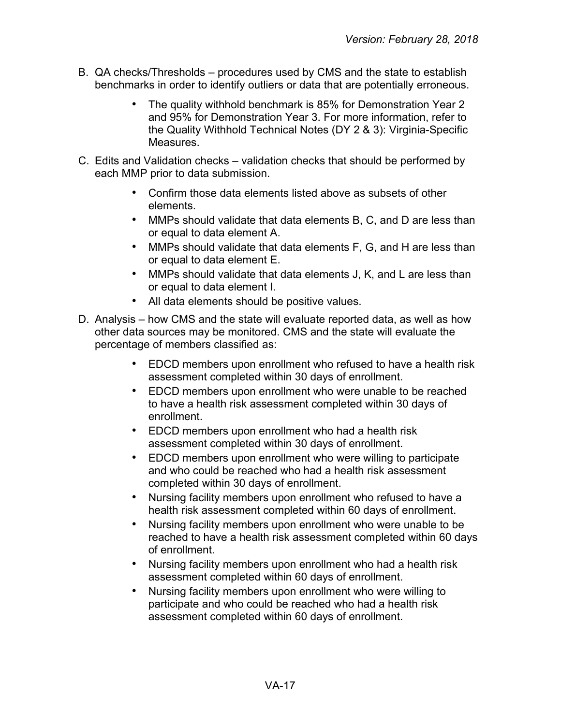- B. QA checks/Thresholds procedures used by CMS and the state to establish benchmarks in order to identify outliers or data that are potentially erroneous.
	- The quality withhold benchmark is 85% for Demonstration Year 2 and 95% for Demonstration Year 3. For more information, refer to the Quality Withhold Technical Notes (DY 2 & 3): Virginia-Specific **Measures**
- C. Edits and Validation checks validation checks that should be performed by each MMP prior to data submission.
	- Confirm those data elements listed above as subsets of other elements.
	- MMPs should validate that data elements B, C, and D are less than or equal to data element A.
	- MMPs should validate that data elements F, G, and H are less than or equal to data element E.
	- MMPs should validate that data elements J, K, and L are less than or equal to data element I.
	- All data elements should be positive values.
- D. Analysis how CMS and the state will evaluate reported data, as well as how other data sources may be monitored. CMS and the state will evaluate the percentage of members classified as:
	- EDCD members upon enrollment who refused to have a health risk assessment completed within 30 days of enrollment.
	- EDCD members upon enrollment who were unable to be reached to have a health risk assessment completed within 30 days of enrollment.
	- EDCD members upon enrollment who had a health risk assessment completed within 30 days of enrollment.
	- EDCD members upon enrollment who were willing to participate and who could be reached who had a health risk assessment completed within 30 days of enrollment.
	- Nursing facility members upon enrollment who refused to have a health risk assessment completed within 60 days of enrollment.
	- Nursing facility members upon enrollment who were unable to be reached to have a health risk assessment completed within 60 days of enrollment.
	- Nursing facility members upon enrollment who had a health risk assessment completed within 60 days of enrollment.
	- Nursing facility members upon enrollment who were willing to participate and who could be reached who had a health risk assessment completed within 60 days of enrollment.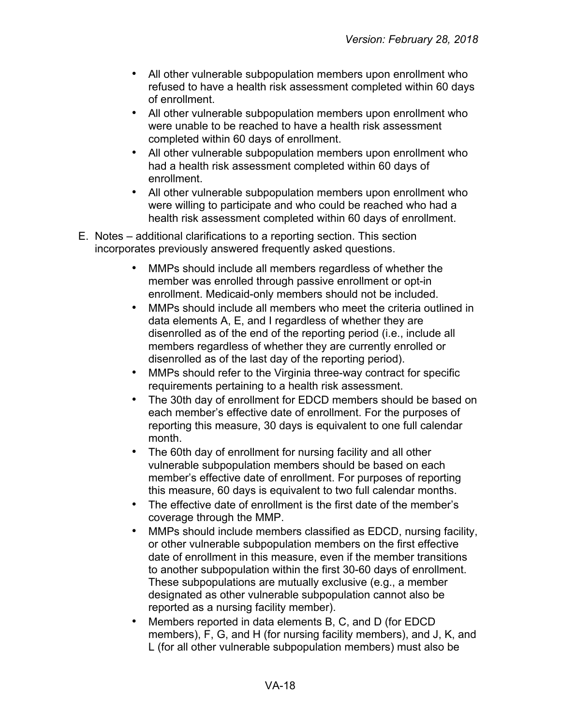- All other vulnerable subpopulation members upon enrollment who refused to have a health risk assessment completed within 60 days of enrollment.
- All other vulnerable subpopulation members upon enrollment who were unable to be reached to have a health risk assessment completed within 60 days of enrollment.
- All other vulnerable subpopulation members upon enrollment who had a health risk assessment completed within 60 days of enrollment.
- All other vulnerable subpopulation members upon enrollment who were willing to participate and who could be reached who had a health risk assessment completed within 60 days of enrollment.
- E. Notes additional clarifications to a reporting section. This section incorporates previously answered frequently asked questions.
	- MMPs should include all members regardless of whether the member was enrolled through passive enrollment or opt-in enrollment. Medicaid-only members should not be included.
	- MMPs should include all members who meet the criteria outlined in data elements A, E, and I regardless of whether they are disenrolled as of the end of the reporting period (i.e., include all members regardless of whether they are currently enrolled or disenrolled as of the last day of the reporting period).
	- MMPs should refer to the Virginia three-way contract for specific requirements pertaining to a health risk assessment.
	- The 30th day of enrollment for EDCD members should be based on each member's effective date of enrollment. For the purposes of reporting this measure, 30 days is equivalent to one full calendar month.
	- The 60th day of enrollment for nursing facility and all other vulnerable subpopulation members should be based on each member's effective date of enrollment. For purposes of reporting this measure, 60 days is equivalent to two full calendar months.
	- The effective date of enrollment is the first date of the member's coverage through the MMP.
	- MMPs should include members classified as EDCD, nursing facility, or other vulnerable subpopulation members on the first effective date of enrollment in this measure, even if the member transitions to another subpopulation within the first 30-60 days of enrollment. These subpopulations are mutually exclusive (e.g., a member designated as other vulnerable subpopulation cannot also be reported as a nursing facility member).
	- Members reported in data elements B, C, and D (for EDCD members), F, G, and H (for nursing facility members), and J, K, and L (for all other vulnerable subpopulation members) must also be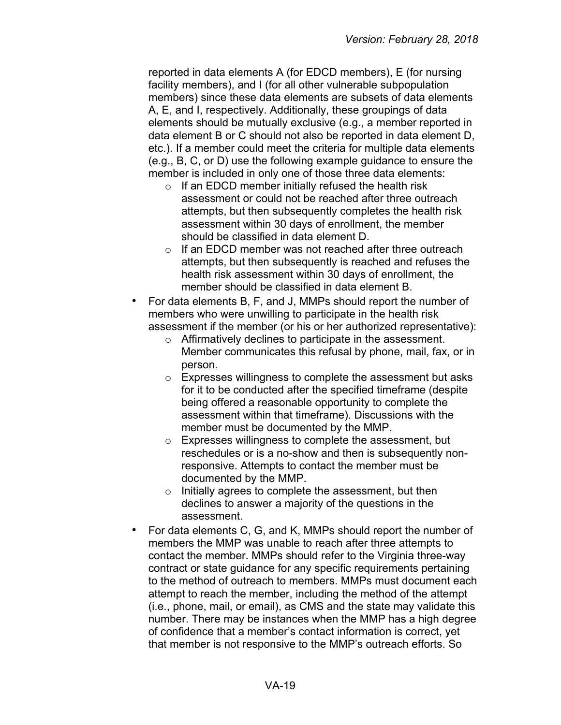reported in data elements A (for EDCD members), E (for nursing facility members), and I (for all other vulnerable subpopulation members) since these data elements are subsets of data elements A, E, and I, respectively. Additionally, these groupings of data elements should be mutually exclusive (e.g., a member reported in data element B or C should not also be reported in data element D, etc.). If a member could meet the criteria for multiple data elements (e.g., B, C, or D) use the following example guidance to ensure the member is included in only one of those three data elements:

- o If an EDCD member initially refused the health risk assessment or could not be reached after three outreach attempts, but then subsequently completes the health risk assessment within 30 days of enrollment, the member should be classified in data element D.
- o If an EDCD member was not reached after three outreach attempts, but then subsequently is reached and refuses the health risk assessment within 30 days of enrollment, the member should be classified in data element B.
- For data elements B, F, and J, MMPs should report the number of members who were unwilling to participate in the health risk assessment if the member (or his or her authorized representative):
	- o Affirmatively declines to participate in the assessment. Member communicates this refusal by phone, mail, fax, or in person.
	- o Expresses willingness to complete the assessment but asks for it to be conducted after the specified timeframe (despite being offered a reasonable opportunity to complete the assessment within that timeframe). Discussions with the member must be documented by the MMP.
	- o Expresses willingness to complete the assessment, but reschedules or is a no-show and then is subsequently nonresponsive. Attempts to contact the member must be documented by the MMP.
	- o Initially agrees to complete the assessment, but then declines to answer a majority of the questions in the assessment.
- For data elements C, G, and K, MMPs should report the number of members the MMP was unable to reach after three attempts to contact the member. MMPs should refer to the Virginia three-way contract or state guidance for any specific requirements pertaining to the method of outreach to members. MMPs must document each attempt to reach the member, including the method of the attempt (i.e., phone, mail, or email), as CMS and the state may validate this number. There may be instances when the MMP has a high degree of confidence that a member's contact information is correct, yet that member is not responsive to the MMP's outreach efforts. So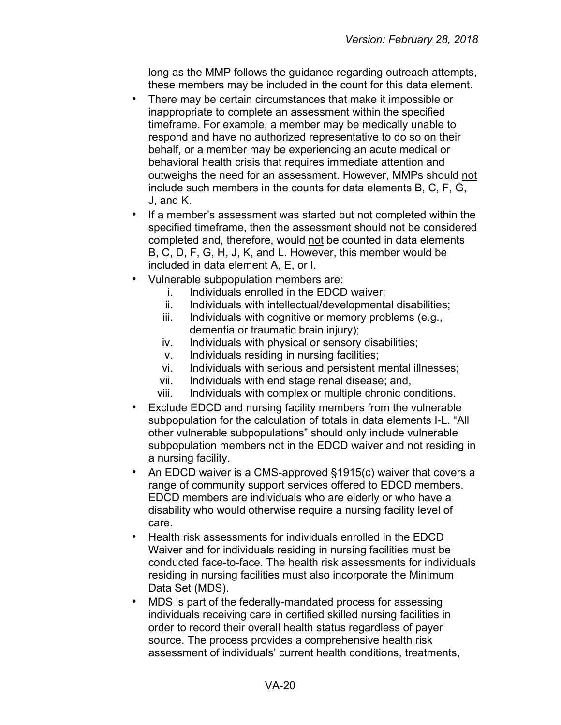long as the MMP follows the guidance regarding outreach attempts, these members may be included in the count for this data element.

- There may be certain circumstances that make it impossible or inappropriate to complete an assessment within the specified timeframe. For example, a member may be medically unable to respond and have no authorized representative to do so on their behalf, or a member may be experiencing an acute medical or behavioral health crisis that requires immediate attention and outweighs the need for an assessment. However, MMPs should not include such members in the counts for data elements B, C, F, G, J, and K.
- If a member's assessment was started but not completed within the specified timeframe, then the assessment should not be considered completed and, therefore, would not be counted in data elements B, C, D, F, G, H, J, K, and L. However, this member would be included in data element A, E, or I.
- Vulnerable subpopulation members are:
	- i. Individuals enrolled in the EDCD waiver;
	- ii. Individuals with intellectual/developmental disabilities;
	- iii. Individuals with cognitive or memory problems (e.g., dementia or traumatic brain injury);
	- iv. Individuals with physical or sensory disabilities;
	- v. Individuals residing in nursing facilities;
	- vi. Individuals with serious and persistent mental illnesses;
	- vii. Individuals with end stage renal disease; and,
	- viii. Individuals with complex or multiple chronic conditions.
- Exclude EDCD and nursing facility members from the vulnerable subpopulation for the calculation of totals in data elements I-L. "All other vulnerable subpopulations" should only include vulnerable subpopulation members not in the EDCD waiver and not residing in a nursing facility.
- An EDCD waiver is a CMS-approved §1915(c) waiver that covers a range of community support services offered to EDCD members. EDCD members are individuals who are elderly or who have a disability who would otherwise require a nursing facility level of care.
- Health risk assessments for individuals enrolled in the EDCD Waiver and for individuals residing in nursing facilities must be conducted face-to-face. The health risk assessments for individuals residing in nursing facilities must also incorporate the Minimum Data Set (MDS).
- MDS is part of the federally-mandated process for assessing individuals receiving care in certified skilled nursing facilities in order to record their overall health status regardless of payer source. The process provides a comprehensive health risk assessment of individuals' current health conditions, treatments,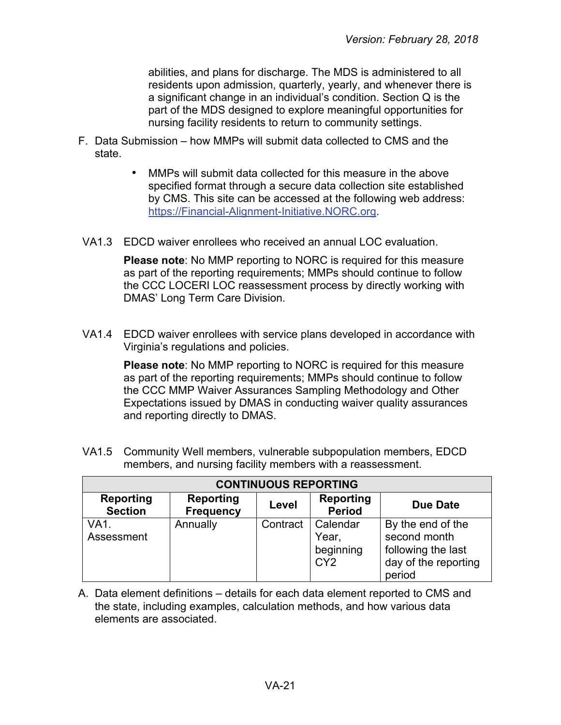abilities, and plans for discharge. The MDS is administered to all residents upon admission, quarterly, yearly, and whenever there is a significant change in an individual's condition. Section Q is the part of the MDS designed to explore meaningful opportunities for nursing facility residents to return to community settings.

- F. Data Submission how MMPs will submit data collected to CMS and the state.
	- MMPs will submit data collected for this measure in the above specified format through a secure data collection site established by CMS. This site can be accessed at the following web address: [https://Financial-Alignment-Initiative.NORC.org.](https://financial-alignment-initiative.norc.org/)
- VA1.3 EDCD waiver enrollees who received an annual LOC evaluation.

**Please note**: No MMP reporting to NORC is required for this measure as part of the reporting requirements; MMPs should continue to follow the CCC LOCERI LOC reassessment process by directly working with DMAS' Long Term Care Division.

VA1.4 EDCD waiver enrollees with service plans developed in accordance with Virginia's regulations and policies.

> **Please note**: No MMP reporting to NORC is required for this measure as part of the reporting requirements; MMPs should continue to follow the CCC MMP Waiver Assurances Sampling Methodology and Other Expectations issued by DMAS in conducting waiver quality assurances and reporting directly to DMAS.

VA1.5 Community Well members, vulnerable subpopulation members, EDCD members, and nursing facility members with a reassessment.

| <b>CONTINUOUS REPORTING</b>        |                                      |          |                                                   |                                                                                           |
|------------------------------------|--------------------------------------|----------|---------------------------------------------------|-------------------------------------------------------------------------------------------|
| <b>Reporting</b><br><b>Section</b> | <b>Reporting</b><br><b>Frequency</b> | Level    | <b>Reporting</b><br><b>Period</b>                 | <b>Due Date</b>                                                                           |
| VA <sub>1</sub><br>Assessment      | Annually                             | Contract | Calendar<br>Year,<br>beginning<br>CY <sub>2</sub> | By the end of the<br>second month<br>following the last<br>day of the reporting<br>period |

A. Data element definitions – details for each data element reported to CMS and the state, including examples, calculation methods, and how various data elements are associated.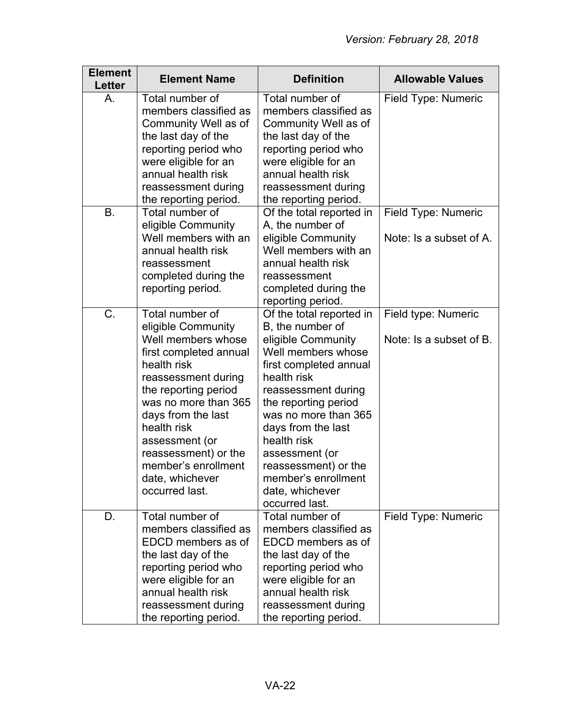| <b>Element</b><br><b>Letter</b> | <b>Element Name</b>                                                                                                                                                                                                                                                                                                    | <b>Definition</b>                                                                                                                                                                                                                                                                                                                                   | <b>Allowable Values</b>                        |
|---------------------------------|------------------------------------------------------------------------------------------------------------------------------------------------------------------------------------------------------------------------------------------------------------------------------------------------------------------------|-----------------------------------------------------------------------------------------------------------------------------------------------------------------------------------------------------------------------------------------------------------------------------------------------------------------------------------------------------|------------------------------------------------|
| A.                              | Total number of<br>members classified as<br>Community Well as of<br>the last day of the<br>reporting period who<br>were eligible for an<br>annual health risk<br>reassessment during<br>the reporting period.                                                                                                          | Total number of<br>members classified as<br>Community Well as of<br>the last day of the<br>reporting period who<br>were eligible for an<br>annual health risk<br>reassessment during<br>the reporting period.                                                                                                                                       | Field Type: Numeric                            |
| <b>B.</b>                       | Total number of<br>eligible Community<br>Well members with an<br>annual health risk<br>reassessment<br>completed during the<br>reporting period.                                                                                                                                                                       | Of the total reported in<br>A, the number of<br>eligible Community<br>Well members with an<br>annual health risk<br>reassessment<br>completed during the<br>reporting period.                                                                                                                                                                       | Field Type: Numeric<br>Note: Is a subset of A. |
| C.                              | Total number of<br>eligible Community<br>Well members whose<br>first completed annual<br>health risk<br>reassessment during<br>the reporting period<br>was no more than 365<br>days from the last<br>health risk<br>assessment (or<br>reassessment) or the<br>member's enrollment<br>date, whichever<br>occurred last. | Of the total reported in<br>B, the number of<br>eligible Community<br>Well members whose<br>first completed annual<br>health risk<br>reassessment during<br>the reporting period<br>was no more than 365<br>days from the last<br>health risk<br>assessment (or<br>reassessment) or the<br>member's enrollment<br>date, whichever<br>occurred last. | Field type: Numeric<br>Note: Is a subset of B. |
| D.                              | Total number of<br>members classified as<br>EDCD members as of<br>the last day of the<br>reporting period who<br>were eligible for an<br>annual health risk<br>reassessment during<br>the reporting period.                                                                                                            | Total number of<br>members classified as<br>EDCD members as of<br>the last day of the<br>reporting period who<br>were eligible for an<br>annual health risk<br>reassessment during<br>the reporting period.                                                                                                                                         | Field Type: Numeric                            |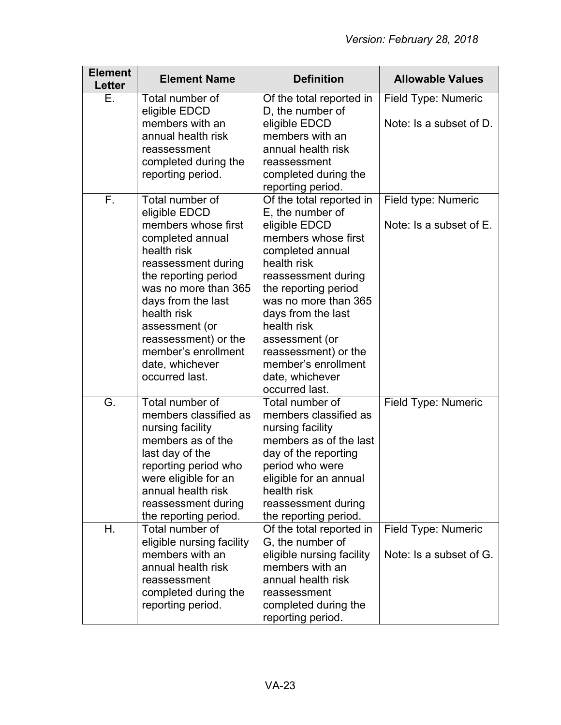| <b>Element</b><br><b>Letter</b> | <b>Element Name</b>                                                                                                                                                                                                                                                      | <b>Definition</b>                                                                                                                                                                                                                                                                         | <b>Allowable Values</b>                        |
|---------------------------------|--------------------------------------------------------------------------------------------------------------------------------------------------------------------------------------------------------------------------------------------------------------------------|-------------------------------------------------------------------------------------------------------------------------------------------------------------------------------------------------------------------------------------------------------------------------------------------|------------------------------------------------|
| Е.                              | Total number of<br>eligible EDCD                                                                                                                                                                                                                                         | Of the total reported in<br>D, the number of                                                                                                                                                                                                                                              | Field Type: Numeric                            |
|                                 | members with an<br>annual health risk<br>reassessment<br>completed during the<br>reporting period.                                                                                                                                                                       | eligible EDCD<br>members with an<br>annual health risk<br>reassessment<br>completed during the<br>reporting period.                                                                                                                                                                       | Note: Is a subset of D.                        |
| F.                              | Total number of<br>eligible EDCD                                                                                                                                                                                                                                         | Of the total reported in<br>E, the number of                                                                                                                                                                                                                                              | Field type: Numeric                            |
|                                 | members whose first<br>completed annual<br>health risk<br>reassessment during<br>the reporting period<br>was no more than 365<br>days from the last<br>health risk<br>assessment (or<br>reassessment) or the<br>member's enrollment<br>date, whichever<br>occurred last. | eligible EDCD<br>members whose first<br>completed annual<br>health risk<br>reassessment during<br>the reporting period<br>was no more than 365<br>days from the last<br>health risk<br>assessment (or<br>reassessment) or the<br>member's enrollment<br>date, whichever<br>occurred last. | Note: Is a subset of E.                        |
| G.                              | Total number of<br>members classified as<br>nursing facility<br>members as of the<br>last day of the<br>reporting period who<br>were eligible for an<br>annual health risk<br>reassessment during<br>the reporting period.                                               | Total number of<br>members classified as<br>nursing facility<br>members as of the last<br>day of the reporting<br>period who were<br>eligible for an annual<br>health risk<br>reassessment during<br>the reporting period.                                                                | Field Type: Numeric                            |
| Н.                              | Total number of<br>eligible nursing facility<br>members with an<br>annual health risk<br>reassessment<br>completed during the<br>reporting period.                                                                                                                       | Of the total reported in<br>G, the number of<br>eligible nursing facility<br>members with an<br>annual health risk<br>reassessment<br>completed during the                                                                                                                                | Field Type: Numeric<br>Note: Is a subset of G. |
|                                 |                                                                                                                                                                                                                                                                          | reporting period.                                                                                                                                                                                                                                                                         |                                                |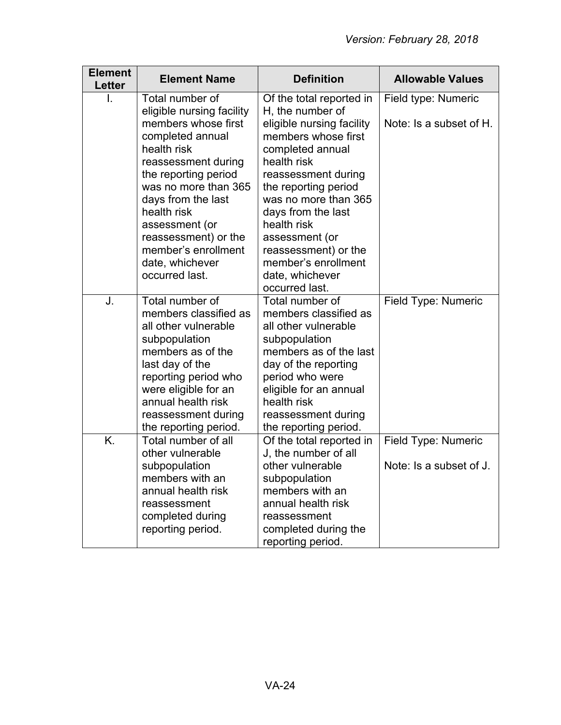| <b>Element</b><br>Letter | <b>Element Name</b>                     | <b>Definition</b>                                | <b>Allowable Values</b> |
|--------------------------|-----------------------------------------|--------------------------------------------------|-------------------------|
| L                        | Total number of                         | Of the total reported in                         | Field type: Numeric     |
|                          | eligible nursing facility               | H, the number of                                 |                         |
|                          | members whose first                     | eligible nursing facility<br>members whose first | Note: Is a subset of H. |
|                          | completed annual<br>health risk         | completed annual                                 |                         |
|                          | reassessment during                     | health risk                                      |                         |
|                          | the reporting period                    | reassessment during                              |                         |
|                          | was no more than 365                    | the reporting period                             |                         |
|                          | days from the last                      | was no more than 365                             |                         |
|                          | health risk                             | days from the last                               |                         |
|                          | assessment (or                          | health risk                                      |                         |
|                          | reassessment) or the                    | assessment (or                                   |                         |
|                          | member's enrollment<br>date, whichever  | reassessment) or the<br>member's enrollment      |                         |
|                          | occurred last.                          | date, whichever                                  |                         |
|                          |                                         | occurred last.                                   |                         |
| J.                       | Total number of                         | Total number of                                  | Field Type: Numeric     |
|                          | members classified as                   | members classified as                            |                         |
|                          | all other vulnerable                    | all other vulnerable                             |                         |
|                          | subpopulation                           | subpopulation                                    |                         |
|                          | members as of the                       | members as of the last                           |                         |
|                          | last day of the<br>reporting period who | day of the reporting<br>period who were          |                         |
|                          | were eligible for an                    | eligible for an annual                           |                         |
|                          | annual health risk                      | health risk                                      |                         |
|                          | reassessment during                     | reassessment during                              |                         |
|                          | the reporting period.                   | the reporting period.                            |                         |
| K.                       | Total number of all                     | Of the total reported in                         | Field Type: Numeric     |
|                          | other vulnerable                        | J, the number of all                             |                         |
|                          | subpopulation                           | other vulnerable                                 | Note: Is a subset of J. |
|                          | members with an<br>annual health risk   | subpopulation<br>members with an                 |                         |
|                          | reassessment                            | annual health risk                               |                         |
|                          | completed during                        | reassessment                                     |                         |
|                          | reporting period.                       | completed during the                             |                         |
|                          |                                         | reporting period.                                |                         |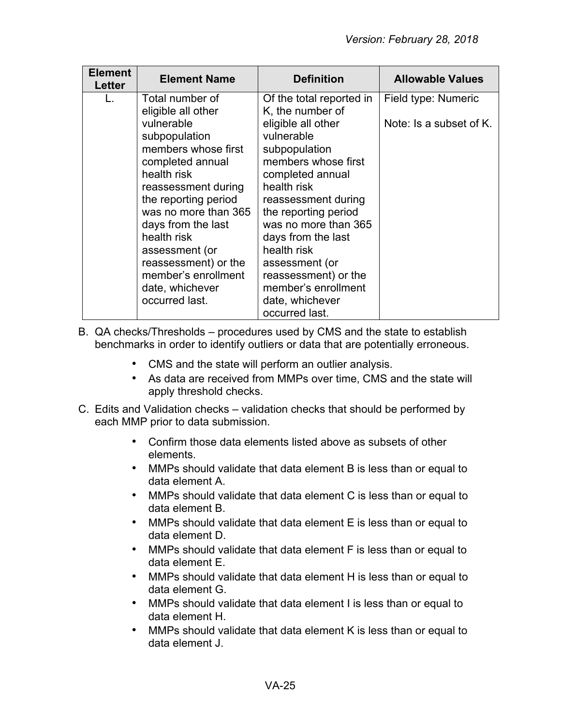| <b>Element</b><br><b>Letter</b> | <b>Element Name</b>                                                                                                                                                                     | <b>Definition</b>                                                                                                                                                                                              | <b>Allowable Values</b>                        |
|---------------------------------|-----------------------------------------------------------------------------------------------------------------------------------------------------------------------------------------|----------------------------------------------------------------------------------------------------------------------------------------------------------------------------------------------------------------|------------------------------------------------|
| L.                              | Total number of<br>eligible all other<br>vulnerable<br>subpopulation<br>members whose first<br>completed annual<br>health risk<br>reassessment during                                   | Of the total reported in<br>K, the number of<br>eligible all other<br>vulnerable<br>subpopulation<br>members whose first<br>completed annual<br>health risk                                                    | Field type: Numeric<br>Note: Is a subset of K. |
|                                 | the reporting period<br>was no more than 365<br>days from the last<br>health risk<br>assessment (or<br>reassessment) or the<br>member's enrollment<br>date, whichever<br>occurred last. | reassessment during<br>the reporting period<br>was no more than 365<br>days from the last<br>health risk<br>assessment (or<br>reassessment) or the<br>member's enrollment<br>date, whichever<br>occurred last. |                                                |

- B. QA checks/Thresholds procedures used by CMS and the state to establish benchmarks in order to identify outliers or data that are potentially erroneous.
	- CMS and the state will perform an outlier analysis.
	- As data are received from MMPs over time, CMS and the state will apply threshold checks.
- C. Edits and Validation checks validation checks that should be performed by each MMP prior to data submission.
	- Confirm those data elements listed above as subsets of other elements.
	- MMPs should validate that data element B is less than or equal to data element A.
	- MMPs should validate that data element C is less than or equal to data element B.
	- MMPs should validate that data element E is less than or equal to data element D.
	- MMPs should validate that data element F is less than or equal to data element E.
	- MMPs should validate that data element H is less than or equal to data element G.
	- MMPs should validate that data element I is less than or equal to data element H.
	- MMPs should validate that data element K is less than or equal to data element J.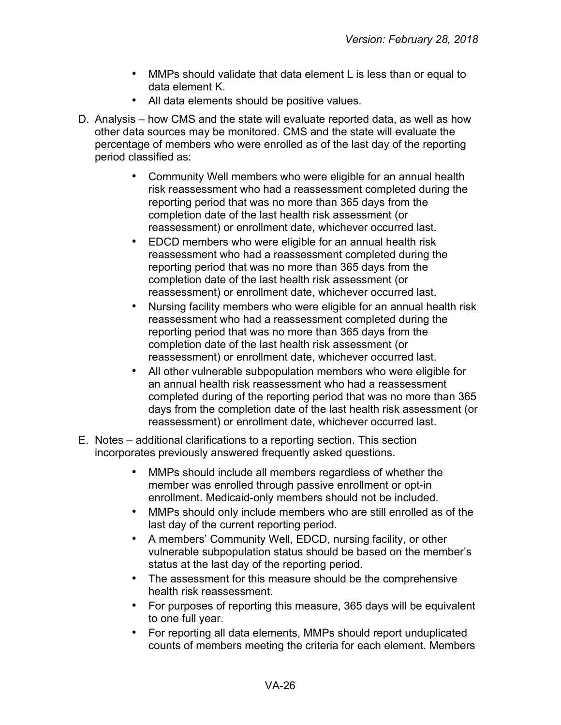- MMPs should validate that data element L is less than or equal to data element K.
- All data elements should be positive values.
- D. Analysis how CMS and the state will evaluate reported data, as well as how other data sources may be monitored. CMS and the state will evaluate the percentage of members who were enrolled as of the last day of the reporting period classified as:
	- Community Well members who were eligible for an annual health risk reassessment who had a reassessment completed during the reporting period that was no more than 365 days from the completion date of the last health risk assessment (or reassessment) or enrollment date, whichever occurred last.
	- EDCD members who were eligible for an annual health risk reassessment who had a reassessment completed during the reporting period that was no more than 365 days from the completion date of the last health risk assessment (or reassessment) or enrollment date, whichever occurred last.
	- Nursing facility members who were eligible for an annual health risk reassessment who had a reassessment completed during the reporting period that was no more than 365 days from the completion date of the last health risk assessment (or reassessment) or enrollment date, whichever occurred last.
	- All other vulnerable subpopulation members who were eligible for an annual health risk reassessment who had a reassessment completed during of the reporting period that was no more than 365 days from the completion date of the last health risk assessment (or reassessment) or enrollment date, whichever occurred last.
- E. Notes additional clarifications to a reporting section. This section incorporates previously answered frequently asked questions.
	- MMPs should include all members regardless of whether the member was enrolled through passive enrollment or opt-in enrollment. Medicaid-only members should not be included.
	- MMPs should only include members who are still enrolled as of the last day of the current reporting period.
	- A members' Community Well, EDCD, nursing facility, or other vulnerable subpopulation status should be based on the member's status at the last day of the reporting period.
	- The assessment for this measure should be the comprehensive health risk reassessment.
	- For purposes of reporting this measure, 365 days will be equivalent to one full year.
	- For reporting all data elements, MMPs should report unduplicated counts of members meeting the criteria for each element. Members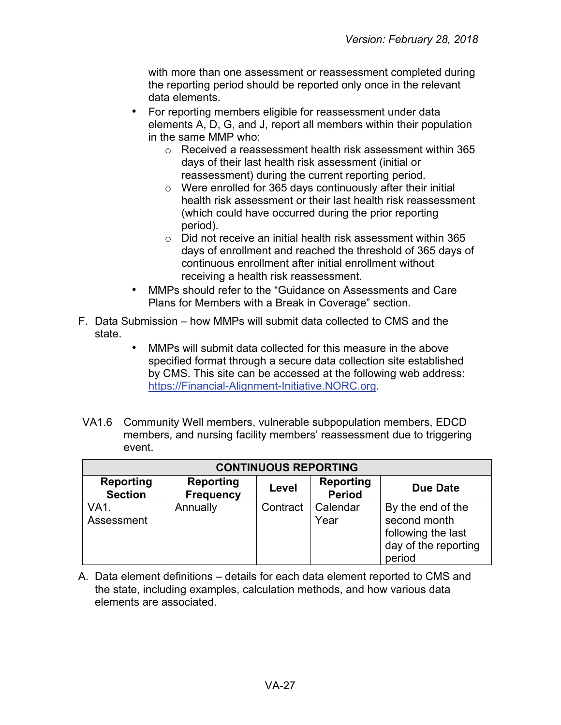with more than one assessment or reassessment completed during the reporting period should be reported only once in the relevant data elements.

- For reporting members eligible for reassessment under data elements A, D, G, and J, report all members within their population in the same MMP who:
	- o Received a reassessment health risk assessment within 365 days of their last health risk assessment (initial or reassessment) during the current reporting period.
	- o Were enrolled for 365 days continuously after their initial health risk assessment or their last health risk reassessment (which could have occurred during the prior reporting period).
	- o Did not receive an initial health risk assessment within 365 days of enrollment and reached the threshold of 365 days of continuous enrollment after initial enrollment without receiving a health risk reassessment.
- MMPs should refer to the "Guidance on Assessments and Care Plans for Members with a Break in Coverage" section.
- F. Data Submission how MMPs will submit data collected to CMS and the state.
	- MMPs will submit data collected for this measure in the above specified format through a secure data collection site established by CMS. This site can be accessed at the following web address: [https://Financial-Alignment-Initiative.NORC.org.](https://financial-alignment-initiative.norc.org/)
- VA1.6 Community Well members, vulnerable subpopulation members, EDCD members, and nursing facility members' reassessment due to triggering event.

| <b>CONTINUOUS REPORTING</b>        |                                      |          |                                   |                                                                                           |
|------------------------------------|--------------------------------------|----------|-----------------------------------|-------------------------------------------------------------------------------------------|
| <b>Reporting</b><br><b>Section</b> | <b>Reporting</b><br><b>Frequency</b> | Level    | <b>Reporting</b><br><b>Period</b> | Due Date                                                                                  |
| <b>VA1.</b><br>Assessment          | Annually                             | Contract | Calendar<br>Year                  | By the end of the<br>second month<br>following the last<br>day of the reporting<br>period |

A. Data element definitions – details for each data element reported to CMS and the state, including examples, calculation methods, and how various data elements are associated.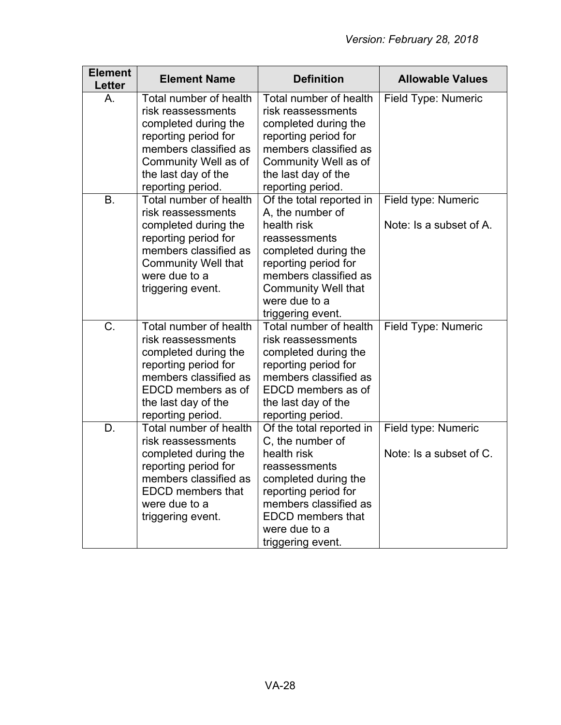| <b>Element</b><br><b>Letter</b> | <b>Element Name</b>                                                                                                                                                                       | <b>Definition</b>                                                                                                                                                                                                         | <b>Allowable Values</b>                        |
|---------------------------------|-------------------------------------------------------------------------------------------------------------------------------------------------------------------------------------------|---------------------------------------------------------------------------------------------------------------------------------------------------------------------------------------------------------------------------|------------------------------------------------|
| Α.                              | Total number of health<br>risk reassessments<br>completed during the<br>reporting period for<br>members classified as<br>Community Well as of<br>the last day of the<br>reporting period. | Total number of health<br>risk reassessments<br>completed during the<br>reporting period for<br>members classified as<br>Community Well as of<br>the last day of the<br>reporting period.                                 | Field Type: Numeric                            |
| <b>B.</b>                       | Total number of health<br>risk reassessments<br>completed during the<br>reporting period for<br>members classified as<br><b>Community Well that</b><br>were due to a<br>triggering event. | Of the total reported in<br>A, the number of<br>health risk<br>reassessments<br>completed during the<br>reporting period for<br>members classified as<br><b>Community Well that</b><br>were due to a<br>triggering event. | Field type: Numeric<br>Note: Is a subset of A. |
| C.                              | Total number of health<br>risk reassessments<br>completed during the<br>reporting period for<br>members classified as<br>EDCD members as of<br>the last day of the<br>reporting period.   | Total number of health<br>risk reassessments<br>completed during the<br>reporting period for<br>members classified as<br>EDCD members as of<br>the last day of the<br>reporting period.                                   | Field Type: Numeric                            |
| D.                              | Total number of health<br>risk reassessments<br>completed during the<br>reporting period for<br>members classified as<br><b>EDCD</b> members that<br>were due to a<br>triggering event.   | Of the total reported in<br>C, the number of<br>health risk<br>reassessments<br>completed during the<br>reporting period for<br>members classified as<br><b>EDCD</b> members that<br>were due to a<br>triggering event.   | Field type: Numeric<br>Note: Is a subset of C. |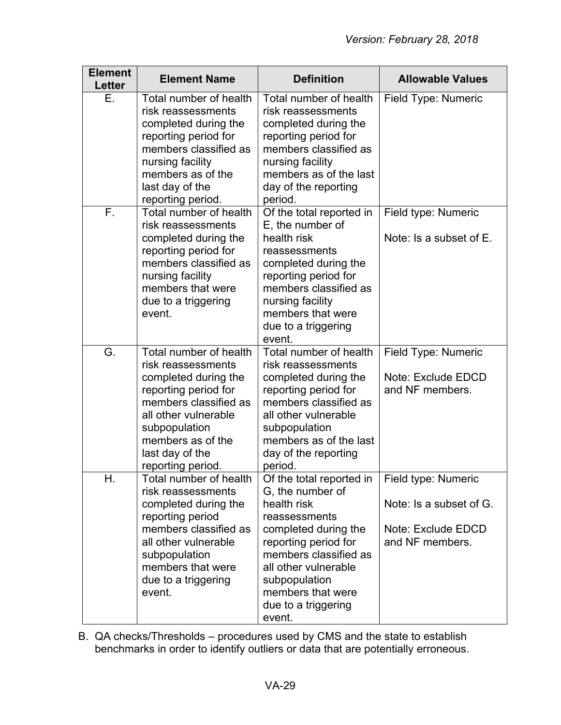| <b>Element</b><br>Letter | <b>Element Name</b>                                                                                                                                                                                                         | <b>Definition</b>                                                                                                                                                                                                                                    | <b>Allowable Values</b>                                                                 |
|--------------------------|-----------------------------------------------------------------------------------------------------------------------------------------------------------------------------------------------------------------------------|------------------------------------------------------------------------------------------------------------------------------------------------------------------------------------------------------------------------------------------------------|-----------------------------------------------------------------------------------------|
| Ε.                       | Total number of health<br>risk reassessments<br>completed during the<br>reporting period for<br>members classified as<br>nursing facility<br>members as of the<br>last day of the<br>reporting period.                      | Total number of health<br>risk reassessments<br>completed during the<br>reporting period for<br>members classified as<br>nursing facility<br>members as of the last<br>day of the reporting<br>period.                                               | Field Type: Numeric                                                                     |
| F.                       | Total number of health<br>risk reassessments<br>completed during the<br>reporting period for<br>members classified as<br>nursing facility<br>members that were<br>due to a triggering<br>event.                             | Of the total reported in<br>E, the number of<br>health risk<br>reassessments<br>completed during the<br>reporting period for<br>members classified as<br>nursing facility<br>members that were<br>due to a triggering<br>event.                      | Field type: Numeric<br>Note: Is a subset of E.                                          |
| G.                       | Total number of health<br>risk reassessments<br>completed during the<br>reporting period for<br>members classified as<br>all other vulnerable<br>subpopulation<br>members as of the<br>last day of the<br>reporting period. | Total number of health<br>risk reassessments<br>completed during the<br>reporting period for<br>members classified as<br>all other vulnerable<br>subpopulation<br>members as of the last<br>day of the reporting<br>period.                          | Field Type: Numeric<br>Note: Exclude EDCD<br>and NF members.                            |
| Н.                       | Total number of health<br>risk reassessments<br>completed during the<br>reporting period<br>members classified as<br>all other vulnerable<br>subpopulation<br>members that were<br>due to a triggering<br>event.            | Of the total reported in<br>G, the number of<br>health risk<br>reassessments<br>completed during the<br>reporting period for<br>members classified as<br>all other vulnerable<br>subpopulation<br>members that were<br>due to a triggering<br>event. | Field type: Numeric<br>Note: Is a subset of G.<br>Note: Exclude EDCD<br>and NF members. |

B. QA checks/Thresholds – procedures used by CMS and the state to establish benchmarks in order to identify outliers or data that are potentially erroneous.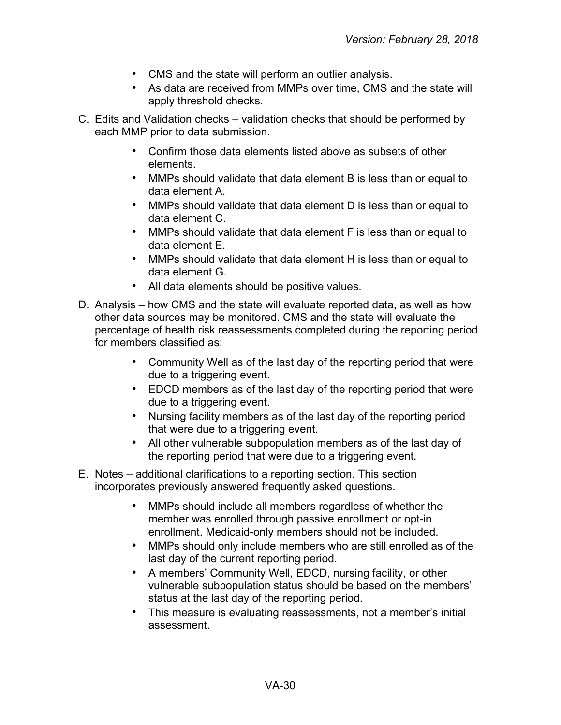- CMS and the state will perform an outlier analysis.
- As data are received from MMPs over time, CMS and the state will apply threshold checks.
- C. Edits and Validation checks validation checks that should be performed by each MMP prior to data submission.
	- Confirm those data elements listed above as subsets of other elements.
	- MMPs should validate that data element B is less than or equal to data element A.
	- MMPs should validate that data element D is less than or equal to data element C.
	- MMPs should validate that data element F is less than or equal to data element E.
	- MMPs should validate that data element H is less than or equal to data element G.
	- All data elements should be positive values.
- D. Analysis how CMS and the state will evaluate reported data, as well as how other data sources may be monitored. CMS and the state will evaluate the percentage of health risk reassessments completed during the reporting period for members classified as:
	- Community Well as of the last day of the reporting period that were due to a triggering event.
	- EDCD members as of the last day of the reporting period that were due to a triggering event.
	- Nursing facility members as of the last day of the reporting period that were due to a triggering event.
	- All other vulnerable subpopulation members as of the last day of the reporting period that were due to a triggering event.
- E. Notes additional clarifications to a reporting section. This section incorporates previously answered frequently asked questions.
	- MMPs should include all members regardless of whether the member was enrolled through passive enrollment or opt-in enrollment. Medicaid-only members should not be included.
	- MMPs should only include members who are still enrolled as of the last day of the current reporting period.
	- A members' Community Well, EDCD, nursing facility, or other vulnerable subpopulation status should be based on the members' status at the last day of the reporting period.
	- This measure is evaluating reassessments, not a member's initial assessment.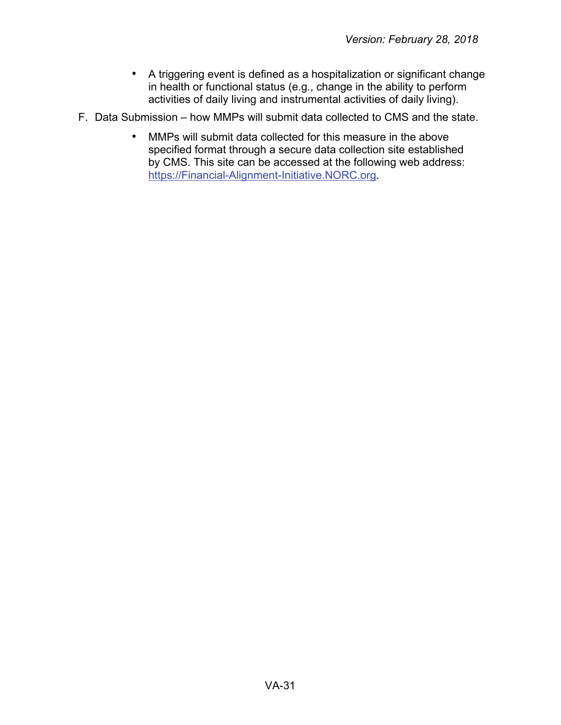- A triggering event is defined as a hospitalization or significant change in health or functional status (e.g., change in the ability to perform activities of daily living and instrumental activities of daily living).
- F. Data Submission how MMPs will submit data collected to CMS and the state.
	- MMPs will submit data collected for this measure in the above specified format through a secure data collection site established by CMS. This site can be accessed at the following web address: [https://Financial-Alignment-Initiative.NORC.org.](https://financial-alignment-initiative.norc.org/)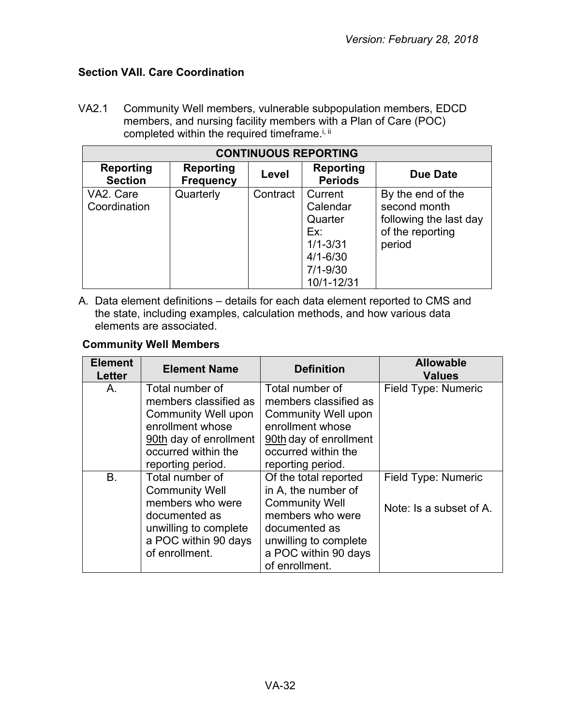# <span id="page-31-0"></span>**Section VAII. Care Coordination**

VA2.1 Community Well members, vulnerable subpopulation members, EDCD members, and nursing facility members with a Plan of Care (POC) completed within the required timeframe.<sup>i, ii</sup>

| <b>CONTINUOUS REPORTING</b> |                                      |          |                                                                                                     |                                                                                           |
|-----------------------------|--------------------------------------|----------|-----------------------------------------------------------------------------------------------------|-------------------------------------------------------------------------------------------|
| Reporting<br><b>Section</b> | <b>Reporting</b><br><b>Frequency</b> | Level    | Reporting<br><b>Periods</b>                                                                         | Due Date                                                                                  |
| VA2. Care<br>Coordination   | Quarterly                            | Contract | Current<br>Calendar<br>Quarter<br>Ex:<br>$1/1 - 3/31$<br>$4/1 - 6/30$<br>$7/1 - 9/30$<br>10/1-12/31 | By the end of the<br>second month<br>following the last day<br>of the reporting<br>period |

A. Data element definitions – details for each data element reported to CMS and the state, including examples, calculation methods, and how various data elements are associated.

# **Community Well Members**

| <b>Element</b><br><b>Letter</b> | <b>Element Name</b>                                                                                           | <b>Definition</b>                                                                                                    | <b>Allowable</b><br><b>Values</b>              |
|---------------------------------|---------------------------------------------------------------------------------------------------------------|----------------------------------------------------------------------------------------------------------------------|------------------------------------------------|
| Α.                              | Total number of<br>members classified as<br>Community Well upon<br>enrollment whose<br>90th day of enrollment | Total number of<br>members classified as<br><b>Community Well upon</b><br>enrollment whose<br>90th day of enrollment | Field Type: Numeric                            |
|                                 | occurred within the<br>reporting period.                                                                      | occurred within the<br>reporting period.                                                                             |                                                |
| B <sub>1</sub>                  | Total number of<br><b>Community Well</b><br>members who were                                                  | Of the total reported<br>in A, the number of<br><b>Community Well</b>                                                | Field Type: Numeric<br>Note: Is a subset of A. |
|                                 | documented as<br>unwilling to complete<br>a POC within 90 days<br>of enrollment.                              | members who were<br>documented as<br>unwilling to complete<br>a POC within 90 days<br>of enrollment.                 |                                                |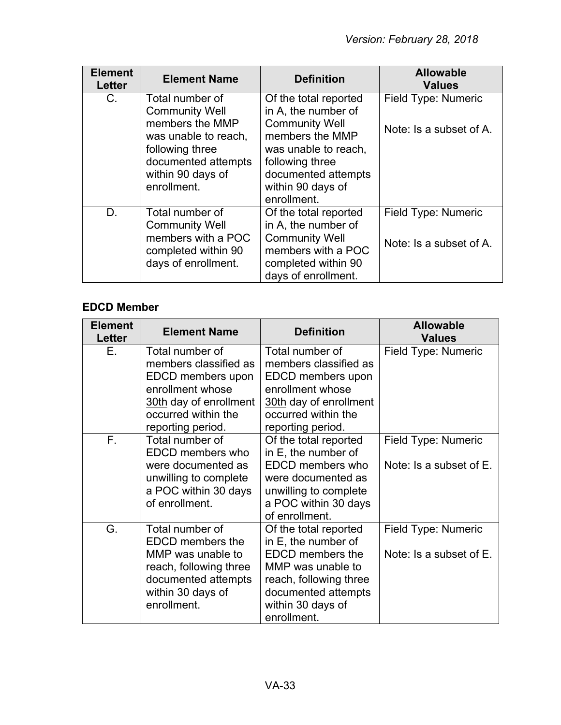| <b>Element</b><br><b>Letter</b> | <b>Element Name</b>                                                                                                                                               | <b>Definition</b>                                                                                                                                                                              | <b>Allowable</b><br><b>Values</b>              |
|---------------------------------|-------------------------------------------------------------------------------------------------------------------------------------------------------------------|------------------------------------------------------------------------------------------------------------------------------------------------------------------------------------------------|------------------------------------------------|
| C.                              | Total number of<br><b>Community Well</b><br>members the MMP<br>was unable to reach,<br>following three<br>documented attempts<br>within 90 days of<br>enrollment. | Of the total reported<br>in A, the number of<br><b>Community Well</b><br>members the MMP<br>was unable to reach,<br>following three<br>documented attempts<br>within 90 days of<br>enrollment. | Field Type: Numeric<br>Note: Is a subset of A. |
| D.                              | Total number of<br><b>Community Well</b><br>members with a POC<br>completed within 90<br>days of enrollment.                                                      | Of the total reported<br>in A, the number of<br><b>Community Well</b><br>members with a POC<br>completed within 90<br>days of enrollment.                                                      | Field Type: Numeric<br>Note: Is a subset of A. |

# **EDCD Member**

| <b>Element</b><br><b>Letter</b> | <b>Element Name</b>                                                                                                                                     | <b>Definition</b>                                                                                                                                                                 | <b>Allowable</b><br><b>Values</b>              |
|---------------------------------|---------------------------------------------------------------------------------------------------------------------------------------------------------|-----------------------------------------------------------------------------------------------------------------------------------------------------------------------------------|------------------------------------------------|
| E.                              | Total number of<br>members classified as<br>EDCD members upon<br>enrollment whose<br>30th day of enrollment<br>occurred within the<br>reporting period. | Total number of<br>members classified as<br>EDCD members upon<br>enrollment whose<br>30th day of enrollment<br>occurred within the<br>reporting period.                           | Field Type: Numeric                            |
| $F_{\rm{H}}$                    | Total number of<br>EDCD members who<br>were documented as<br>unwilling to complete<br>a POC within 30 days<br>of enrollment.                            | Of the total reported<br>in E, the number of<br>EDCD members who<br>were documented as<br>unwilling to complete<br>a POC within 30 days<br>of enrollment.                         | Field Type: Numeric<br>Note: Is a subset of E. |
| G.                              | Total number of<br><b>EDCD</b> members the<br>MMP was unable to<br>reach, following three<br>documented attempts<br>within 30 days of<br>enrollment.    | Of the total reported<br>in E, the number of<br><b>EDCD</b> members the<br>MMP was unable to<br>reach, following three<br>documented attempts<br>within 30 days of<br>enrollment. | Field Type: Numeric<br>Note: Is a subset of E. |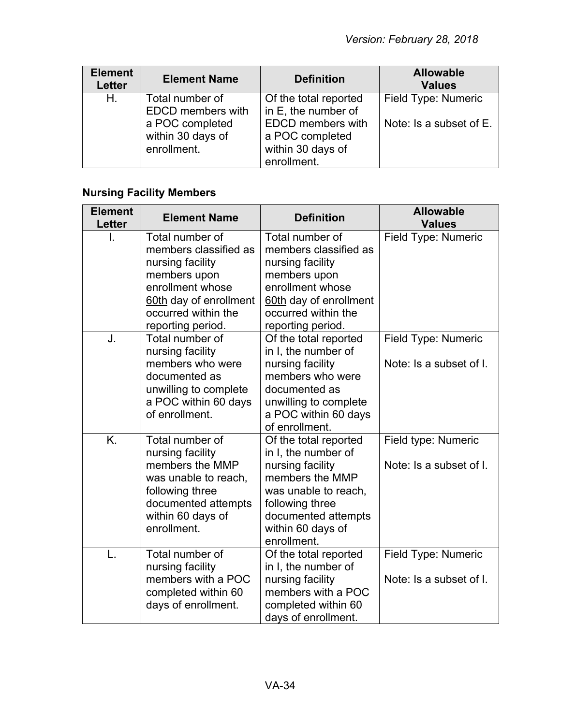| <b>Element</b><br><b>Letter</b> | <b>Element Name</b>                                                                                | <b>Definition</b>                                                                                                | <b>Allowable</b><br><b>Values</b>              |
|---------------------------------|----------------------------------------------------------------------------------------------------|------------------------------------------------------------------------------------------------------------------|------------------------------------------------|
| Η.                              | Total number of<br><b>EDCD</b> members with<br>a POC completed<br>within 30 days of<br>enrollment. | Of the total reported<br>in E, the number of<br><b>EDCD</b> members with<br>a POC completed<br>within 30 days of | Field Type: Numeric<br>Note: Is a subset of E. |
|                                 |                                                                                                    | enrollment.                                                                                                      |                                                |

# **Nursing Facility Members**

| <b>Element</b><br>Letter | <b>Element Name</b>                                                                                                                                                    | <b>Definition</b>                                                                                                                                                                         | <b>Allowable</b><br><b>Values</b>              |
|--------------------------|------------------------------------------------------------------------------------------------------------------------------------------------------------------------|-------------------------------------------------------------------------------------------------------------------------------------------------------------------------------------------|------------------------------------------------|
| I.                       | Total number of<br>members classified as<br>nursing facility<br>members upon<br>enrollment whose<br>60th day of enrollment<br>occurred within the<br>reporting period. | Total number of<br>members classified as<br>nursing facility<br>members upon<br>enrollment whose<br>60th day of enrollment<br>occurred within the<br>reporting period.                    | Field Type: Numeric                            |
| J.                       | Total number of<br>nursing facility<br>members who were<br>documented as<br>unwilling to complete<br>a POC within 60 days<br>of enrollment.                            | Of the total reported<br>in I, the number of<br>nursing facility<br>members who were<br>documented as<br>unwilling to complete<br>a POC within 60 days<br>of enrollment.                  | Field Type: Numeric<br>Note: Is a subset of I. |
| K.                       | Total number of<br>nursing facility<br>members the MMP<br>was unable to reach,<br>following three<br>documented attempts<br>within 60 days of<br>enrollment.           | Of the total reported<br>in I, the number of<br>nursing facility<br>members the MMP<br>was unable to reach,<br>following three<br>documented attempts<br>within 60 days of<br>enrollment. | Field type: Numeric<br>Note: Is a subset of I. |
| L.                       | Total number of<br>nursing facility<br>members with a POC<br>completed within 60<br>days of enrollment.                                                                | Of the total reported<br>in I, the number of<br>nursing facility<br>members with a POC<br>completed within 60<br>days of enrollment.                                                      | Field Type: Numeric<br>Note: Is a subset of I. |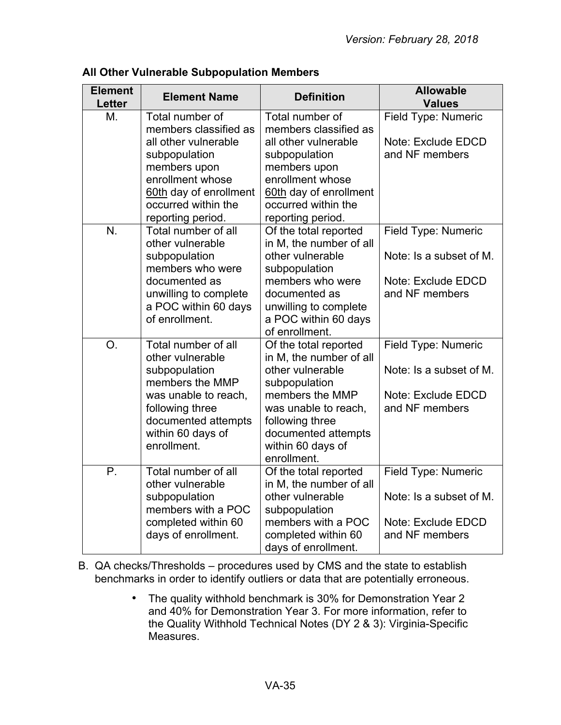| <b>Element</b><br><b>Letter</b> | <b>Element Name</b>                      | <b>Definition</b>                                | <b>Allowable</b><br><b>Values</b> |
|---------------------------------|------------------------------------------|--------------------------------------------------|-----------------------------------|
| M.                              | Total number of<br>members classified as | Total number of<br>members classified as         | Field Type: Numeric               |
|                                 | all other vulnerable                     | all other vulnerable                             | Note: Exclude EDCD                |
|                                 | subpopulation                            | subpopulation                                    | and NF members                    |
|                                 | members upon<br>enrollment whose         | members upon<br>enrollment whose                 |                                   |
|                                 | 60th day of enrollment                   | 60th day of enrollment                           |                                   |
|                                 | occurred within the                      | occurred within the                              |                                   |
|                                 | reporting period.                        | reporting period.                                |                                   |
| N.                              | Total number of all                      | Of the total reported                            | Field Type: Numeric               |
|                                 | other vulnerable                         | in M, the number of all                          |                                   |
|                                 | subpopulation                            | other vulnerable                                 | Note: Is a subset of M.           |
|                                 | members who were<br>documented as        | subpopulation<br>members who were                | Note: Exclude EDCD                |
|                                 | unwilling to complete                    | documented as                                    | and NF members                    |
|                                 | a POC within 60 days                     | unwilling to complete                            |                                   |
|                                 | of enrollment.                           | a POC within 60 days                             |                                   |
|                                 |                                          | of enrollment.                                   |                                   |
| O.                              | Total number of all                      | Of the total reported                            | Field Type: Numeric               |
|                                 | other vulnerable                         | in M, the number of all                          |                                   |
|                                 | subpopulation<br>members the MMP         | other vulnerable<br>subpopulation                | Note: Is a subset of M.           |
|                                 | was unable to reach,                     | members the MMP                                  | Note: Exclude EDCD                |
|                                 | following three                          | was unable to reach,                             | and NF members                    |
|                                 | documented attempts                      | following three                                  |                                   |
|                                 | within 60 days of                        | documented attempts                              |                                   |
|                                 | enrollment.                              | within 60 days of                                |                                   |
| $P_{\cdot}$                     | Total number of all                      | enrollment.                                      |                                   |
|                                 | other vulnerable                         | Of the total reported<br>in M, the number of all | Field Type: Numeric               |
|                                 | subpopulation                            | other vulnerable                                 | Note: Is a subset of M.           |
|                                 | members with a POC                       | subpopulation                                    |                                   |
|                                 | completed within 60                      | members with a POC                               | Note: Exclude EDCD                |
|                                 | days of enrollment.                      | completed within 60                              | and NF members                    |
|                                 |                                          | days of enrollment.                              |                                   |

# **All Other Vulnerable Subpopulation Members**

B. QA checks/Thresholds – procedures used by CMS and the state to establish benchmarks in order to identify outliers or data that are potentially erroneous.

> • The quality withhold benchmark is 30% for Demonstration Year 2 and 40% for Demonstration Year 3. For more information, refer to the Quality Withhold Technical Notes (DY 2 & 3): Virginia-Specific **Measures**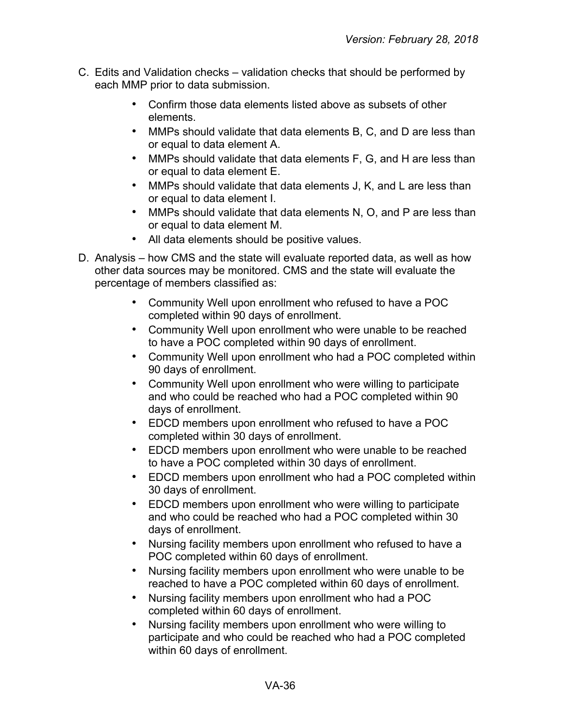- C. Edits and Validation checks validation checks that should be performed by each MMP prior to data submission.
	- Confirm those data elements listed above as subsets of other elements.
	- MMPs should validate that data elements B, C, and D are less than or equal to data element A.
	- MMPs should validate that data elements F, G, and H are less than or equal to data element E.
	- MMPs should validate that data elements J, K, and L are less than or equal to data element I.
	- MMPs should validate that data elements N, O, and P are less than or equal to data element M.
	- All data elements should be positive values.
- D. Analysis how CMS and the state will evaluate reported data, as well as how other data sources may be monitored. CMS and the state will evaluate the percentage of members classified as:
	- Community Well upon enrollment who refused to have a POC completed within 90 days of enrollment.
	- Community Well upon enrollment who were unable to be reached to have a POC completed within 90 days of enrollment.
	- Community Well upon enrollment who had a POC completed within 90 days of enrollment.
	- Community Well upon enrollment who were willing to participate and who could be reached who had a POC completed within 90 days of enrollment.
	- EDCD members upon enrollment who refused to have a POC completed within 30 days of enrollment.
	- EDCD members upon enrollment who were unable to be reached to have a POC completed within 30 days of enrollment.
	- EDCD members upon enrollment who had a POC completed within 30 days of enrollment.
	- EDCD members upon enrollment who were willing to participate and who could be reached who had a POC completed within 30 days of enrollment.
	- Nursing facility members upon enrollment who refused to have a POC completed within 60 days of enrollment.
	- Nursing facility members upon enrollment who were unable to be reached to have a POC completed within 60 days of enrollment.
	- Nursing facility members upon enrollment who had a POC completed within 60 days of enrollment.
	- Nursing facility members upon enrollment who were willing to participate and who could be reached who had a POC completed within 60 days of enrollment.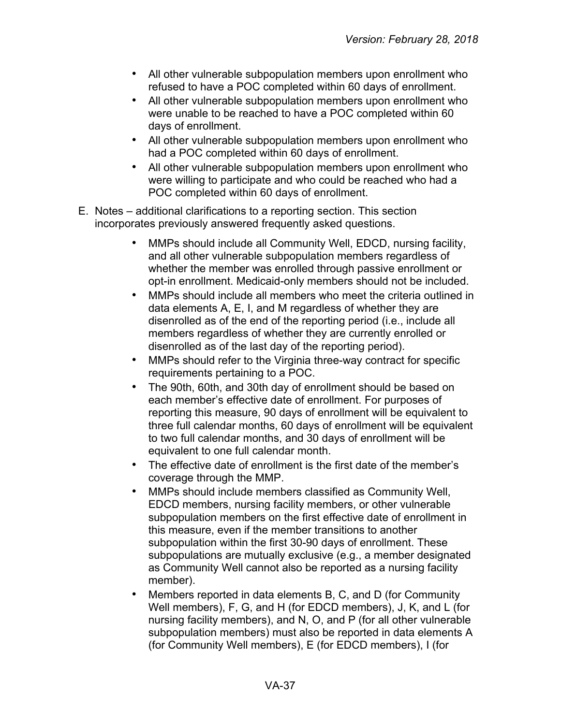- All other vulnerable subpopulation members upon enrollment who refused to have a POC completed within 60 days of enrollment.
- All other vulnerable subpopulation members upon enrollment who were unable to be reached to have a POC completed within 60 days of enrollment.
- All other vulnerable subpopulation members upon enrollment who had a POC completed within 60 days of enrollment.
- All other vulnerable subpopulation members upon enrollment who were willing to participate and who could be reached who had a POC completed within 60 days of enrollment.
- E. Notes additional clarifications to a reporting section. This section incorporates previously answered frequently asked questions.
	- MMPs should include all Community Well, EDCD, nursing facility, and all other vulnerable subpopulation members regardless of whether the member was enrolled through passive enrollment or opt-in enrollment. Medicaid-only members should not be included.
	- MMPs should include all members who meet the criteria outlined in data elements A, E, I, and M regardless of whether they are disenrolled as of the end of the reporting period (i.e., include all members regardless of whether they are currently enrolled or disenrolled as of the last day of the reporting period).
	- MMPs should refer to the Virginia three-way contract for specific requirements pertaining to a POC.
	- The 90th, 60th, and 30th day of enrollment should be based on each member's effective date of enrollment. For purposes of reporting this measure, 90 days of enrollment will be equivalent to three full calendar months, 60 days of enrollment will be equivalent to two full calendar months, and 30 days of enrollment will be equivalent to one full calendar month.
	- The effective date of enrollment is the first date of the member's coverage through the MMP.
	- MMPs should include members classified as Community Well, EDCD members, nursing facility members, or other vulnerable subpopulation members on the first effective date of enrollment in this measure, even if the member transitions to another subpopulation within the first 30-90 days of enrollment. These subpopulations are mutually exclusive (e.g., a member designated as Community Well cannot also be reported as a nursing facility member).
	- Members reported in data elements B, C, and D (for Community Well members), F, G, and H (for EDCD members), J, K, and L (for nursing facility members), and N, O, and P (for all other vulnerable subpopulation members) must also be reported in data elements A (for Community Well members), E (for EDCD members), I (for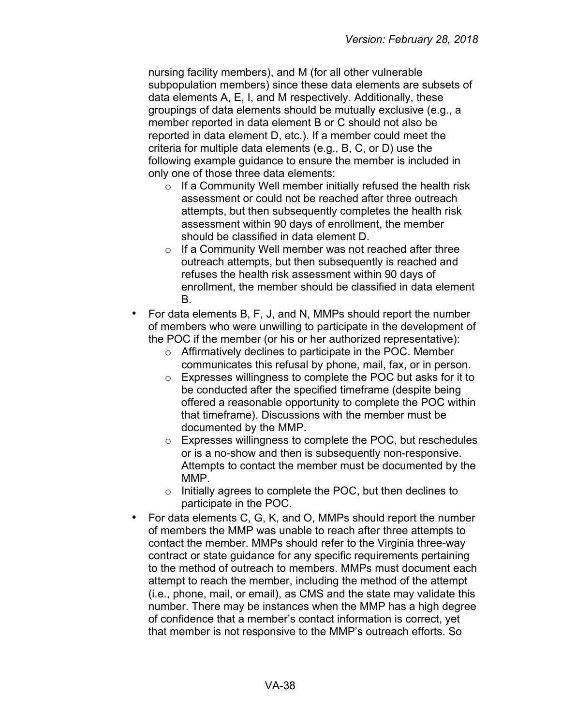nursing facility members), and M (for all other vulnerable subpopulation members) since these data elements are subsets of data elements A, E, I, and M respectively. Additionally, these groupings of data elements should be mutually exclusive (e.g., a member reported in data element B or C should not also be reported in data element D, etc.). If a member could meet the criteria for multiple data elements (e.g., B, C, or D) use the following example guidance to ensure the member is included in only one of those three data elements:

- o If a Community Well member initially refused the health risk assessment or could not be reached after three outreach attempts, but then subsequently completes the health risk assessment within 90 days of enrollment, the member should be classified in data element D.
- $\circ$  If a Community Well member was not reached after three outreach attempts, but then subsequently is reached and refuses the health risk assessment within 90 days of enrollment, the member should be classified in data element B.
- For data elements B, F, J, and N, MMPs should report the number of members who were unwilling to participate in the development of the POC if the member (or his or her authorized representative):
	- o Affirmatively declines to participate in the POC. Member communicates this refusal by phone, mail, fax, or in person.
	- o Expresses willingness to complete the POC but asks for it to be conducted after the specified timeframe (despite being offered a reasonable opportunity to complete the POC within that timeframe). Discussions with the member must be documented by the MMP.
	- o Expresses willingness to complete the POC, but reschedules or is a no-show and then is subsequently non-responsive. Attempts to contact the member must be documented by the MMP.
	- o Initially agrees to complete the POC, but then declines to participate in the POC.
- For data elements C, G, K, and O, MMPs should report the number of members the MMP was unable to reach after three attempts to contact the member. MMPs should refer to the Virginia three-way contract or state guidance for any specific requirements pertaining to the method of outreach to members. MMPs must document each attempt to reach the member, including the method of the attempt (i.e., phone, mail, or email), as CMS and the state may validate this number. There may be instances when the MMP has a high degree of confidence that a member's contact information is correct, yet that member is not responsive to the MMP's outreach efforts. So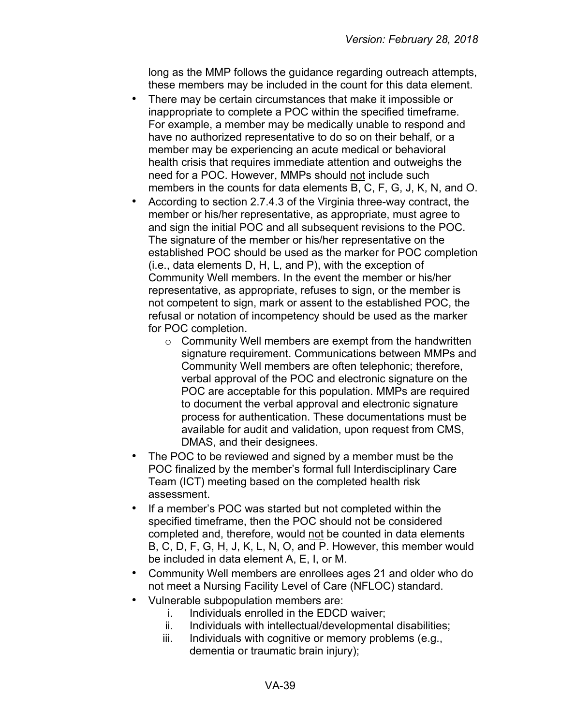long as the MMP follows the guidance regarding outreach attempts, these members may be included in the count for this data element.

- There may be certain circumstances that make it impossible or inappropriate to complete a POC within the specified timeframe. For example, a member may be medically unable to respond and have no authorized representative to do so on their behalf, or a member may be experiencing an acute medical or behavioral health crisis that requires immediate attention and outweighs the need for a POC. However, MMPs should not include such members in the counts for data elements B, C, F, G, J, K, N, and O.
- According to section 2.7.4.3 of the Virginia three-way contract, the member or his/her representative, as appropriate, must agree to and sign the initial POC and all subsequent revisions to the POC. The signature of the member or his/her representative on the established POC should be used as the marker for POC completion (i.e., data elements D, H, L, and P), with the exception of Community Well members. In the event the member or his/her representative, as appropriate, refuses to sign, or the member is not competent to sign, mark or assent to the established POC, the refusal or notation of incompetency should be used as the marker for POC completion.
	- o Community Well members are exempt from the handwritten signature requirement. Communications between MMPs and Community Well members are often telephonic; therefore, verbal approval of the POC and electronic signature on the POC are acceptable for this population. MMPs are required to document the verbal approval and electronic signature process for authentication. These documentations must be available for audit and validation, upon request from CMS, DMAS, and their designees.
- The POC to be reviewed and signed by a member must be the POC finalized by the member's formal full Interdisciplinary Care Team (ICT) meeting based on the completed health risk assessment.
- If a member's POC was started but not completed within the specified timeframe, then the POC should not be considered completed and, therefore, would not be counted in data elements B, C, D, F, G, H, J, K, L, N, O, and P. However, this member would be included in data element A, E, I, or M.
- Community Well members are enrollees ages 21 and older who do not meet a Nursing Facility Level of Care (NFLOC) standard.
- Vulnerable subpopulation members are:
	- i. Individuals enrolled in the EDCD waiver;
	- ii. Individuals with intellectual/developmental disabilities;
	- iii. Individuals with cognitive or memory problems (e.g., dementia or traumatic brain injury);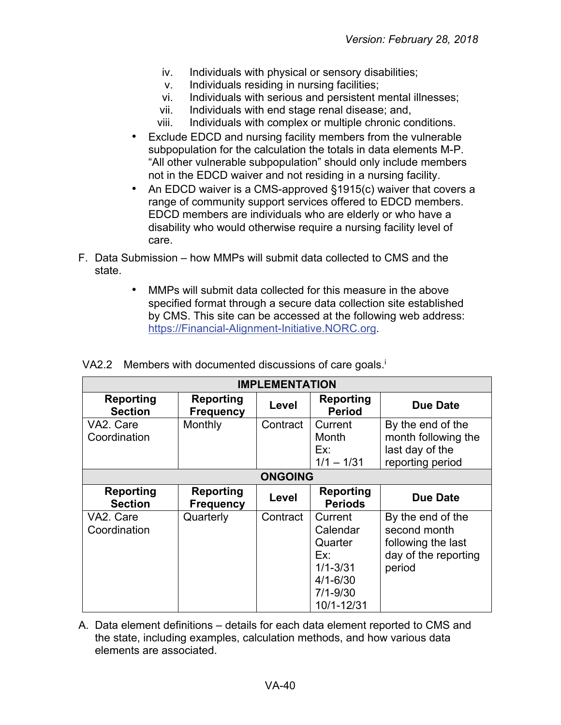- iv. Individuals with physical or sensory disabilities;
- v. Individuals residing in nursing facilities;
- vi. Individuals with serious and persistent mental illnesses;
- vii. Individuals with end stage renal disease; and,
- viii. Individuals with complex or multiple chronic conditions.
- Exclude EDCD and nursing facility members from the vulnerable subpopulation for the calculation the totals in data elements M-P. "All other vulnerable subpopulation" should only include members not in the EDCD waiver and not residing in a nursing facility.
- An EDCD waiver is a CMS-approved §1915(c) waiver that covers a range of community support services offered to EDCD members. EDCD members are individuals who are elderly or who have a disability who would otherwise require a nursing facility level of care.
- F. Data Submission how MMPs will submit data collected to CMS and the state.
	- MMPs will submit data collected for this measure in the above specified format through a secure data collection site established by CMS. This site can be accessed at the following web address: [https://Financial-Alignment-Initiative.NORC.org.](https://financial-alignment-initiative.norc.org/)

| <b>IMPLEMENTATION</b>              |                                      |          |                                                                                                     |                                                                                           |
|------------------------------------|--------------------------------------|----------|-----------------------------------------------------------------------------------------------------|-------------------------------------------------------------------------------------------|
| <b>Reporting</b><br><b>Section</b> | <b>Reporting</b><br><b>Frequency</b> | Level    | <b>Reporting</b><br><b>Period</b>                                                                   | <b>Due Date</b>                                                                           |
| VA2. Care<br>Coordination          | Monthly                              | Contract | Current<br>Month<br>Ex:<br>$1/1 - 1/31$                                                             | By the end of the<br>month following the<br>last day of the<br>reporting period           |
|                                    | <b>ONGOING</b>                       |          |                                                                                                     |                                                                                           |
| <b>Reporting</b><br><b>Section</b> | <b>Reporting</b><br><b>Frequency</b> | Level    | <b>Reporting</b><br><b>Periods</b>                                                                  | <b>Due Date</b>                                                                           |
| VA2. Care<br>Coordination          | Quarterly                            | Contract | Current<br>Calendar<br>Quarter<br>Ex:<br>$1/1 - 3/31$<br>$4/1 - 6/30$<br>$7/1 - 9/30$<br>10/1-12/31 | By the end of the<br>second month<br>following the last<br>day of the reporting<br>period |

VA2.2 Members with documented discussions of care goals.<sup>i</sup>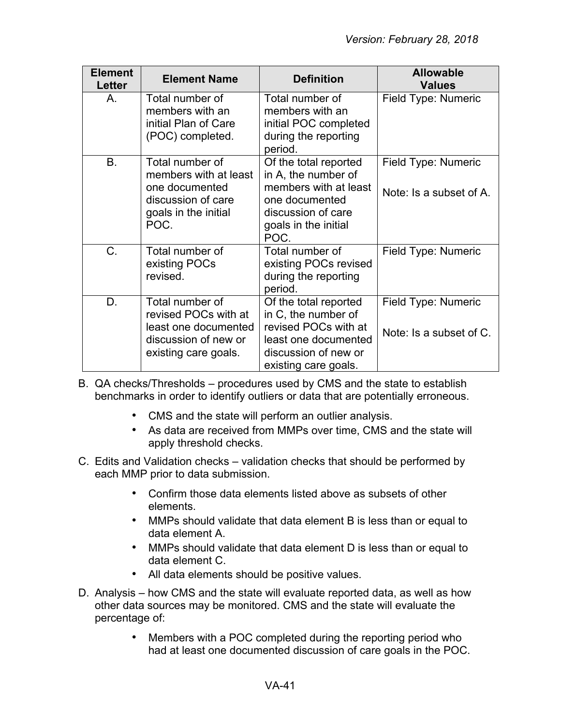| <b>Element</b><br><b>Letter</b> | <b>Element Name</b>                                                                                              | <b>Definition</b>                                                                                                                             | <b>Allowable</b><br><b>Values</b>              |
|---------------------------------|------------------------------------------------------------------------------------------------------------------|-----------------------------------------------------------------------------------------------------------------------------------------------|------------------------------------------------|
| Α.                              | Total number of<br>members with an<br>initial Plan of Care<br>(POC) completed.                                   | Total number of<br>members with an<br>initial POC completed<br>during the reporting<br>period.                                                | Field Type: Numeric                            |
| <b>B.</b>                       | Total number of<br>members with at least<br>one documented<br>discussion of care<br>goals in the initial<br>POC. | Of the total reported<br>in A, the number of<br>members with at least<br>one documented<br>discussion of care<br>goals in the initial<br>POC. | Field Type: Numeric<br>Note: Is a subset of A. |
| C.                              | Total number of<br>existing POCs<br>revised.                                                                     | Total number of<br>existing POCs revised<br>during the reporting<br>period.                                                                   | Field Type: Numeric                            |
| D.                              | Total number of<br>revised POCs with at<br>least one documented<br>discussion of new or<br>existing care goals.  | Of the total reported<br>in C, the number of<br>revised POCs with at<br>least one documented<br>discussion of new or<br>existing care goals.  | Field Type: Numeric<br>Note: Is a subset of C. |

- B. QA checks/Thresholds procedures used by CMS and the state to establish benchmarks in order to identify outliers or data that are potentially erroneous.
	- CMS and the state will perform an outlier analysis.
	- As data are received from MMPs over time, CMS and the state will apply threshold checks.
- C. Edits and Validation checks validation checks that should be performed by each MMP prior to data submission.
	- Confirm those data elements listed above as subsets of other elements.
	- MMPs should validate that data element B is less than or equal to data element A.
	- MMPs should validate that data element D is less than or equal to data element C.
	- All data elements should be positive values.
- D. Analysis how CMS and the state will evaluate reported data, as well as how other data sources may be monitored. CMS and the state will evaluate the percentage of:
	- Members with a POC completed during the reporting period who had at least one documented discussion of care goals in the POC.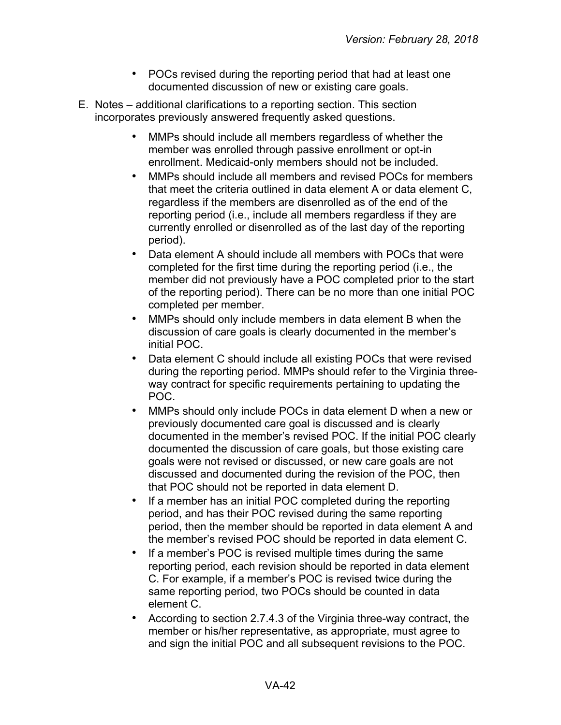- POCs revised during the reporting period that had at least one documented discussion of new or existing care goals.
- E. Notes additional clarifications to a reporting section. This section incorporates previously answered frequently asked questions.
	- MMPs should include all members regardless of whether the member was enrolled through passive enrollment or opt-in enrollment. Medicaid-only members should not be included.
	- MMPs should include all members and revised POCs for members that meet the criteria outlined in data element A or data element C, regardless if the members are disenrolled as of the end of the reporting period (i.e., include all members regardless if they are currently enrolled or disenrolled as of the last day of the reporting period).
	- Data element A should include all members with POCs that were completed for the first time during the reporting period (i.e., the member did not previously have a POC completed prior to the start of the reporting period). There can be no more than one initial POC completed per member.
	- MMPs should only include members in data element B when the discussion of care goals is clearly documented in the member's initial POC.
	- Data element C should include all existing POCs that were revised during the reporting period. MMPs should refer to the Virginia threeway contract for specific requirements pertaining to updating the POC.
	- MMPs should only include POCs in data element D when a new or previously documented care goal is discussed and is clearly documented in the member's revised POC. If the initial POC clearly documented the discussion of care goals, but those existing care goals were not revised or discussed, or new care goals are not discussed and documented during the revision of the POC, then that POC should not be reported in data element D.
	- If a member has an initial POC completed during the reporting period, and has their POC revised during the same reporting period, then the member should be reported in data element A and the member's revised POC should be reported in data element C.
	- If a member's POC is revised multiple times during the same reporting period, each revision should be reported in data element C. For example, if a member's POC is revised twice during the same reporting period, two POCs should be counted in data element C.
	- According to section 2.7.4.3 of the Virginia three-way contract, the member or his/her representative, as appropriate, must agree to and sign the initial POC and all subsequent revisions to the POC.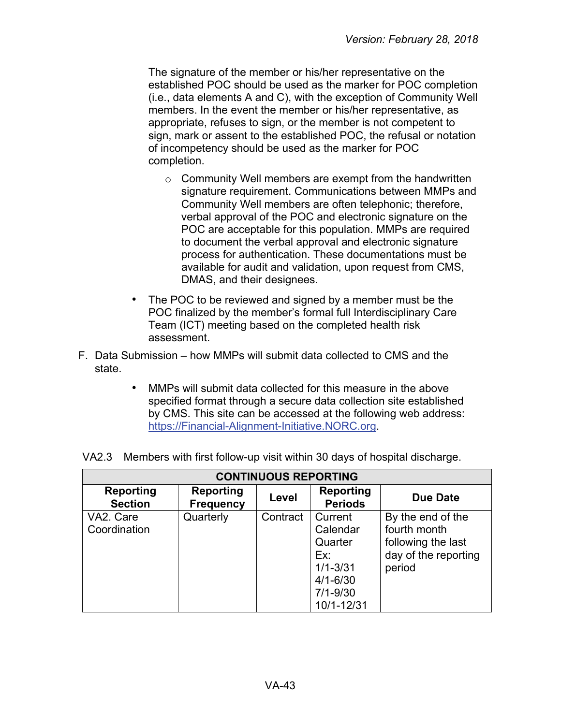The signature of the member or his/her representative on the established POC should be used as the marker for POC completion (i.e., data elements A and C), with the exception of Community Well members. In the event the member or his/her representative, as appropriate, refuses to sign, or the member is not competent to sign, mark or assent to the established POC, the refusal or notation of incompetency should be used as the marker for POC completion.

- $\circ$  Community Well members are exempt from the handwritten signature requirement. Communications between MMPs and Community Well members are often telephonic; therefore, verbal approval of the POC and electronic signature on the POC are acceptable for this population. MMPs are required to document the verbal approval and electronic signature process for authentication. These documentations must be available for audit and validation, upon request from CMS, DMAS, and their designees.
- The POC to be reviewed and signed by a member must be the POC finalized by the member's formal full Interdisciplinary Care Team (ICT) meeting based on the completed health risk assessment.
- F. Data Submission how MMPs will submit data collected to CMS and the state.
	- MMPs will submit data collected for this measure in the above specified format through a secure data collection site established by CMS. This site can be accessed at the following web address: [https://Financial-Alignment-Initiative.NORC.org.](https://financial-alignment-initiative.norc.org/)

| <b>CONTINUOUS REPORTING</b>        |                                      |          |                                    |                                   |  |
|------------------------------------|--------------------------------------|----------|------------------------------------|-----------------------------------|--|
| <b>Reporting</b><br><b>Section</b> | <b>Reporting</b><br><b>Frequency</b> | Level    | <b>Reporting</b><br><b>Periods</b> | Due Date                          |  |
| VA2. Care<br>Coordination          | Quarterly                            | Contract | Current<br>Calendar                | By the end of the<br>fourth month |  |
|                                    |                                      |          | Quarter                            | following the last                |  |
|                                    |                                      |          | Ex:<br>$1/1 - 3/31$                | day of the reporting<br>period    |  |
|                                    |                                      |          | $4/1 - 6/30$                       |                                   |  |
|                                    |                                      |          | $7/1 - 9/30$                       |                                   |  |
|                                    |                                      |          | 10/1-12/31                         |                                   |  |

VA2.3 Members with first follow-up visit within 30 days of hospital discharge.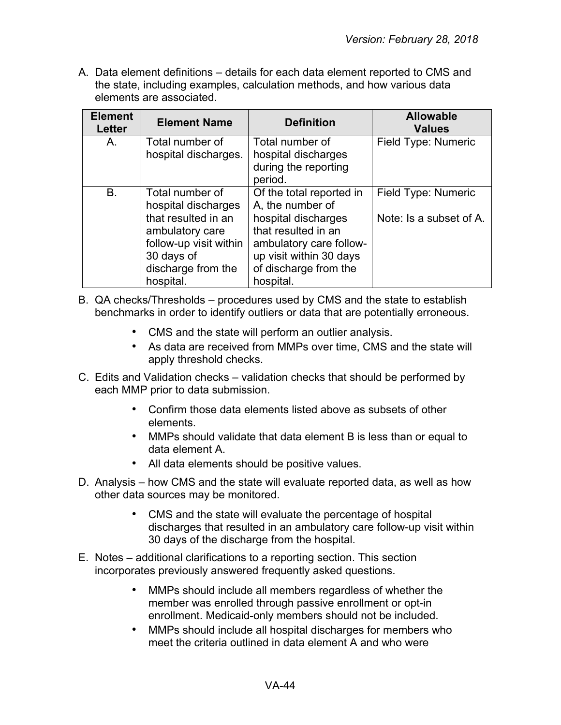| <b>Element</b><br><b>Letter</b> | <b>Element Name</b>                                                                                                                                         | <b>Definition</b>                                                                                                                                                                      | <b>Allowable</b><br><b>Values</b>              |
|---------------------------------|-------------------------------------------------------------------------------------------------------------------------------------------------------------|----------------------------------------------------------------------------------------------------------------------------------------------------------------------------------------|------------------------------------------------|
| A.                              | Total number of<br>hospital discharges.                                                                                                                     | Total number of<br>hospital discharges<br>during the reporting<br>period.                                                                                                              | Field Type: Numeric                            |
| B.                              | Total number of<br>hospital discharges<br>that resulted in an<br>ambulatory care<br>follow-up visit within<br>30 days of<br>discharge from the<br>hospital. | Of the total reported in<br>A, the number of<br>hospital discharges<br>that resulted in an<br>ambulatory care follow-<br>up visit within 30 days<br>of discharge from the<br>hospital. | Field Type: Numeric<br>Note: Is a subset of A. |

- B. QA checks/Thresholds procedures used by CMS and the state to establish benchmarks in order to identify outliers or data that are potentially erroneous.
	- CMS and the state will perform an outlier analysis.
	- As data are received from MMPs over time, CMS and the state will apply threshold checks.
- C. Edits and Validation checks validation checks that should be performed by each MMP prior to data submission.
	- Confirm those data elements listed above as subsets of other elements.
	- MMPs should validate that data element B is less than or equal to data element A.
	- All data elements should be positive values.
- D. Analysis how CMS and the state will evaluate reported data, as well as how other data sources may be monitored.
	- CMS and the state will evaluate the percentage of hospital discharges that resulted in an ambulatory care follow-up visit within 30 days of the discharge from the hospital.
- E. Notes additional clarifications to a reporting section. This section incorporates previously answered frequently asked questions.
	- MMPs should include all members regardless of whether the member was enrolled through passive enrollment or opt-in enrollment. Medicaid-only members should not be included.
	- MMPs should include all hospital discharges for members who meet the criteria outlined in data element A and who were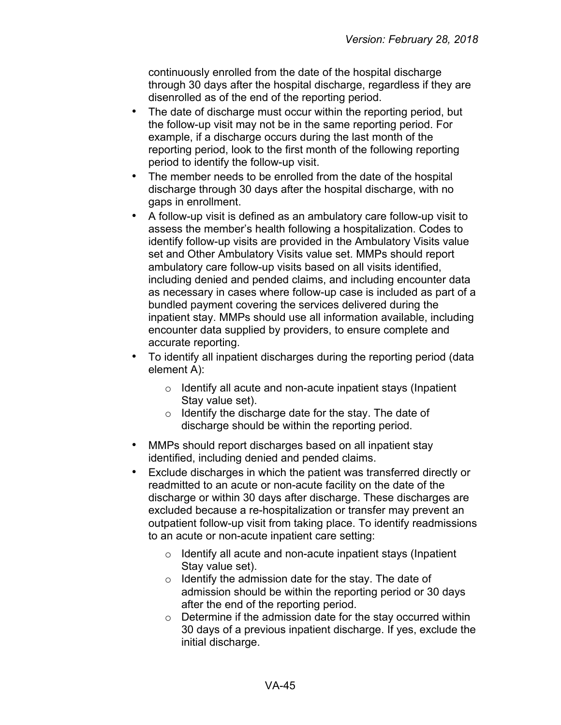continuously enrolled from the date of the hospital discharge through 30 days after the hospital discharge, regardless if they are disenrolled as of the end of the reporting period.

- The date of discharge must occur within the reporting period, but the follow-up visit may not be in the same reporting period. For example, if a discharge occurs during the last month of the reporting period, look to the first month of the following reporting period to identify the follow-up visit.
- The member needs to be enrolled from the date of the hospital discharge through 30 days after the hospital discharge, with no gaps in enrollment.
- A follow-up visit is defined as an ambulatory care follow-up visit to assess the member's health following a hospitalization. Codes to identify follow-up visits are provided in the Ambulatory Visits value set and Other Ambulatory Visits value set. MMPs should report ambulatory care follow-up visits based on all visits identified, including denied and pended claims, and including encounter data as necessary in cases where follow-up case is included as part of a bundled payment covering the services delivered during the inpatient stay. MMPs should use all information available, including encounter data supplied by providers, to ensure complete and accurate reporting.
- To identify all inpatient discharges during the reporting period (data element A):
	- o Identify all acute and non-acute inpatient stays (Inpatient Stay value set).
	- o Identify the discharge date for the stay. The date of discharge should be within the reporting period.
- MMPs should report discharges based on all inpatient stay identified, including denied and pended claims.
- Exclude discharges in which the patient was transferred directly or readmitted to an acute or non-acute facility on the date of the discharge or within 30 days after discharge. These discharges are excluded because a re-hospitalization or transfer may prevent an outpatient follow-up visit from taking place. To identify readmissions to an acute or non-acute inpatient care setting:
	- o Identify all acute and non-acute inpatient stays (Inpatient Stay value set).
	- $\circ$  Identify the admission date for the stay. The date of admission should be within the reporting period or 30 days after the end of the reporting period.
	- o Determine if the admission date for the stay occurred within 30 days of a previous inpatient discharge. If yes, exclude the initial discharge.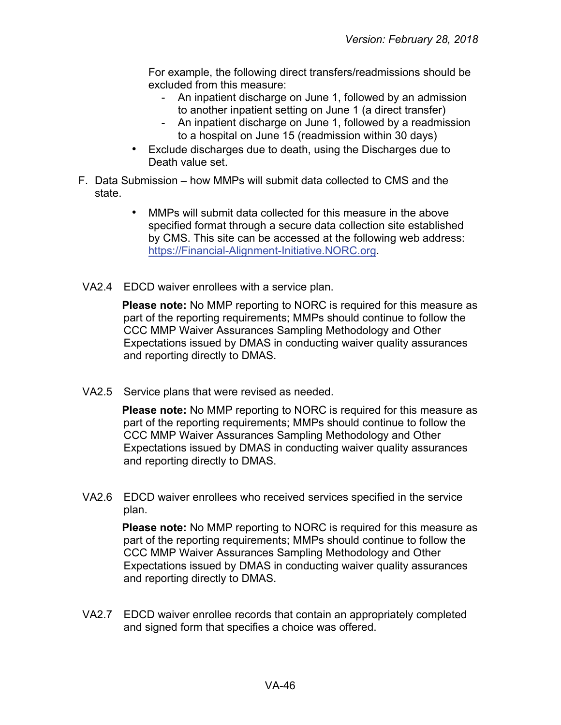For example, the following direct transfers/readmissions should be excluded from this measure:

- An inpatient discharge on June 1, followed by an admission to another inpatient setting on June 1 (a direct transfer)
- An inpatient discharge on June 1, followed by a readmission to a hospital on June 15 (readmission within 30 days)
- Exclude discharges due to death, using the Discharges due to Death value set.
- F. Data Submission how MMPs will submit data collected to CMS and the state.
	- MMPs will submit data collected for this measure in the above specified format through a secure data collection site established by CMS. This site can be accessed at the following web address: [https://Financial-Alignment-Initiative.NORC.org.](https://financial-alignment-initiative.norc.org/)
- VA2.4 EDCD waiver enrollees with a service plan.

**Please note:** No MMP reporting to NORC is required for this measure as part of the reporting requirements; MMPs should continue to follow the CCC MMP Waiver Assurances Sampling Methodology and Other Expectations issued by DMAS in conducting waiver quality assurances and reporting directly to DMAS.

VA2.5 Service plans that were revised as needed.

**Please note:** No MMP reporting to NORC is required for this measure as part of the reporting requirements; MMPs should continue to follow the CCC MMP Waiver Assurances Sampling Methodology and Other Expectations issued by DMAS in conducting waiver quality assurances and reporting directly to DMAS.

VA2.6 EDCD waiver enrollees who received services specified in the service plan.

> **Please note:** No MMP reporting to NORC is required for this measure as part of the reporting requirements; MMPs should continue to follow the CCC MMP Waiver Assurances Sampling Methodology and Other Expectations issued by DMAS in conducting waiver quality assurances and reporting directly to DMAS.

VA2.7 EDCD waiver enrollee records that contain an appropriately completed and signed form that specifies a choice was offered.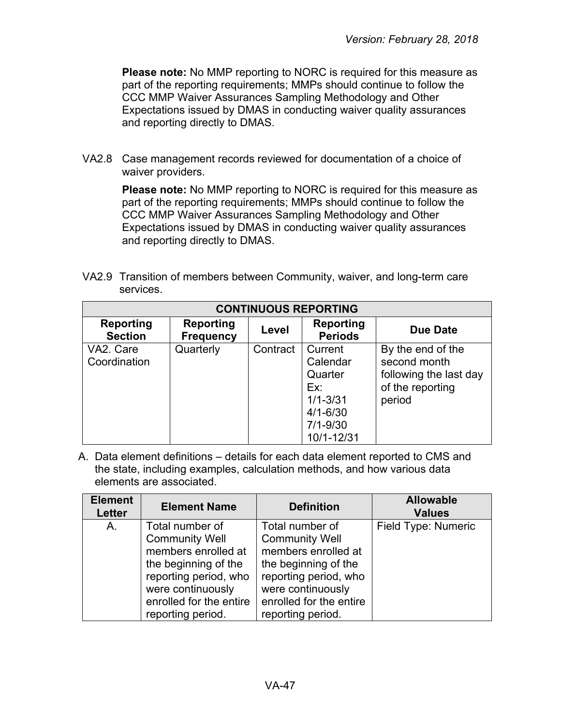**Please note:** No MMP reporting to NORC is required for this measure as part of the reporting requirements; MMPs should continue to follow the CCC MMP Waiver Assurances Sampling Methodology and Other Expectations issued by DMAS in conducting waiver quality assurances and reporting directly to DMAS.

VA2.8 Case management records reviewed for documentation of a choice of waiver providers.

> **Please note:** No MMP reporting to NORC is required for this measure as part of the reporting requirements; MMPs should continue to follow the CCC MMP Waiver Assurances Sampling Methodology and Other Expectations issued by DMAS in conducting waiver quality assurances and reporting directly to DMAS.

VA2.9 Transition of members between Community, waiver, and long-term care services.

| <b>CONTINUOUS REPORTING</b> |                               |          |                                                                                                     |                                                                                           |  |
|-----------------------------|-------------------------------|----------|-----------------------------------------------------------------------------------------------------|-------------------------------------------------------------------------------------------|--|
| Reporting<br><b>Section</b> | Reporting<br><b>Frequency</b> | Level    | Reporting<br><b>Periods</b>                                                                         | Due Date                                                                                  |  |
| VA2. Care<br>Coordination   | Quarterly                     | Contract | Current<br>Calendar<br>Quarter<br>Ex:<br>$1/1 - 3/31$<br>$4/1 - 6/30$<br>$7/1 - 9/30$<br>10/1-12/31 | By the end of the<br>second month<br>following the last day<br>of the reporting<br>period |  |

| <b>Element</b><br>Letter | <b>Element Name</b>     | <b>Definition</b>       | <b>Allowable</b><br><b>Values</b> |
|--------------------------|-------------------------|-------------------------|-----------------------------------|
| A.                       | Total number of         | Total number of         | Field Type: Numeric               |
|                          | <b>Community Well</b>   | <b>Community Well</b>   |                                   |
|                          | members enrolled at     | members enrolled at     |                                   |
|                          | the beginning of the    | the beginning of the    |                                   |
|                          | reporting period, who   | reporting period, who   |                                   |
|                          | were continuously       | were continuously       |                                   |
|                          | enrolled for the entire | enrolled for the entire |                                   |
|                          | reporting period.       | reporting period.       |                                   |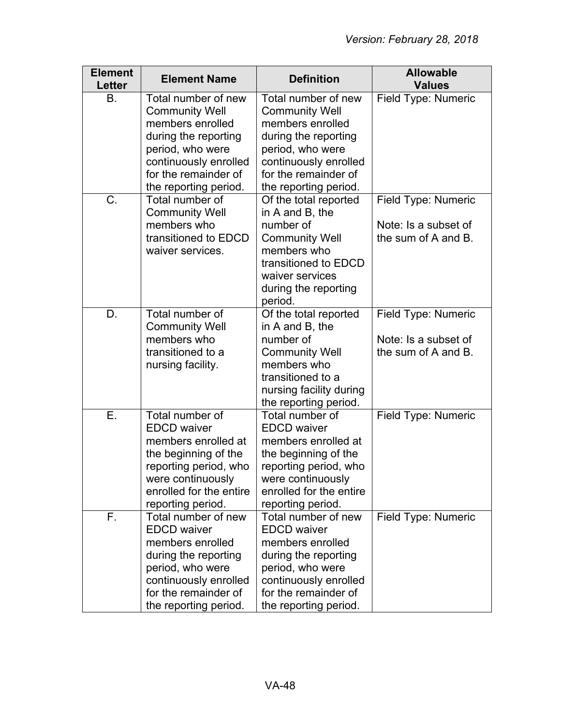| <b>Element</b><br>Letter | <b>Element Name</b>                                                                                                                                                                    | <b>Definition</b>                                                                                                                                                                      | <b>Allowable</b><br><b>Values</b>                                  |
|--------------------------|----------------------------------------------------------------------------------------------------------------------------------------------------------------------------------------|----------------------------------------------------------------------------------------------------------------------------------------------------------------------------------------|--------------------------------------------------------------------|
| В.                       | Total number of new<br><b>Community Well</b><br>members enrolled<br>during the reporting<br>period, who were<br>continuously enrolled<br>for the remainder of<br>the reporting period. | Total number of new<br><b>Community Well</b><br>members enrolled<br>during the reporting<br>period, who were<br>continuously enrolled<br>for the remainder of<br>the reporting period. | Field Type: Numeric                                                |
| C.                       | Total number of<br><b>Community Well</b><br>members who<br>transitioned to EDCD<br>waiver services.                                                                                    | Of the total reported<br>in A and B, the<br>number of<br><b>Community Well</b><br>members who<br>transitioned to EDCD<br>waiver services<br>during the reporting<br>period.            | Field Type: Numeric<br>Note: Is a subset of<br>the sum of A and B. |
| D.                       | Total number of<br><b>Community Well</b><br>members who<br>transitioned to a<br>nursing facility.                                                                                      | Of the total reported<br>in A and B, the<br>number of<br><b>Community Well</b><br>members who<br>transitioned to a<br>nursing facility during<br>the reporting period.                 | Field Type: Numeric<br>Note: Is a subset of<br>the sum of A and B. |
| E.                       | Total number of<br><b>EDCD</b> waiver<br>members enrolled at<br>the beginning of the<br>reporting period, who<br>were continuously<br>enrolled for the entire<br>reporting period.     | Total number of<br><b>EDCD</b> waiver<br>members enrolled at<br>the beginning of the<br>reporting period, who<br>were continuously<br>enrolled for the entire<br>reporting period.     | Field Type: Numeric                                                |
| F.                       | Total number of new<br><b>EDCD</b> waiver<br>members enrolled<br>during the reporting<br>period, who were<br>continuously enrolled<br>for the remainder of<br>the reporting period.    | Total number of new<br><b>EDCD</b> waiver<br>members enrolled<br>during the reporting<br>period, who were<br>continuously enrolled<br>for the remainder of<br>the reporting period.    | Field Type: Numeric                                                |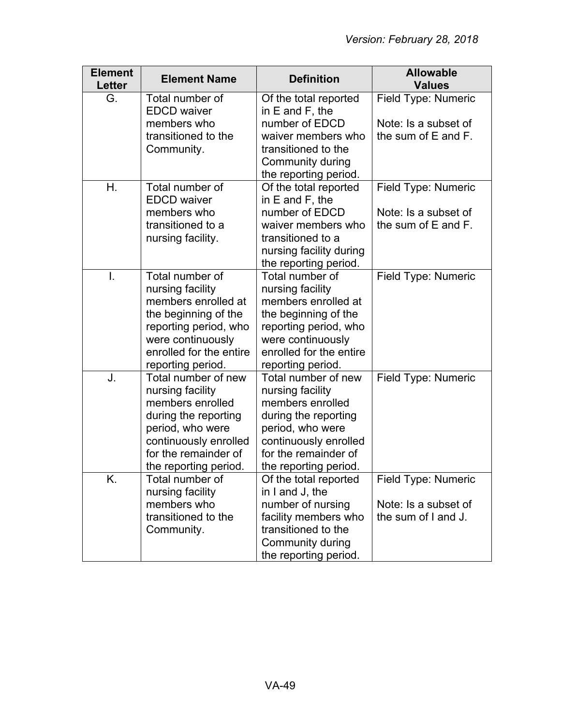| <b>Element</b><br><b>Letter</b> | <b>Element Name</b>                                                                                                                                                               | <b>Definition</b>                                                                                                                                                                 | <b>Allowable</b><br><b>Values</b>                                  |
|---------------------------------|-----------------------------------------------------------------------------------------------------------------------------------------------------------------------------------|-----------------------------------------------------------------------------------------------------------------------------------------------------------------------------------|--------------------------------------------------------------------|
| G.                              | Total number of<br><b>EDCD</b> waiver                                                                                                                                             | Of the total reported<br>in $E$ and $F$ , the                                                                                                                                     | Field Type: Numeric                                                |
|                                 | members who<br>transitioned to the<br>Community.                                                                                                                                  | number of EDCD<br>waiver members who<br>transitioned to the<br>Community during<br>the reporting period.                                                                          | Note: Is a subset of<br>the sum of E and F.                        |
| Η.                              | Total number of<br><b>EDCD</b> waiver<br>members who                                                                                                                              | Of the total reported<br>in $E$ and $F$ , the<br>number of EDCD                                                                                                                   | Field Type: Numeric<br>Note: Is a subset of                        |
|                                 | transitioned to a<br>nursing facility.                                                                                                                                            | waiver members who<br>transitioned to a<br>nursing facility during<br>the reporting period.                                                                                       | the sum of E and F.                                                |
| $\mathsf{L}$                    | Total number of<br>nursing facility<br>members enrolled at<br>the beginning of the<br>reporting period, who<br>were continuously<br>enrolled for the entire<br>reporting period.  | Total number of<br>nursing facility<br>members enrolled at<br>the beginning of the<br>reporting period, who<br>were continuously<br>enrolled for the entire<br>reporting period.  | Field Type: Numeric                                                |
| J.                              | Total number of new<br>nursing facility<br>members enrolled<br>during the reporting<br>period, who were<br>continuously enrolled<br>for the remainder of<br>the reporting period. | Total number of new<br>nursing facility<br>members enrolled<br>during the reporting<br>period, who were<br>continuously enrolled<br>for the remainder of<br>the reporting period. | Field Type: Numeric                                                |
| Κ.                              | Total number of<br>nursing facility<br>members who<br>transitioned to the<br>Community.                                                                                           | Of the total reported<br>in I and J, the<br>number of nursing<br>facility members who<br>transitioned to the<br>Community during<br>the reporting period.                         | Field Type: Numeric<br>Note: Is a subset of<br>the sum of I and J. |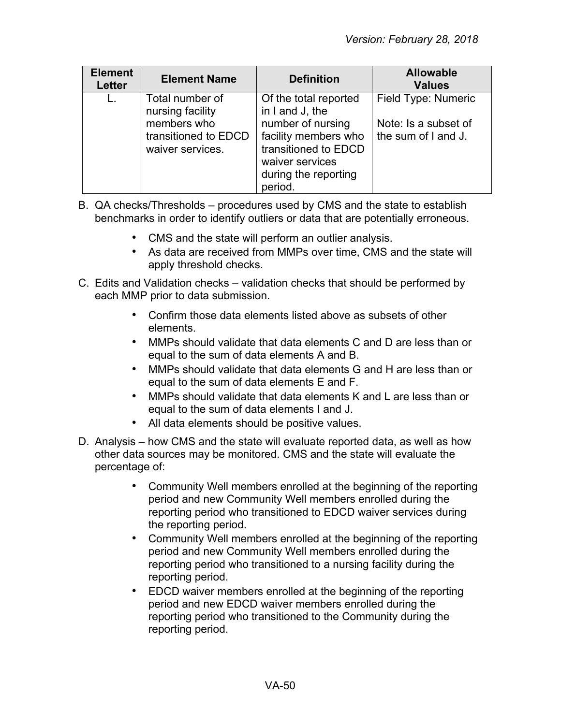| <b>Element</b><br><b>Letter</b> | <b>Element Name</b>                                                                            | <b>Definition</b>                                                                                                                                                   | <b>Allowable</b><br><b>Values</b>                                  |
|---------------------------------|------------------------------------------------------------------------------------------------|---------------------------------------------------------------------------------------------------------------------------------------------------------------------|--------------------------------------------------------------------|
|                                 | Total number of<br>nursing facility<br>members who<br>transitioned to EDCD<br>waiver services. | Of the total reported<br>in I and J, the<br>number of nursing<br>facility members who<br>transitioned to EDCD<br>waiver services<br>during the reporting<br>period. | Field Type: Numeric<br>Note: Is a subset of<br>the sum of I and J. |

- B. QA checks/Thresholds procedures used by CMS and the state to establish benchmarks in order to identify outliers or data that are potentially erroneous.
	- CMS and the state will perform an outlier analysis.
	- As data are received from MMPs over time, CMS and the state will apply threshold checks.
- C. Edits and Validation checks validation checks that should be performed by each MMP prior to data submission.
	- Confirm those data elements listed above as subsets of other elements.
	- MMPs should validate that data elements C and D are less than or equal to the sum of data elements A and B.
	- MMPs should validate that data elements G and H are less than or equal to the sum of data elements E and F.
	- MMPs should validate that data elements K and L are less than or equal to the sum of data elements I and J.
	- All data elements should be positive values.
- D. Analysis how CMS and the state will evaluate reported data, as well as how other data sources may be monitored. CMS and the state will evaluate the percentage of:
	- Community Well members enrolled at the beginning of the reporting period and new Community Well members enrolled during the reporting period who transitioned to EDCD waiver services during the reporting period.
	- Community Well members enrolled at the beginning of the reporting period and new Community Well members enrolled during the reporting period who transitioned to a nursing facility during the reporting period.
	- EDCD waiver members enrolled at the beginning of the reporting period and new EDCD waiver members enrolled during the reporting period who transitioned to the Community during the reporting period.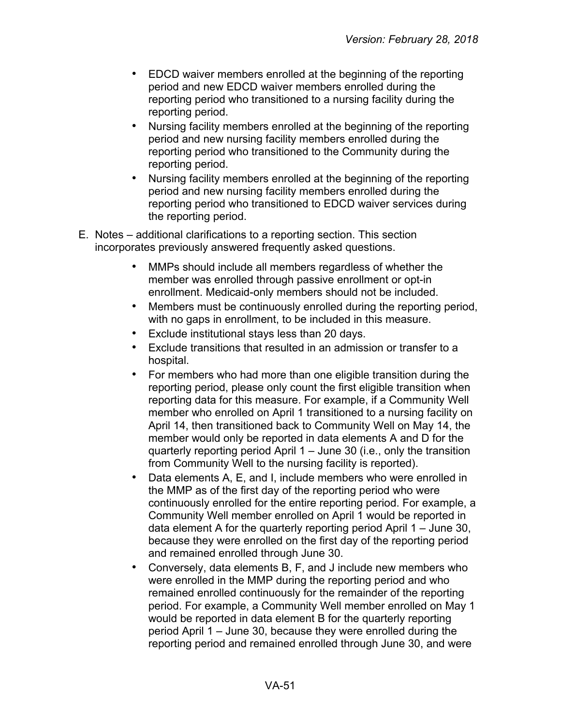- EDCD waiver members enrolled at the beginning of the reporting period and new EDCD waiver members enrolled during the reporting period who transitioned to a nursing facility during the reporting period.
- Nursing facility members enrolled at the beginning of the reporting period and new nursing facility members enrolled during the reporting period who transitioned to the Community during the reporting period.
- Nursing facility members enrolled at the beginning of the reporting period and new nursing facility members enrolled during the reporting period who transitioned to EDCD waiver services during the reporting period.
- E. Notes additional clarifications to a reporting section. This section incorporates previously answered frequently asked questions.
	- MMPs should include all members regardless of whether the member was enrolled through passive enrollment or opt-in enrollment. Medicaid-only members should not be included.
	- Members must be continuously enrolled during the reporting period, with no gaps in enrollment, to be included in this measure.
	- Exclude institutional stays less than 20 days.
	- Exclude transitions that resulted in an admission or transfer to a hospital.
	- For members who had more than one eligible transition during the reporting period, please only count the first eligible transition when reporting data for this measure. For example, if a Community Well member who enrolled on April 1 transitioned to a nursing facility on April 14, then transitioned back to Community Well on May 14, the member would only be reported in data elements A and D for the quarterly reporting period April 1 – June 30 (i.e., only the transition from Community Well to the nursing facility is reported).
	- Data elements A, E, and I, include members who were enrolled in the MMP as of the first day of the reporting period who were continuously enrolled for the entire reporting period. For example, a Community Well member enrolled on April 1 would be reported in data element A for the quarterly reporting period April 1 – June 30, because they were enrolled on the first day of the reporting period and remained enrolled through June 30.
	- Conversely, data elements B, F, and J include new members who were enrolled in the MMP during the reporting period and who remained enrolled continuously for the remainder of the reporting period. For example, a Community Well member enrolled on May 1 would be reported in data element B for the quarterly reporting period April 1 – June 30, because they were enrolled during the reporting period and remained enrolled through June 30, and were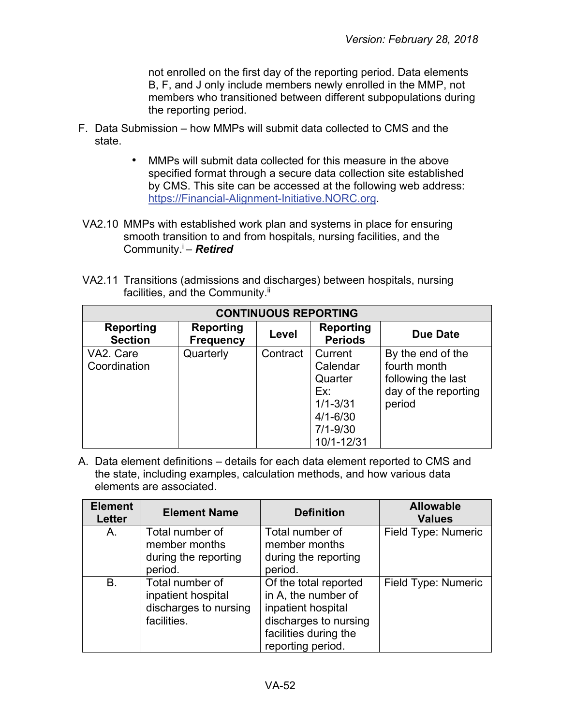not enrolled on the first day of the reporting period. Data elements B, F, and J only include members newly enrolled in the MMP, not members who transitioned between different subpopulations during the reporting period.

- F. Data Submission how MMPs will submit data collected to CMS and the state.
	- MMPs will submit data collected for this measure in the above specified format through a secure data collection site established by CMS. This site can be accessed at the following web address: [https://Financial-Alignment-Initiative.NORC.org.](https://financial-alignment-initiative.norc.org/)
- VA2.10 MMPs with established work plan and systems in place for ensuring smooth transition to and from hospitals, nursing facilities, and the Community.i – *Retired*
- VA2.11 Transitions (admissions and discharges) between hospitals, nursing facilities, and the Community.<sup>ii</sup>

| <b>CONTINUOUS REPORTING</b> |                               |          |                             |                      |  |
|-----------------------------|-------------------------------|----------|-----------------------------|----------------------|--|
| Reporting<br><b>Section</b> | Reporting<br><b>Frequency</b> | Level    | Reporting<br><b>Periods</b> | Due Date             |  |
| VA2. Care                   | Quarterly                     | Contract | Current                     | By the end of the    |  |
| Coordination                |                               |          | Calendar                    | fourth month         |  |
|                             |                               |          | Quarter                     | following the last   |  |
|                             |                               |          | Ex:                         | day of the reporting |  |
|                             |                               |          | $1/1 - 3/31$                | period               |  |
|                             |                               |          | $4/1 - 6/30$                |                      |  |
|                             |                               |          | $7/1 - 9/30$                |                      |  |
|                             |                               |          | 10/1-12/31                  |                      |  |

| <b>Element</b><br><b>Letter</b> | <b>Element Name</b>                                                           | <b>Definition</b>                                                                                                                         | <b>Allowable</b><br><b>Values</b> |
|---------------------------------|-------------------------------------------------------------------------------|-------------------------------------------------------------------------------------------------------------------------------------------|-----------------------------------|
| A.                              | Total number of<br>member months<br>during the reporting<br>period.           | Total number of<br>member months<br>during the reporting<br>period.                                                                       | Field Type: Numeric               |
| B.                              | Total number of<br>inpatient hospital<br>discharges to nursing<br>facilities. | Of the total reported<br>in A, the number of<br>inpatient hospital<br>discharges to nursing<br>facilities during the<br>reporting period. | Field Type: Numeric               |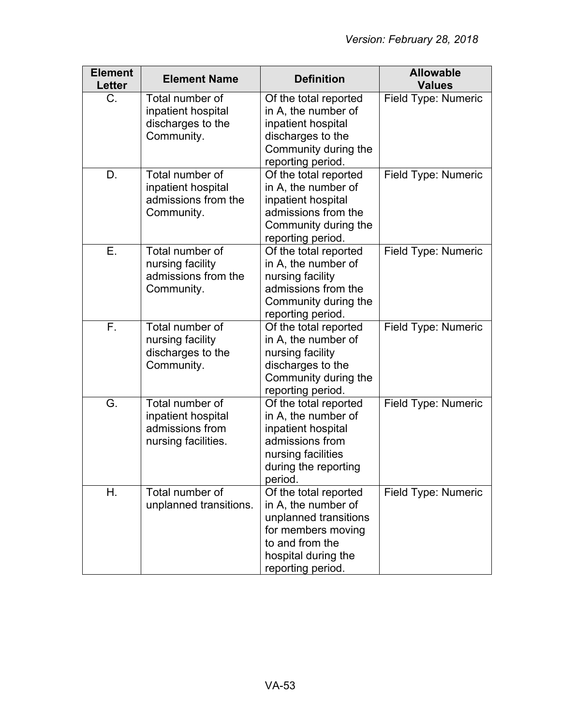| <b>Element</b><br><b>Letter</b> | <b>Element Name</b>                                                             | <b>Definition</b>                                                                                                                                          | <b>Allowable</b><br><b>Values</b> |
|---------------------------------|---------------------------------------------------------------------------------|------------------------------------------------------------------------------------------------------------------------------------------------------------|-----------------------------------|
| $C_{\cdot}$                     | Total number of<br>inpatient hospital<br>discharges to the<br>Community.        | Of the total reported<br>in A, the number of<br>inpatient hospital<br>discharges to the<br>Community during the<br>reporting period.                       | Field Type: Numeric               |
| D.                              | Total number of<br>inpatient hospital<br>admissions from the<br>Community.      | Of the total reported<br>in A, the number of<br>inpatient hospital<br>admissions from the<br>Community during the<br>reporting period.                     | <b>Field Type: Numeric</b>        |
| Ε.                              | Total number of<br>nursing facility<br>admissions from the<br>Community.        | Of the total reported<br>in A, the number of<br>nursing facility<br>admissions from the<br>Community during the<br>reporting period.                       | Field Type: Numeric               |
| F.                              | Total number of<br>nursing facility<br>discharges to the<br>Community.          | Of the total reported<br>in A, the number of<br>nursing facility<br>discharges to the<br>Community during the<br>reporting period.                         | Field Type: Numeric               |
| G.                              | Total number of<br>inpatient hospital<br>admissions from<br>nursing facilities. | Of the total reported<br>in A, the number of<br>inpatient hospital<br>admissions from<br>nursing facilities<br>during the reporting<br>period.             | Field Type: Numeric               |
| Η.                              | Total number of<br>unplanned transitions.                                       | Of the total reported<br>in A, the number of<br>unplanned transitions<br>for members moving<br>to and from the<br>hospital during the<br>reporting period. | Field Type: Numeric               |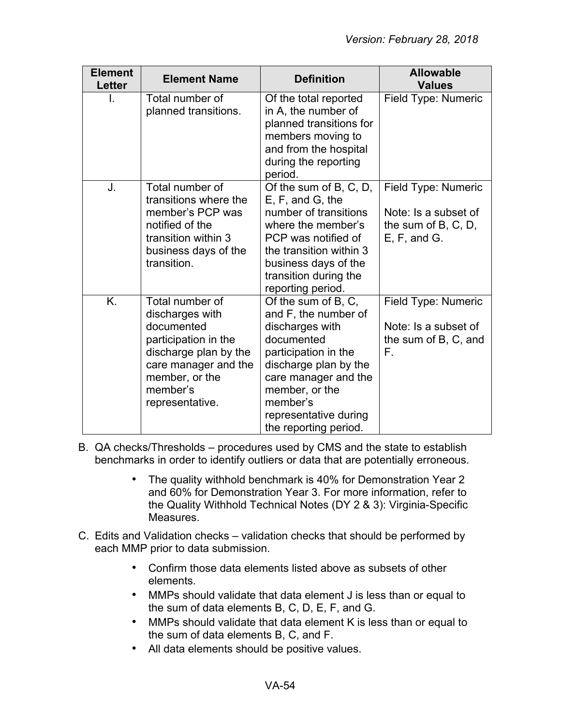| <b>Element</b><br><b>Letter</b> | <b>Element Name</b>                                                                                                                                                        | <b>Definition</b>                                                                                                                                                                                                                     | <b>Allowable</b><br><b>Values</b>                                                     |
|---------------------------------|----------------------------------------------------------------------------------------------------------------------------------------------------------------------------|---------------------------------------------------------------------------------------------------------------------------------------------------------------------------------------------------------------------------------------|---------------------------------------------------------------------------------------|
|                                 | Total number of<br>planned transitions.                                                                                                                                    | Of the total reported<br>in A, the number of<br>planned transitions for<br>members moving to<br>and from the hospital<br>during the reporting<br>period.                                                                              | Field Type: Numeric                                                                   |
| J.                              | Total number of<br>transitions where the<br>member's PCP was<br>notified of the<br>transition within 3<br>business days of the<br>transition.                              | Of the sum of B, C, D,<br>E, F, and G, the<br>number of transitions<br>where the member's<br>PCP was notified of<br>the transition within 3<br>business days of the<br>transition during the<br>reporting period.                     | Field Type: Numeric<br>Note: Is a subset of<br>the sum of $B, C, D$ ,<br>E, F, and G. |
| K.                              | Total number of<br>discharges with<br>documented<br>participation in the<br>discharge plan by the<br>care manager and the<br>member, or the<br>member's<br>representative. | Of the sum of B, C,<br>and F, the number of<br>discharges with<br>documented<br>participation in the<br>discharge plan by the<br>care manager and the<br>member, or the<br>member's<br>representative during<br>the reporting period. | Field Type: Numeric<br>Note: Is a subset of<br>the sum of B, C, and<br>F.             |

- B. QA checks/Thresholds procedures used by CMS and the state to establish benchmarks in order to identify outliers or data that are potentially erroneous.
	- The quality withhold benchmark is 40% for Demonstration Year 2 and 60% for Demonstration Year 3. For more information, refer to the Quality Withhold Technical Notes (DY 2 & 3): Virginia-Specific Measures.
- C. Edits and Validation checks validation checks that should be performed by each MMP prior to data submission.
	- Confirm those data elements listed above as subsets of other elements.
	- MMPs should validate that data element J is less than or equal to the sum of data elements B, C, D, E, F, and G.
	- MMPs should validate that data element K is less than or equal to the sum of data elements B, C, and F.
	- All data elements should be positive values.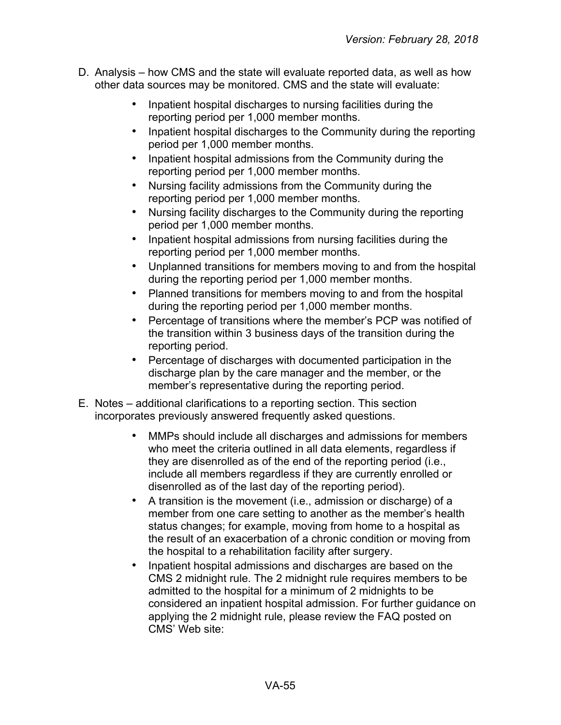- D. Analysis how CMS and the state will evaluate reported data, as well as how other data sources may be monitored. CMS and the state will evaluate:
	- Inpatient hospital discharges to nursing facilities during the reporting period per 1,000 member months.
	- Inpatient hospital discharges to the Community during the reporting period per 1,000 member months.
	- Inpatient hospital admissions from the Community during the reporting period per 1,000 member months.
	- Nursing facility admissions from the Community during the reporting period per 1,000 member months.
	- Nursing facility discharges to the Community during the reporting period per 1,000 member months.
	- Inpatient hospital admissions from nursing facilities during the reporting period per 1,000 member months.
	- Unplanned transitions for members moving to and from the hospital during the reporting period per 1,000 member months.
	- Planned transitions for members moving to and from the hospital during the reporting period per 1,000 member months.
	- Percentage of transitions where the member's PCP was notified of the transition within 3 business days of the transition during the reporting period.
	- Percentage of discharges with documented participation in the discharge plan by the care manager and the member, or the member's representative during the reporting period.
- E. Notes additional clarifications to a reporting section. This section incorporates previously answered frequently asked questions.
	- MMPs should include all discharges and admissions for members who meet the criteria outlined in all data elements, regardless if they are disenrolled as of the end of the reporting period (i.e., include all members regardless if they are currently enrolled or disenrolled as of the last day of the reporting period).
	- A transition is the movement (i.e., admission or discharge) of a member from one care setting to another as the member's health status changes; for example, moving from home to a hospital as the result of an exacerbation of a chronic condition or moving from the hospital to a rehabilitation facility after surgery.
	- Inpatient hospital admissions and discharges are based on the CMS 2 midnight rule. The 2 midnight rule requires members to be admitted to the hospital for a minimum of 2 midnights to be considered an inpatient hospital admission. For further guidance on applying the 2 midnight rule, please review the FAQ posted on CMS' Web site: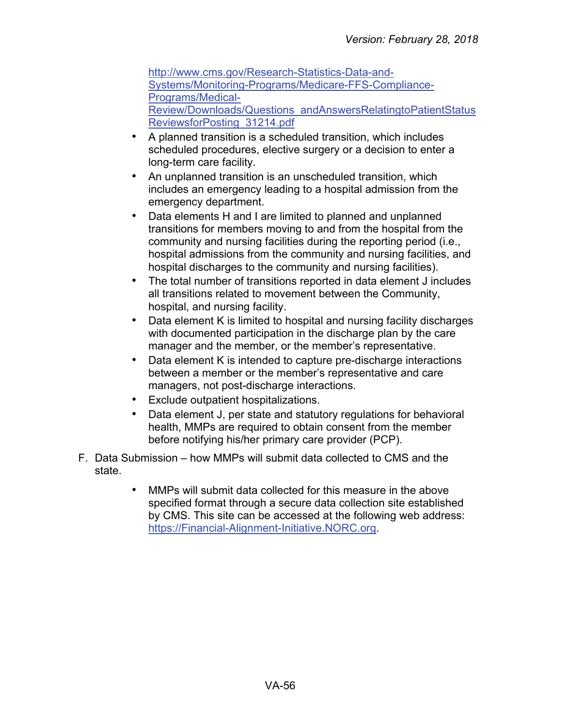[http://www.cms.gov/Research-Statistics-Data-and-](http://www.cms.gov/Research-Statistics-Data-and-Systems/Monitoring-Programs/Medicare-FFS-Compliance-Programs/Medical-Review/Downloads/Questions_andAnswersRelatingtoPatientStatusReviewsforPosting_31214.pdf)[Systems/Monitoring-Programs/Medicare-FFS-Compliance-](http://www.cms.gov/Research-Statistics-Data-and-Systems/Monitoring-Programs/Medicare-FFS-Compliance-Programs/Medical-Review/Downloads/Questions_andAnswersRelatingtoPatientStatusReviewsforPosting_31214.pdf)[Programs/Medical-](http://www.cms.gov/Research-Statistics-Data-and-Systems/Monitoring-Programs/Medicare-FFS-Compliance-Programs/Medical-Review/Downloads/Questions_andAnswersRelatingtoPatientStatusReviewsforPosting_31214.pdf)[Review/Downloads/Questions\\_andAnswersRelatingtoPatientStatus](http://www.cms.gov/Research-Statistics-Data-and-Systems/Monitoring-Programs/Medicare-FFS-Compliance-Programs/Medical-Review/Downloads/Questions_andAnswersRelatingtoPatientStatusReviewsforPosting_31214.pdf) [ReviewsforPosting\\_31214.pdf](http://www.cms.gov/Research-Statistics-Data-and-Systems/Monitoring-Programs/Medicare-FFS-Compliance-Programs/Medical-Review/Downloads/Questions_andAnswersRelatingtoPatientStatusReviewsforPosting_31214.pdf)

- A planned transition is a scheduled transition, which includes scheduled procedures, elective surgery or a decision to enter a long-term care facility.
- An unplanned transition is an unscheduled transition, which includes an emergency leading to a hospital admission from the emergency department.
- Data elements H and I are limited to planned and unplanned transitions for members moving to and from the hospital from the community and nursing facilities during the reporting period (i.e., hospital admissions from the community and nursing facilities, and hospital discharges to the community and nursing facilities).
- The total number of transitions reported in data element J includes all transitions related to movement between the Community, hospital, and nursing facility.
- Data element K is limited to hospital and nursing facility discharges with documented participation in the discharge plan by the care manager and the member, or the member's representative.
- Data element K is intended to capture pre-discharge interactions between a member or the member's representative and care managers, not post-discharge interactions.
- Exclude outpatient hospitalizations.
- Data element J, per state and statutory regulations for behavioral health, MMPs are required to obtain consent from the member before notifying his/her primary care provider (PCP).
- F. Data Submission how MMPs will submit data collected to CMS and the state.
	- MMPs will submit data collected for this measure in the above specified format through a secure data collection site established by CMS. This site can be accessed at the following web address: [https://Financial-Alignment-Initiative.NORC.org.](https://financial-alignment-initiative.norc.org/)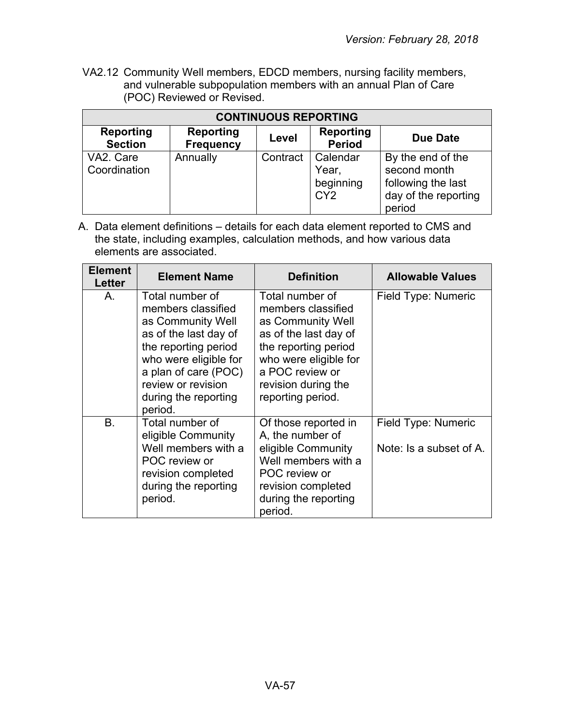VA2.12 Community Well members, EDCD members, nursing facility members, and vulnerable subpopulation members with an annual Plan of Care (POC) Reviewed or Revised.

| <b>CONTINUOUS REPORTING</b>        |                                      |          |                                                   |                                                                                           |
|------------------------------------|--------------------------------------|----------|---------------------------------------------------|-------------------------------------------------------------------------------------------|
| <b>Reporting</b><br><b>Section</b> | <b>Reporting</b><br><b>Frequency</b> | Level    | <b>Reporting</b><br><b>Period</b>                 | <b>Due Date</b>                                                                           |
| VA2. Care<br>Coordination          | Annually                             | Contract | Calendar<br>Year,<br>beginning<br>CY <sub>2</sub> | By the end of the<br>second month<br>following the last<br>day of the reporting<br>period |

| <b>Element</b><br>Letter | <b>Element Name</b>                                                                                                                                                                                                   | <b>Definition</b>                                                                                                                                                                                   | <b>Allowable Values</b>                        |
|--------------------------|-----------------------------------------------------------------------------------------------------------------------------------------------------------------------------------------------------------------------|-----------------------------------------------------------------------------------------------------------------------------------------------------------------------------------------------------|------------------------------------------------|
| Α.                       | Total number of<br>members classified<br>as Community Well<br>as of the last day of<br>the reporting period<br>who were eligible for<br>a plan of care (POC)<br>review or revision<br>during the reporting<br>period. | Total number of<br>members classified<br>as Community Well<br>as of the last day of<br>the reporting period<br>who were eligible for<br>a POC review or<br>revision during the<br>reporting period. | Field Type: Numeric                            |
| B.                       | Total number of<br>eligible Community<br>Well members with a<br>POC review or<br>revision completed<br>during the reporting<br>period.                                                                                | Of those reported in<br>A, the number of<br>eligible Community<br>Well members with a<br>POC review or<br>revision completed<br>during the reporting<br>period.                                     | Field Type: Numeric<br>Note: Is a subset of A. |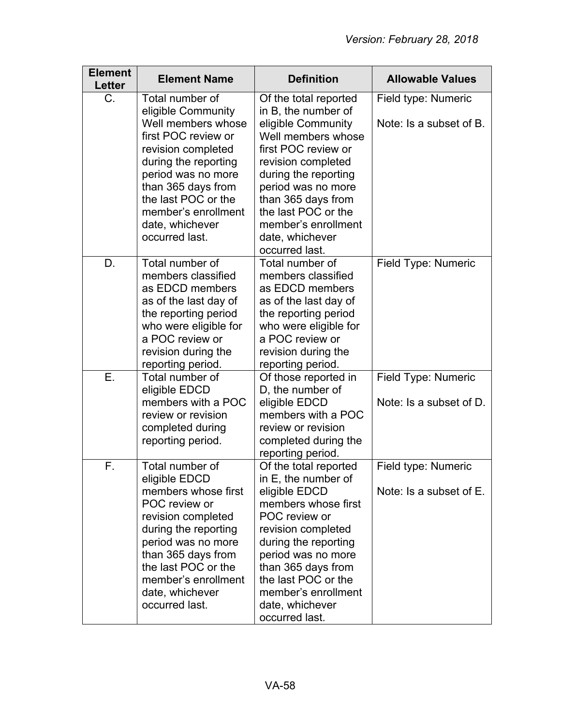| <b>Element</b><br><b>Letter</b> | <b>Element Name</b>                                                                                                                                                                                                                                   | <b>Definition</b>                                                                                                                                                                                                                                                                  | <b>Allowable Values</b>                        |
|---------------------------------|-------------------------------------------------------------------------------------------------------------------------------------------------------------------------------------------------------------------------------------------------------|------------------------------------------------------------------------------------------------------------------------------------------------------------------------------------------------------------------------------------------------------------------------------------|------------------------------------------------|
| C.                              | Total number of<br>eligible Community                                                                                                                                                                                                                 | Of the total reported<br>in B, the number of                                                                                                                                                                                                                                       | Field type: Numeric                            |
|                                 | Well members whose<br>first POC review or<br>revision completed<br>during the reporting<br>period was no more<br>than 365 days from<br>the last POC or the<br>member's enrollment<br>date, whichever<br>occurred last.                                | eligible Community<br>Well members whose<br>first POC review or<br>revision completed<br>during the reporting<br>period was no more<br>than 365 days from<br>the last POC or the<br>member's enrollment<br>date, whichever<br>occurred last.                                       | Note: Is a subset of B.                        |
| D.                              | Total number of<br>members classified<br>as EDCD members<br>as of the last day of<br>the reporting period<br>who were eligible for<br>a POC review or<br>revision during the<br>reporting period.                                                     | Total number of<br>members classified<br>as EDCD members<br>as of the last day of<br>the reporting period<br>who were eligible for<br>a POC review or<br>revision during the<br>reporting period.                                                                                  | Field Type: Numeric                            |
| Е.                              | Total number of<br>eligible EDCD<br>members with a POC<br>review or revision<br>completed during<br>reporting period.                                                                                                                                 | Of those reported in<br>D, the number of<br>eligible EDCD<br>members with a POC<br>review or revision<br>completed during the<br>reporting period.                                                                                                                                 | Field Type: Numeric<br>Note: Is a subset of D. |
| F.                              | Total number of<br>eligible EDCD<br>members whose first<br>POC review or<br>revision completed<br>during the reporting<br>period was no more<br>than 365 days from<br>the last POC or the<br>member's enrollment<br>date, whichever<br>occurred last. | Of the total reported<br>in E, the number of<br>eligible EDCD<br>members whose first<br>POC review or<br>revision completed<br>during the reporting<br>period was no more<br>than 365 days from<br>the last POC or the<br>member's enrollment<br>date, whichever<br>occurred last. | Field type: Numeric<br>Note: Is a subset of E. |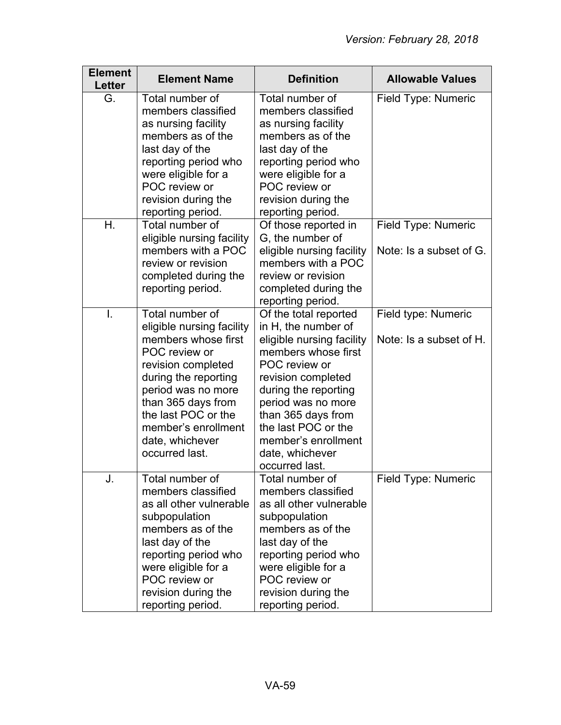| <b>Element</b><br>Letter | <b>Element Name</b>                                                                                                                                                                                                                                               | <b>Definition</b>                                                                                                                                                                                                                                                                              | <b>Allowable Values</b>                        |
|--------------------------|-------------------------------------------------------------------------------------------------------------------------------------------------------------------------------------------------------------------------------------------------------------------|------------------------------------------------------------------------------------------------------------------------------------------------------------------------------------------------------------------------------------------------------------------------------------------------|------------------------------------------------|
| G.                       | Total number of<br>members classified<br>as nursing facility<br>members as of the<br>last day of the<br>reporting period who<br>were eligible for a<br>POC review or<br>revision during the<br>reporting period.                                                  | Total number of<br>members classified<br>as nursing facility<br>members as of the<br>last day of the<br>reporting period who<br>were eligible for a<br>POC review or<br>revision during the<br>reporting period.                                                                               | Field Type: Numeric                            |
| Η.                       | Total number of<br>eligible nursing facility<br>members with a POC<br>review or revision<br>completed during the<br>reporting period.                                                                                                                             | Of those reported in<br>G, the number of<br>eligible nursing facility<br>members with a POC<br>review or revision<br>completed during the<br>reporting period.                                                                                                                                 | Field Type: Numeric<br>Note: Is a subset of G. |
| $\mathsf{l}$ .           | Total number of<br>eligible nursing facility<br>members whose first<br>POC review or<br>revision completed<br>during the reporting<br>period was no more<br>than 365 days from<br>the last POC or the<br>member's enrollment<br>date, whichever<br>occurred last. | Of the total reported<br>in H, the number of<br>eligible nursing facility<br>members whose first<br>POC review or<br>revision completed<br>during the reporting<br>period was no more<br>than 365 days from<br>the last POC or the<br>member's enrollment<br>date, whichever<br>occurred last. | Field type: Numeric<br>Note: Is a subset of H. |
| J.                       | Total number of<br>members classified<br>as all other vulnerable<br>subpopulation<br>members as of the<br>last day of the<br>reporting period who<br>were eligible for a<br>POC review or<br>revision during the<br>reporting period.                             | Total number of<br>members classified<br>as all other vulnerable<br>subpopulation<br>members as of the<br>last day of the<br>reporting period who<br>were eligible for a<br>POC review or<br>revision during the<br>reporting period.                                                          | Field Type: Numeric                            |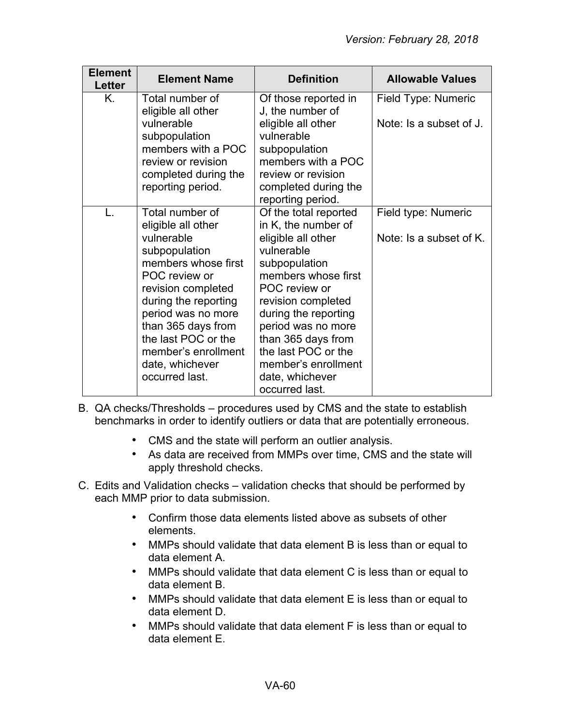| <b>Element</b><br><b>Letter</b> | <b>Element Name</b>                                                                                                                                                                                                                                                                       | <b>Definition</b>                                                                                                                                                                                                                                                                                                      | <b>Allowable Values</b>                        |
|---------------------------------|-------------------------------------------------------------------------------------------------------------------------------------------------------------------------------------------------------------------------------------------------------------------------------------------|------------------------------------------------------------------------------------------------------------------------------------------------------------------------------------------------------------------------------------------------------------------------------------------------------------------------|------------------------------------------------|
| Κ.                              | Total number of<br>eligible all other<br>vulnerable<br>subpopulation<br>members with a POC<br>review or revision<br>completed during the<br>reporting period.                                                                                                                             | Of those reported in<br>J, the number of<br>eligible all other<br>vulnerable<br>subpopulation<br>members with a POC<br>review or revision<br>completed during the<br>reporting period.                                                                                                                                 | Field Type: Numeric<br>Note: Is a subset of J. |
| L.                              | Total number of<br>eligible all other<br>vulnerable<br>subpopulation<br>members whose first<br>POC review or<br>revision completed<br>during the reporting<br>period was no more<br>than 365 days from<br>the last POC or the<br>member's enrollment<br>date, whichever<br>occurred last. | Of the total reported<br>in K, the number of<br>eligible all other<br>vulnerable<br>subpopulation<br>members whose first<br>POC review or<br>revision completed<br>during the reporting<br>period was no more<br>than 365 days from<br>the last POC or the<br>member's enrollment<br>date, whichever<br>occurred last. | Field type: Numeric<br>Note: Is a subset of K. |

- B. QA checks/Thresholds procedures used by CMS and the state to establish benchmarks in order to identify outliers or data that are potentially erroneous.
	- CMS and the state will perform an outlier analysis.
	- As data are received from MMPs over time, CMS and the state will apply threshold checks.
- C. Edits and Validation checks validation checks that should be performed by each MMP prior to data submission.
	- Confirm those data elements listed above as subsets of other elements.
	- MMPs should validate that data element B is less than or equal to data element A.
	- MMPs should validate that data element C is less than or equal to data element B.
	- MMPs should validate that data element E is less than or equal to data element D.
	- MMPs should validate that data element F is less than or equal to data element E.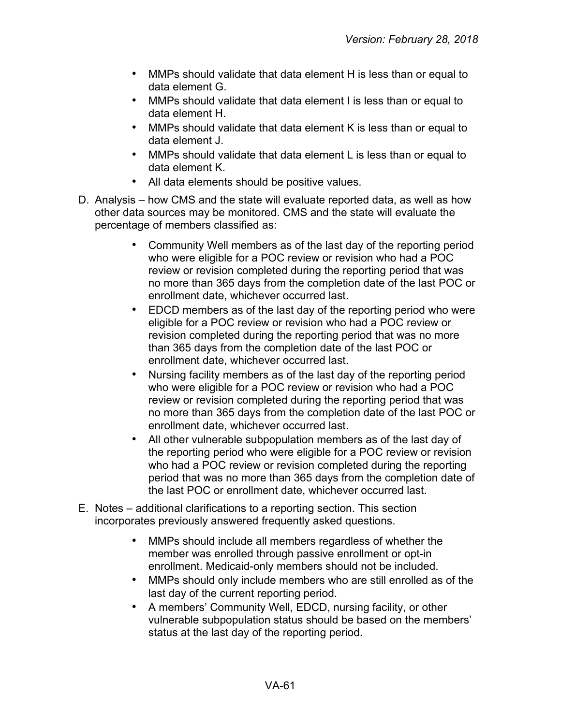- MMPs should validate that data element H is less than or equal to data element G.
- MMPs should validate that data element I is less than or equal to data element H.
- MMPs should validate that data element K is less than or equal to data element J.
- MMPs should validate that data element L is less than or equal to data element K.
- All data elements should be positive values.
- D. Analysis how CMS and the state will evaluate reported data, as well as how other data sources may be monitored. CMS and the state will evaluate the percentage of members classified as:
	- Community Well members as of the last day of the reporting period who were eligible for a POC review or revision who had a POC review or revision completed during the reporting period that was no more than 365 days from the completion date of the last POC or enrollment date, whichever occurred last.
	- EDCD members as of the last day of the reporting period who were eligible for a POC review or revision who had a POC review or revision completed during the reporting period that was no more than 365 days from the completion date of the last POC or enrollment date, whichever occurred last.
	- Nursing facility members as of the last day of the reporting period who were eligible for a POC review or revision who had a POC review or revision completed during the reporting period that was no more than 365 days from the completion date of the last POC or enrollment date, whichever occurred last.
	- All other vulnerable subpopulation members as of the last day of the reporting period who were eligible for a POC review or revision who had a POC review or revision completed during the reporting period that was no more than 365 days from the completion date of the last POC or enrollment date, whichever occurred last.
- E. Notes additional clarifications to a reporting section. This section incorporates previously answered frequently asked questions.
	- MMPs should include all members regardless of whether the member was enrolled through passive enrollment or opt-in enrollment. Medicaid-only members should not be included.
	- MMPs should only include members who are still enrolled as of the last day of the current reporting period.
	- A members' Community Well, EDCD, nursing facility, or other vulnerable subpopulation status should be based on the members' status at the last day of the reporting period.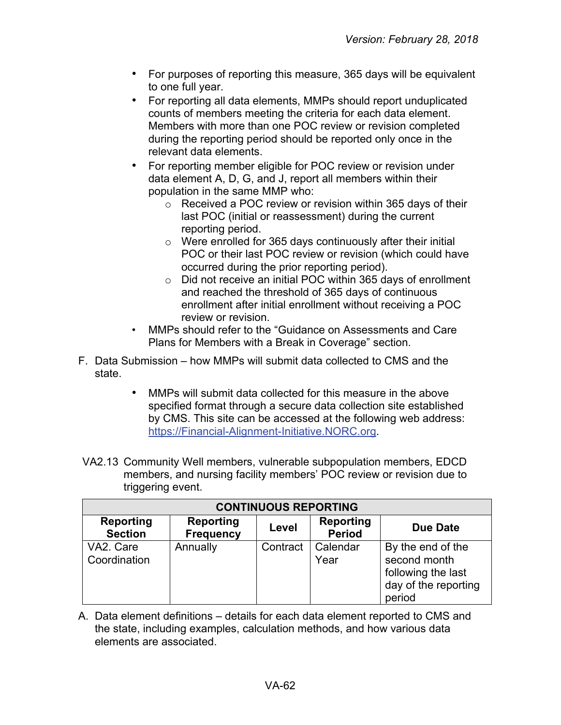- For purposes of reporting this measure, 365 days will be equivalent to one full year.
- For reporting all data elements, MMPs should report unduplicated counts of members meeting the criteria for each data element. Members with more than one POC review or revision completed during the reporting period should be reported only once in the relevant data elements.
- For reporting member eligible for POC review or revision under data element A, D, G, and J, report all members within their population in the same MMP who:
	- o Received a POC review or revision within 365 days of their last POC (initial or reassessment) during the current reporting period.
	- o Were enrolled for 365 days continuously after their initial POC or their last POC review or revision (which could have occurred during the prior reporting period).
	- o Did not receive an initial POC within 365 days of enrollment and reached the threshold of 365 days of continuous enrollment after initial enrollment without receiving a POC review or revision.
- MMPs should refer to the "Guidance on Assessments and Care Plans for Members with a Break in Coverage" section.
- F. Data Submission how MMPs will submit data collected to CMS and the state.
	- MMPs will submit data collected for this measure in the above specified format through a secure data collection site established by CMS. This site can be accessed at the following web address: [https://Financial-Alignment-Initiative.NORC.org.](https://financial-alignment-initiative.norc.org/)
- VA2.13 Community Well members, vulnerable subpopulation members, EDCD members, and nursing facility members' POC review or revision due to triggering event.

| <b>CONTINUOUS REPORTING</b>        |                                      |          |                                   |                                                                                           |
|------------------------------------|--------------------------------------|----------|-----------------------------------|-------------------------------------------------------------------------------------------|
| <b>Reporting</b><br><b>Section</b> | <b>Reporting</b><br><b>Frequency</b> | Level    | <b>Reporting</b><br><b>Period</b> | <b>Due Date</b>                                                                           |
| VA2. Care<br>Coordination          | Annually                             | Contract | Calendar<br>Year                  | By the end of the<br>second month<br>following the last<br>day of the reporting<br>period |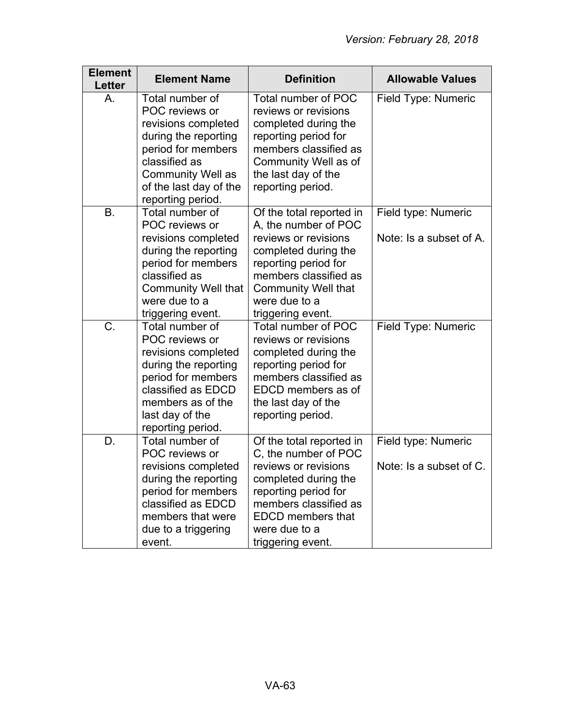| <b>Element</b><br><b>Letter</b> | <b>Element Name</b>                                                                                                                                                                                | <b>Definition</b>                                                                                                                                                                                                     | <b>Allowable Values</b>                        |
|---------------------------------|----------------------------------------------------------------------------------------------------------------------------------------------------------------------------------------------------|-----------------------------------------------------------------------------------------------------------------------------------------------------------------------------------------------------------------------|------------------------------------------------|
| Α.                              | Total number of<br>POC reviews or<br>revisions completed<br>during the reporting<br>period for members<br>classified as<br><b>Community Well as</b><br>of the last day of the<br>reporting period. | Total number of POC<br>reviews or revisions<br>completed during the<br>reporting period for<br>members classified as<br>Community Well as of<br>the last day of the<br>reporting period.                              | Field Type: Numeric                            |
| <b>B.</b>                       | Total number of<br>POC reviews or<br>revisions completed<br>during the reporting<br>period for members<br>classified as<br><b>Community Well that</b><br>were due to a<br>triggering event.        | Of the total reported in<br>A, the number of POC<br>reviews or revisions<br>completed during the<br>reporting period for<br>members classified as<br><b>Community Well that</b><br>were due to a<br>triggering event. | Field type: Numeric<br>Note: Is a subset of A. |
| C.                              | Total number of<br>POC reviews or<br>revisions completed<br>during the reporting<br>period for members<br>classified as EDCD<br>members as of the<br>last day of the<br>reporting period.          | Total number of POC<br>reviews or revisions<br>completed during the<br>reporting period for<br>members classified as<br>EDCD members as of<br>the last day of the<br>reporting period.                                | Field Type: Numeric                            |
| D.                              | Total number of<br>POC reviews or<br>revisions completed<br>during the reporting<br>period for members<br>classified as EDCD<br>members that were<br>due to a triggering<br>event.                 | Of the total reported in<br>C, the number of POC<br>reviews or revisions<br>completed during the<br>reporting period for<br>members classified as<br><b>EDCD</b> members that<br>were due to a<br>triggering event.   | Field type: Numeric<br>Note: Is a subset of C. |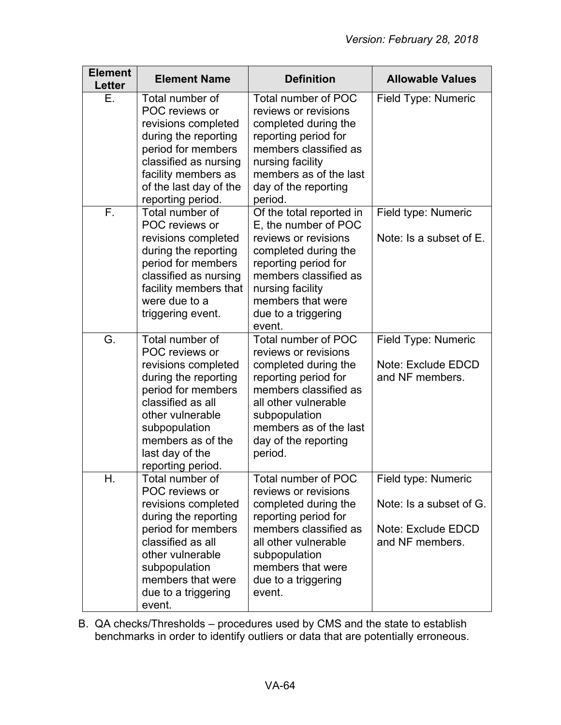| <b>Element</b><br>Letter | <b>Element Name</b>                                                                                                                                                                                                           | <b>Definition</b>                                                                                                                                                                                                           | <b>Allowable Values</b>                                                                 |
|--------------------------|-------------------------------------------------------------------------------------------------------------------------------------------------------------------------------------------------------------------------------|-----------------------------------------------------------------------------------------------------------------------------------------------------------------------------------------------------------------------------|-----------------------------------------------------------------------------------------|
| Е.                       | Total number of<br>POC reviews or<br>revisions completed<br>during the reporting<br>period for members<br>classified as nursing<br>facility members as<br>of the last day of the<br>reporting period.                         | Total number of POC<br>reviews or revisions<br>completed during the<br>reporting period for<br>members classified as<br>nursing facility<br>members as of the last<br>day of the reporting<br>period.                       | Field Type: Numeric                                                                     |
| F.                       | Total number of<br>POC reviews or<br>revisions completed<br>during the reporting<br>period for members<br>classified as nursing<br>facility members that<br>were due to a<br>triggering event.                                | Of the total reported in<br>E, the number of POC<br>reviews or revisions<br>completed during the<br>reporting period for<br>members classified as<br>nursing facility<br>members that were<br>due to a triggering<br>event. | Field type: Numeric<br>Note: Is a subset of E.                                          |
| G.                       | Total number of<br>POC reviews or<br>revisions completed<br>during the reporting<br>period for members<br>classified as all<br>other vulnerable<br>subpopulation<br>members as of the<br>last day of the<br>reporting period. | Total number of POC<br>reviews or revisions<br>completed during the<br>reporting period for<br>members classified as<br>all other vulnerable<br>subpopulation<br>members as of the last<br>day of the reporting<br>period.  | Field Type: Numeric<br>Note: Exclude EDCD<br>and NF members.                            |
| Η.                       | Total number of<br>POC reviews or<br>revisions completed<br>during the reporting<br>period for members<br>classified as all<br>other vulnerable<br>subpopulation<br>members that were<br>due to a triggering<br>event.        | Total number of POC<br>reviews or revisions<br>completed during the<br>reporting period for<br>members classified as<br>all other vulnerable<br>subpopulation<br>members that were<br>due to a triggering<br>event.         | Field type: Numeric<br>Note: Is a subset of G.<br>Note: Exclude EDCD<br>and NF members. |

B. QA checks/Thresholds – procedures used by CMS and the state to establish benchmarks in order to identify outliers or data that are potentially erroneous.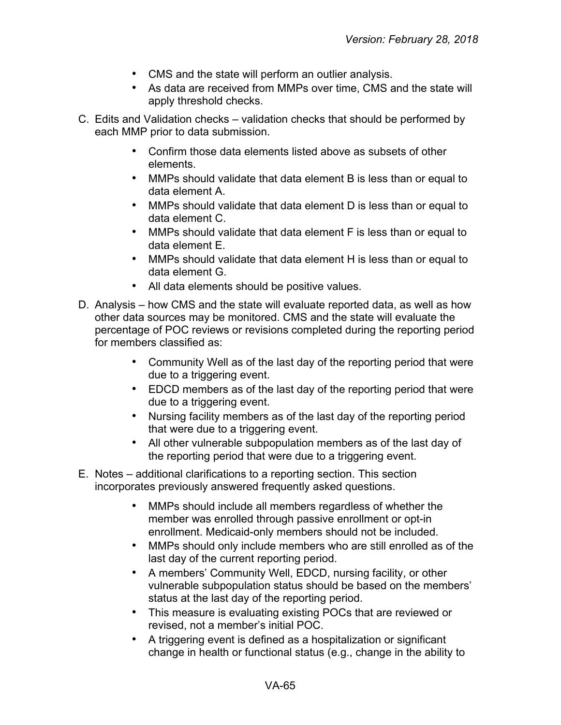- CMS and the state will perform an outlier analysis.
- As data are received from MMPs over time, CMS and the state will apply threshold checks.
- C. Edits and Validation checks validation checks that should be performed by each MMP prior to data submission.
	- Confirm those data elements listed above as subsets of other elements.
	- MMPs should validate that data element B is less than or equal to data element A.
	- MMPs should validate that data element D is less than or equal to data element C.
	- MMPs should validate that data element F is less than or equal to data element E.
	- MMPs should validate that data element H is less than or equal to data element G.
	- All data elements should be positive values.
- D. Analysis how CMS and the state will evaluate reported data, as well as how other data sources may be monitored. CMS and the state will evaluate the percentage of POC reviews or revisions completed during the reporting period for members classified as:
	- Community Well as of the last day of the reporting period that were due to a triggering event.
	- EDCD members as of the last day of the reporting period that were due to a triggering event.
	- Nursing facility members as of the last day of the reporting period that were due to a triggering event.
	- All other vulnerable subpopulation members as of the last day of the reporting period that were due to a triggering event.
- E. Notes additional clarifications to a reporting section. This section incorporates previously answered frequently asked questions.
	- MMPs should include all members regardless of whether the member was enrolled through passive enrollment or opt-in enrollment. Medicaid-only members should not be included.
	- MMPs should only include members who are still enrolled as of the last day of the current reporting period.
	- A members' Community Well, EDCD, nursing facility, or other vulnerable subpopulation status should be based on the members' status at the last day of the reporting period.
	- This measure is evaluating existing POCs that are reviewed or revised, not a member's initial POC.
	- A triggering event is defined as a hospitalization or significant change in health or functional status (e.g., change in the ability to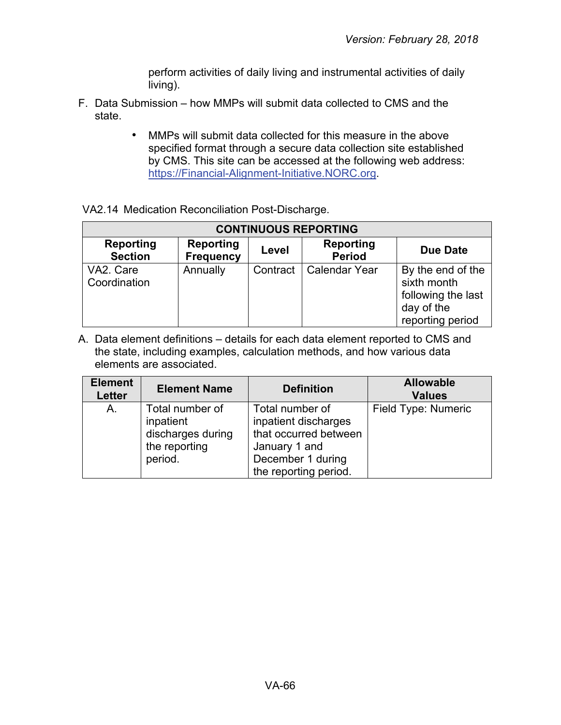perform activities of daily living and instrumental activities of daily living).

- F. Data Submission how MMPs will submit data collected to CMS and the state.
	- MMPs will submit data collected for this measure in the above specified format through a secure data collection site established by CMS. This site can be accessed at the following web address: [https://Financial-Alignment-Initiative.NORC.org.](https://financial-alignment-initiative.norc.org/)

|  |  |  | VA2.14 Medication Reconciliation Post-Discharge. |
|--|--|--|--------------------------------------------------|
|--|--|--|--------------------------------------------------|

| <b>CONTINUOUS REPORTING</b>        |                               |          |                                   |                                                                                          |
|------------------------------------|-------------------------------|----------|-----------------------------------|------------------------------------------------------------------------------------------|
| <b>Reporting</b><br><b>Section</b> | <b>Reporting</b><br>Frequency | Level    | <b>Reporting</b><br><b>Period</b> | <b>Due Date</b>                                                                          |
| VA2. Care<br>Coordination          | Annually                      | Contract | <b>Calendar Year</b>              | By the end of the<br>sixth month<br>following the last<br>day of the<br>reporting period |

| <b>Element</b><br><b>Letter</b> | <b>Element Name</b>                                                           | <b>Definition</b>                                                                                                               | <b>Allowable</b><br><b>Values</b> |
|---------------------------------|-------------------------------------------------------------------------------|---------------------------------------------------------------------------------------------------------------------------------|-----------------------------------|
| A.                              | Total number of<br>inpatient<br>discharges during<br>the reporting<br>period. | Total number of<br>inpatient discharges<br>that occurred between<br>January 1 and<br>December 1 during<br>the reporting period. | Field Type: Numeric               |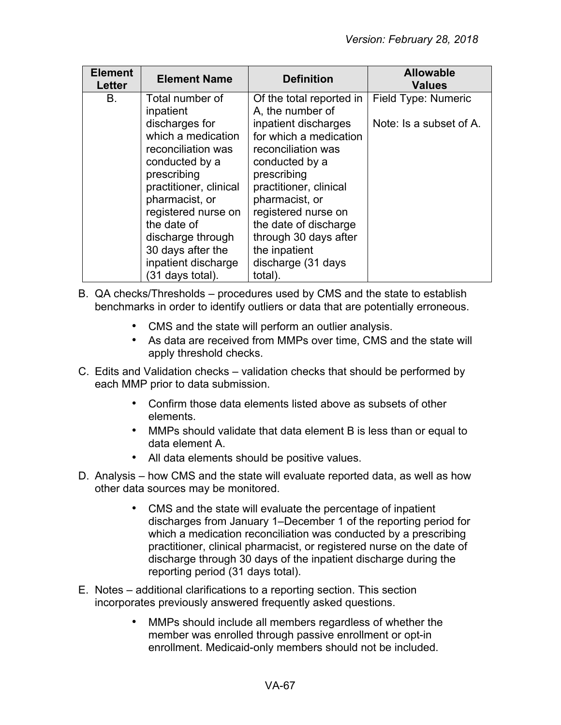| <b>Element</b><br><b>Letter</b> | <b>Element Name</b>                                                                                                                                                                                                                                                            | <b>Definition</b>                                                                                                                                                                                                                                                                                                 | <b>Allowable</b><br><b>Values</b>              |
|---------------------------------|--------------------------------------------------------------------------------------------------------------------------------------------------------------------------------------------------------------------------------------------------------------------------------|-------------------------------------------------------------------------------------------------------------------------------------------------------------------------------------------------------------------------------------------------------------------------------------------------------------------|------------------------------------------------|
| <b>B.</b>                       | Total number of<br>inpatient<br>discharges for<br>which a medication<br>reconciliation was<br>conducted by a<br>prescribing<br>practitioner, clinical<br>pharmacist, or<br>registered nurse on<br>the date of<br>discharge through<br>30 days after the<br>inpatient discharge | Of the total reported in<br>A, the number of<br>inpatient discharges<br>for which a medication<br>reconciliation was<br>conducted by a<br>prescribing<br>practitioner, clinical<br>pharmacist, or<br>registered nurse on<br>the date of discharge<br>through 30 days after<br>the inpatient<br>discharge (31 days | Field Type: Numeric<br>Note: Is a subset of A. |
|                                 | (31 days total).                                                                                                                                                                                                                                                               | total).                                                                                                                                                                                                                                                                                                           |                                                |

- B. QA checks/Thresholds procedures used by CMS and the state to establish benchmarks in order to identify outliers or data that are potentially erroneous.
	- CMS and the state will perform an outlier analysis.
	- As data are received from MMPs over time, CMS and the state will apply threshold checks.
- C. Edits and Validation checks validation checks that should be performed by each MMP prior to data submission.
	- Confirm those data elements listed above as subsets of other elements.
	- MMPs should validate that data element B is less than or equal to data element A.
	- All data elements should be positive values.
- D. Analysis how CMS and the state will evaluate reported data, as well as how other data sources may be monitored.
	- CMS and the state will evaluate the percentage of inpatient discharges from January 1–December 1 of the reporting period for which a medication reconciliation was conducted by a prescribing practitioner, clinical pharmacist, or registered nurse on the date of discharge through 30 days of the inpatient discharge during the reporting period (31 days total).
- E. Notes additional clarifications to a reporting section. This section incorporates previously answered frequently asked questions.
	- MMPs should include all members regardless of whether the member was enrolled through passive enrollment or opt-in enrollment. Medicaid-only members should not be included.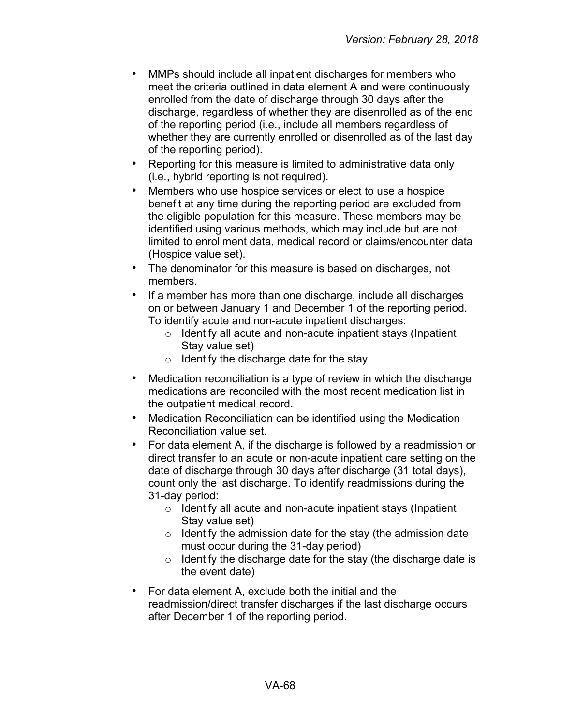- MMPs should include all inpatient discharges for members who meet the criteria outlined in data element A and were continuously enrolled from the date of discharge through 30 days after the discharge, regardless of whether they are disenrolled as of the end of the reporting period (i.e., include all members regardless of whether they are currently enrolled or disenrolled as of the last day of the reporting period).
- Reporting for this measure is limited to administrative data only (i.e., hybrid reporting is not required).
- Members who use hospice services or elect to use a hospice benefit at any time during the reporting period are excluded from the eligible population for this measure. These members may be identified using various methods, which may include but are not limited to enrollment data, medical record or claims/encounter data (Hospice value set).
- The denominator for this measure is based on discharges, not members.
- If a member has more than one discharge, include all discharges on or between January 1 and December 1 of the reporting period. To identify acute and non-acute inpatient discharges:
	- o Identify all acute and non-acute inpatient stays (Inpatient Stay value set)
	- $\circ$  Identify the discharge date for the stay
- Medication reconciliation is a type of review in which the discharge medications are reconciled with the most recent medication list in the outpatient medical record.
- Medication Reconciliation can be identified using the Medication Reconciliation value set.
- For data element A, if the discharge is followed by a readmission or direct transfer to an acute or non-acute inpatient care setting on the date of discharge through 30 days after discharge (31 total days), count only the last discharge. To identify readmissions during the 31-day period:
	- o Identify all acute and non-acute inpatient stays (Inpatient Stay value set)
	- $\circ$  Identify the admission date for the stay (the admission date must occur during the 31-day period)
	- $\circ$  Identify the discharge date for the stay (the discharge date is the event date)
- For data element A, exclude both the initial and the readmission/direct transfer discharges if the last discharge occurs after December 1 of the reporting period.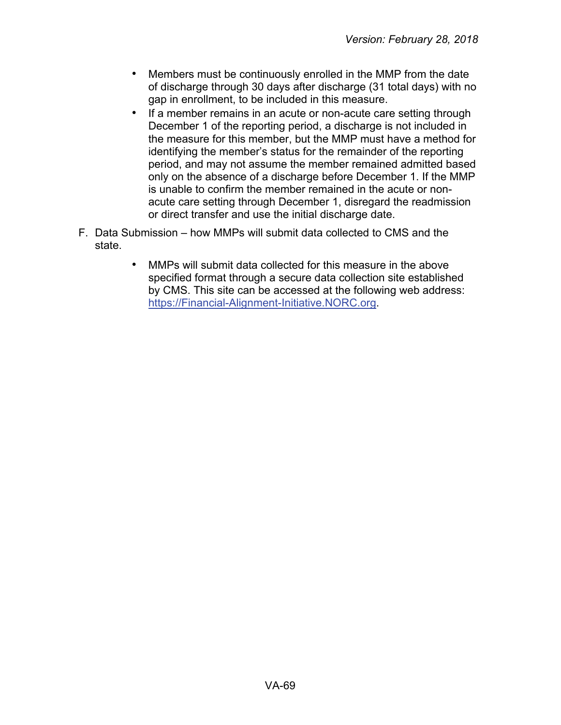- Members must be continuously enrolled in the MMP from the date of discharge through 30 days after discharge (31 total days) with no gap in enrollment, to be included in this measure.
- If a member remains in an acute or non-acute care setting through December 1 of the reporting period, a discharge is not included in the measure for this member, but the MMP must have a method for identifying the member's status for the remainder of the reporting period, and may not assume the member remained admitted based only on the absence of a discharge before December 1. If the MMP is unable to confirm the member remained in the acute or nonacute care setting through December 1, disregard the readmission or direct transfer and use the initial discharge date.
- F. Data Submission how MMPs will submit data collected to CMS and the state.
	- MMPs will submit data collected for this measure in the above specified format through a secure data collection site established by CMS. This site can be accessed at the following web address: [https://Financial-Alignment-Initiative.NORC.org.](https://financial-alignment-initiative.norc.org/)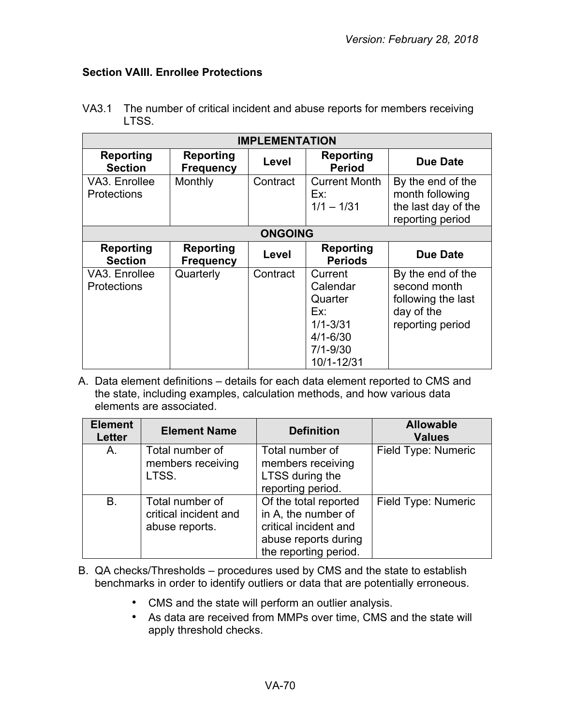## **Section VAIII. Enrollee Protections**

| <b>IMPLEMENTATION</b>               |                                      |          |                                                                                                     |                                                                                           |  |  |
|-------------------------------------|--------------------------------------|----------|-----------------------------------------------------------------------------------------------------|-------------------------------------------------------------------------------------------|--|--|
| <b>Reporting</b><br><b>Section</b>  | <b>Reporting</b><br><b>Frequency</b> | Level    | <b>Reporting</b><br><b>Period</b>                                                                   | Due Date                                                                                  |  |  |
| VA3. Enrollee<br><b>Protections</b> | Monthly                              | Contract | <b>Current Month</b><br>Ex:<br>$1/1 - 1/31$                                                         | By the end of the<br>month following<br>the last day of the<br>reporting period           |  |  |
| <b>ONGOING</b>                      |                                      |          |                                                                                                     |                                                                                           |  |  |
| Reporting<br><b>Section</b>         | Reporting<br><b>Frequency</b>        | Level    | Reporting<br><b>Periods</b>                                                                         | <b>Due Date</b>                                                                           |  |  |
| VA3. Enrollee<br><b>Protections</b> | Quarterly                            | Contract | Current<br>Calendar<br>Quarter<br>Ex:<br>$1/1 - 3/31$<br>$4/1 - 6/30$<br>$7/1 - 9/30$<br>10/1-12/31 | By the end of the<br>second month<br>following the last<br>day of the<br>reporting period |  |  |

VA3.1 The number of critical incident and abuse reports for members receiving LTSS.

| <b>Element</b><br>Letter | <b>Element Name</b>                                        | <b>Definition</b>                                                                                                      | <b>Allowable</b><br><b>Values</b> |
|--------------------------|------------------------------------------------------------|------------------------------------------------------------------------------------------------------------------------|-----------------------------------|
| A.                       | Total number of<br>members receiving<br>LTSS.              | Total number of<br>members receiving<br>LTSS during the<br>reporting period.                                           | Field Type: Numeric               |
| <b>B.</b>                | Total number of<br>critical incident and<br>abuse reports. | Of the total reported<br>in A, the number of<br>critical incident and<br>abuse reports during<br>the reporting period. | Field Type: Numeric               |

- B. QA checks/Thresholds procedures used by CMS and the state to establish benchmarks in order to identify outliers or data that are potentially erroneous.
	- CMS and the state will perform an outlier analysis.
	- As data are received from MMPs over time, CMS and the state will apply threshold checks.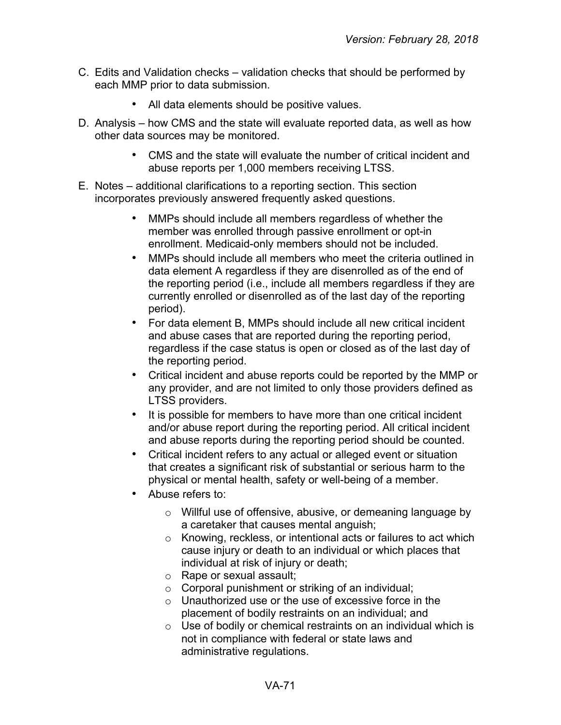- C. Edits and Validation checks validation checks that should be performed by each MMP prior to data submission.
	- All data elements should be positive values.
- D. Analysis how CMS and the state will evaluate reported data, as well as how other data sources may be monitored.
	- CMS and the state will evaluate the number of critical incident and abuse reports per 1,000 members receiving LTSS.
- E. Notes additional clarifications to a reporting section. This section incorporates previously answered frequently asked questions.
	- MMPs should include all members regardless of whether the member was enrolled through passive enrollment or opt-in enrollment. Medicaid-only members should not be included.
	- MMPs should include all members who meet the criteria outlined in data element A regardless if they are disenrolled as of the end of the reporting period (i.e., include all members regardless if they are currently enrolled or disenrolled as of the last day of the reporting period).
	- For data element B, MMPs should include all new critical incident and abuse cases that are reported during the reporting period, regardless if the case status is open or closed as of the last day of the reporting period.
	- Critical incident and abuse reports could be reported by the MMP or any provider, and are not limited to only those providers defined as LTSS providers.
	- It is possible for members to have more than one critical incident and/or abuse report during the reporting period. All critical incident and abuse reports during the reporting period should be counted.
	- Critical incident refers to any actual or alleged event or situation that creates a significant risk of substantial or serious harm to the physical or mental health, safety or well-being of a member.
	- Abuse refers to:
		- o Willful use of offensive, abusive, or demeaning language by a caretaker that causes mental anguish;
		- o Knowing, reckless, or intentional acts or failures to act which cause injury or death to an individual or which places that individual at risk of injury or death;
		- o Rape or sexual assault;
		- o Corporal punishment or striking of an individual;
		- $\circ$  Unauthorized use or the use of excessive force in the placement of bodily restraints on an individual; and
		- $\circ$  Use of bodily or chemical restraints on an individual which is not in compliance with federal or state laws and administrative regulations.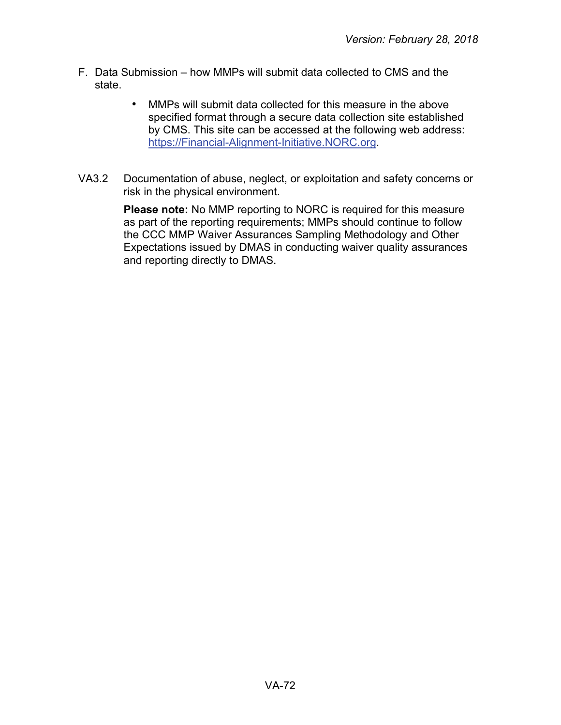- F. Data Submission how MMPs will submit data collected to CMS and the state.
	- MMPs will submit data collected for this measure in the above specified format through a secure data collection site established by CMS. This site can be accessed at the following web address: [https://Financial-Alignment-Initiative.NORC.org.](https://financial-alignment-initiative.norc.org/)
- VA3.2 Documentation of abuse, neglect, or exploitation and safety concerns or risk in the physical environment.

**Please note:** No MMP reporting to NORC is required for this measure as part of the reporting requirements; MMPs should continue to follow the CCC MMP Waiver Assurances Sampling Methodology and Other Expectations issued by DMAS in conducting waiver quality assurances and reporting directly to DMAS.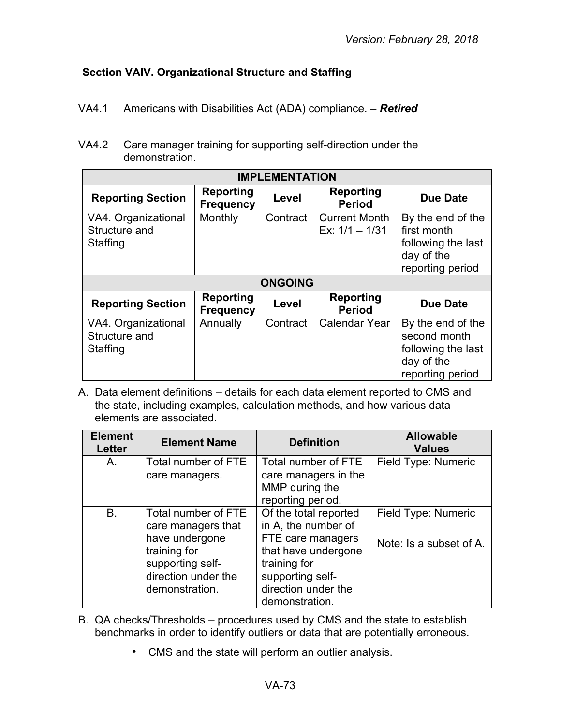## **Section VAIV. Organizational Structure and Staffing**

- VA4.1 Americans with Disabilities Act (ADA) compliance. *Retired*
- VA4.2 Care manager training for supporting self-direction under the demonstration.

| <b>IMPLEMENTATION</b>                            |                               |                |                                          |                                                                                           |
|--------------------------------------------------|-------------------------------|----------------|------------------------------------------|-------------------------------------------------------------------------------------------|
| <b>Reporting Section</b>                         | Reporting<br><b>Frequency</b> | Level          | <b>Reporting</b><br><b>Period</b>        | <b>Due Date</b>                                                                           |
| VA4. Organizational<br>Structure and<br>Staffing | Monthly                       | Contract       | <b>Current Month</b><br>Ex: $1/1 - 1/31$ | By the end of the<br>first month<br>following the last<br>day of the<br>reporting period  |
|                                                  |                               | <b>ONGOING</b> |                                          |                                                                                           |
| <b>Reporting Section</b>                         | Reporting<br><b>Frequency</b> | Level          | <b>Reporting</b><br><b>Period</b>        | <b>Due Date</b>                                                                           |
| VA4. Organizational<br>Structure and<br>Staffing | Annually                      | Contract       | <b>Calendar Year</b>                     | By the end of the<br>second month<br>following the last<br>day of the<br>reporting period |

| <b>Element</b><br><b>Letter</b> | <b>Element Name</b>                                                                                                                      | <b>Definition</b>                                                                                                                                                     | <b>Allowable</b><br><b>Values</b>              |
|---------------------------------|------------------------------------------------------------------------------------------------------------------------------------------|-----------------------------------------------------------------------------------------------------------------------------------------------------------------------|------------------------------------------------|
| A.                              | Total number of FTE<br>care managers.                                                                                                    | Total number of FTE<br>care managers in the<br>MMP during the<br>reporting period.                                                                                    | Field Type: Numeric                            |
| <b>B.</b>                       | Total number of FTE<br>care managers that<br>have undergone<br>training for<br>supporting self-<br>direction under the<br>demonstration. | Of the total reported<br>in A, the number of<br>FTE care managers<br>that have undergone<br>training for<br>supporting self-<br>direction under the<br>demonstration. | Field Type: Numeric<br>Note: Is a subset of A. |

- B. QA checks/Thresholds procedures used by CMS and the state to establish benchmarks in order to identify outliers or data that are potentially erroneous.
	- CMS and the state will perform an outlier analysis.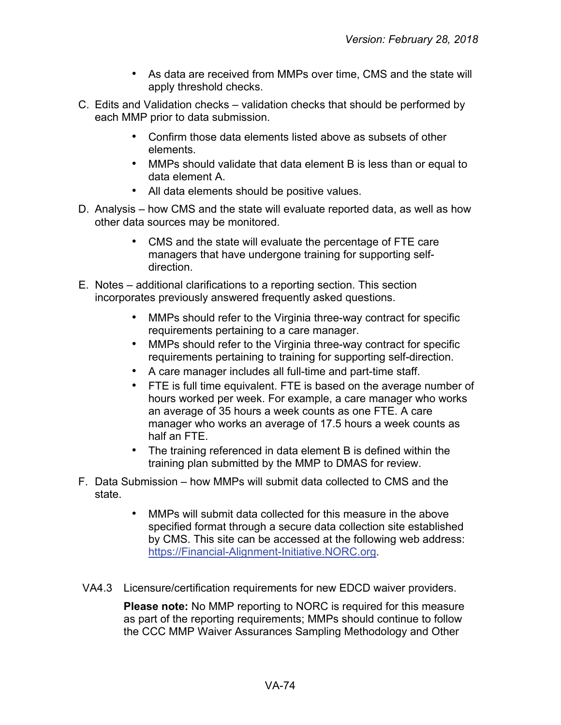- As data are received from MMPs over time, CMS and the state will apply threshold checks.
- C. Edits and Validation checks validation checks that should be performed by each MMP prior to data submission.
	- Confirm those data elements listed above as subsets of other elements.
	- MMPs should validate that data element B is less than or equal to data element A.
	- All data elements should be positive values.
- D. Analysis how CMS and the state will evaluate reported data, as well as how other data sources may be monitored.
	- CMS and the state will evaluate the percentage of FTE care managers that have undergone training for supporting selfdirection.
- E. Notes additional clarifications to a reporting section. This section incorporates previously answered frequently asked questions.
	- MMPs should refer to the Virginia three-way contract for specific requirements pertaining to a care manager.
	- MMPs should refer to the Virginia three-way contract for specific requirements pertaining to training for supporting self-direction.
	- A care manager includes all full-time and part-time staff.
	- FTE is full time equivalent. FTE is based on the average number of hours worked per week. For example, a care manager who works an average of 35 hours a week counts as one FTE. A care manager who works an average of 17.5 hours a week counts as half an FTE.
	- The training referenced in data element B is defined within the training plan submitted by the MMP to DMAS for review.
- F. Data Submission how MMPs will submit data collected to CMS and the state.
	- MMPs will submit data collected for this measure in the above specified format through a secure data collection site established by CMS. This site can be accessed at the following web address: [https://Financial-Alignment-Initiative.NORC.org.](https://financial-alignment-initiative.norc.org/)
- VA4.3 Licensure/certification requirements for new EDCD waiver providers.

**Please note:** No MMP reporting to NORC is required for this measure as part of the reporting requirements; MMPs should continue to follow the CCC MMP Waiver Assurances Sampling Methodology and Other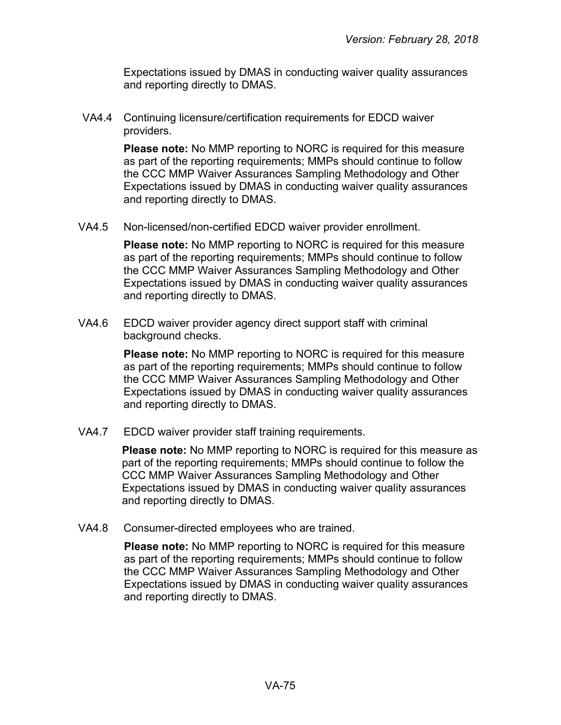Expectations issued by DMAS in conducting waiver quality assurances and reporting directly to DMAS.

VA4.4 Continuing licensure/certification requirements for EDCD waiver providers.

> **Please note:** No MMP reporting to NORC is required for this measure as part of the reporting requirements; MMPs should continue to follow the CCC MMP Waiver Assurances Sampling Methodology and Other Expectations issued by DMAS in conducting waiver quality assurances and reporting directly to DMAS.

VA4.5 Non-licensed/non-certified EDCD waiver provider enrollment.

**Please note:** No MMP reporting to NORC is required for this measure as part of the reporting requirements; MMPs should continue to follow the CCC MMP Waiver Assurances Sampling Methodology and Other Expectations issued by DMAS in conducting waiver quality assurances and reporting directly to DMAS.

VA4.6 EDCD waiver provider agency direct support staff with criminal background checks.

> **Please note:** No MMP reporting to NORC is required for this measure as part of the reporting requirements; MMPs should continue to follow the CCC MMP Waiver Assurances Sampling Methodology and Other Expectations issued by DMAS in conducting waiver quality assurances and reporting directly to DMAS.

VA4.7 EDCD waiver provider staff training requirements.

**Please note:** No MMP reporting to NORC is required for this measure as part of the reporting requirements; MMPs should continue to follow the CCC MMP Waiver Assurances Sampling Methodology and Other Expectations issued by DMAS in conducting waiver quality assurances and reporting directly to DMAS.

VA4.8 Consumer-directed employees who are trained.

**Please note:** No MMP reporting to NORC is required for this measure as part of the reporting requirements; MMPs should continue to follow the CCC MMP Waiver Assurances Sampling Methodology and Other Expectations issued by DMAS in conducting waiver quality assurances and reporting directly to DMAS.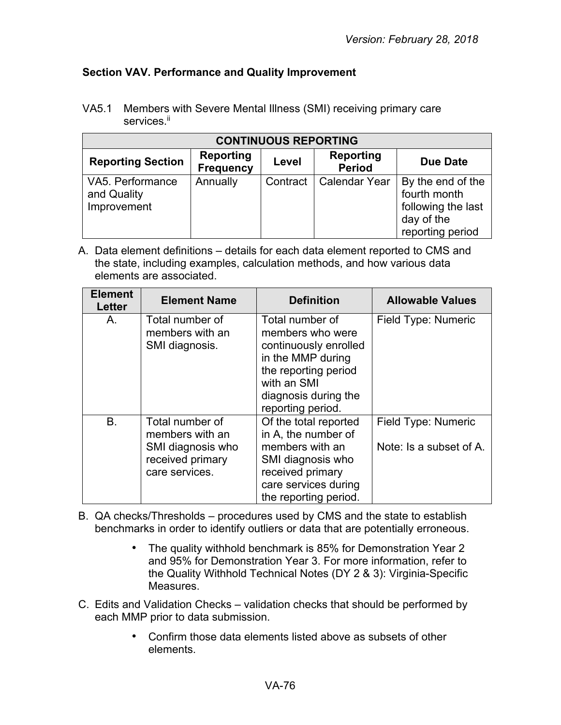## **Section VAV. Performance and Quality Improvement**

VA5.1 Members with Severe Mental Illness (SMI) receiving primary care services.<sup>ii</sup>

| <b>CONTINUOUS REPORTING</b>                    |                                      |          |                                   |                                                                                           |
|------------------------------------------------|--------------------------------------|----------|-----------------------------------|-------------------------------------------------------------------------------------------|
| <b>Reporting Section</b>                       | <b>Reporting</b><br><b>Frequency</b> | Level    | <b>Reporting</b><br><b>Period</b> | <b>Due Date</b>                                                                           |
| VA5. Performance<br>and Quality<br>Improvement | Annually                             | Contract | <b>Calendar Year</b>              | By the end of the<br>fourth month<br>following the last<br>day of the<br>reporting period |

| <b>Element</b><br><b>Letter</b> | <b>Element Name</b>                                                                           | <b>Definition</b>                                                                                                                                                     | <b>Allowable Values</b>                        |
|---------------------------------|-----------------------------------------------------------------------------------------------|-----------------------------------------------------------------------------------------------------------------------------------------------------------------------|------------------------------------------------|
| Α.                              | Total number of<br>members with an<br>SMI diagnosis.                                          | Total number of<br>members who were<br>continuously enrolled<br>in the MMP during<br>the reporting period<br>with an SMI<br>diagnosis during the<br>reporting period. | Field Type: Numeric                            |
| <b>B.</b>                       | Total number of<br>members with an<br>SMI diagnosis who<br>received primary<br>care services. | Of the total reported<br>in A, the number of<br>members with an<br>SMI diagnosis who<br>received primary<br>care services during<br>the reporting period.             | Field Type: Numeric<br>Note: Is a subset of A. |

- B. QA checks/Thresholds procedures used by CMS and the state to establish benchmarks in order to identify outliers or data that are potentially erroneous.
	- The quality withhold benchmark is 85% for Demonstration Year 2 and 95% for Demonstration Year 3. For more information, refer to the Quality Withhold Technical Notes (DY 2 & 3): Virginia-Specific Measures.
- C. Edits and Validation Checks validation checks that should be performed by each MMP prior to data submission.
	- Confirm those data elements listed above as subsets of other elements.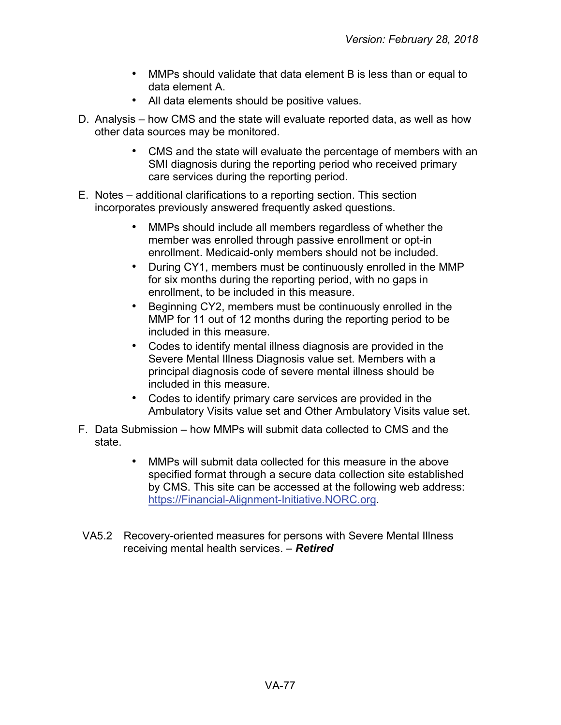- MMPs should validate that data element B is less than or equal to data element A.
- All data elements should be positive values.
- D. Analysis how CMS and the state will evaluate reported data, as well as how other data sources may be monitored.
	- CMS and the state will evaluate the percentage of members with an SMI diagnosis during the reporting period who received primary care services during the reporting period.
- E. Notes additional clarifications to a reporting section. This section incorporates previously answered frequently asked questions.
	- MMPs should include all members regardless of whether the member was enrolled through passive enrollment or opt-in enrollment. Medicaid-only members should not be included.
	- During CY1, members must be continuously enrolled in the MMP for six months during the reporting period, with no gaps in enrollment, to be included in this measure.
	- Beginning CY2, members must be continuously enrolled in the MMP for 11 out of 12 months during the reporting period to be included in this measure.
	- Codes to identify mental illness diagnosis are provided in the Severe Mental Illness Diagnosis value set. Members with a principal diagnosis code of severe mental illness should be included in this measure.
	- Codes to identify primary care services are provided in the Ambulatory Visits value set and Other Ambulatory Visits value set.
- F. Data Submission how MMPs will submit data collected to CMS and the state.
	- MMPs will submit data collected for this measure in the above specified format through a secure data collection site established by CMS. This site can be accessed at the following web address: [https://Financial-Alignment-Initiative.NORC.org.](https://financial-alignment-initiative.norc.org/)
- VA5.2 Recovery-oriented measures for persons with Severe Mental Illness receiving mental health services. – *Retired*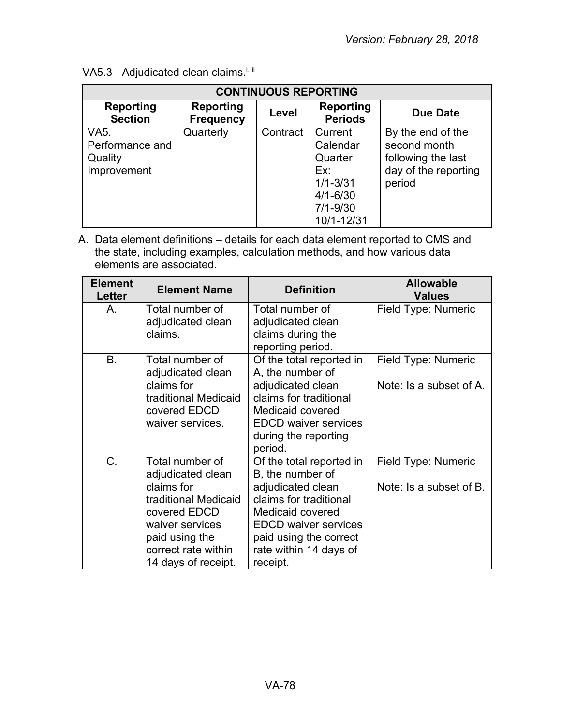| <b>CONTINUOUS REPORTING</b>                       |                                      |          |                                                                                                     |                                                                                           |  |
|---------------------------------------------------|--------------------------------------|----------|-----------------------------------------------------------------------------------------------------|-------------------------------------------------------------------------------------------|--|
| Reporting<br><b>Section</b>                       | <b>Reporting</b><br><b>Frequency</b> | Level    | <b>Reporting</b><br><b>Periods</b>                                                                  | <b>Due Date</b>                                                                           |  |
| VA5.<br>Performance and<br>Quality<br>Improvement | Quarterly                            | Contract | Current<br>Calendar<br>Quarter<br>Ex:<br>$1/1 - 3/31$<br>$4/1 - 6/30$<br>$7/1 - 9/30$<br>10/1-12/31 | By the end of the<br>second month<br>following the last<br>day of the reporting<br>period |  |

VA5.3 Adjudicated clean claims.<sup>i, ii</sup>

| <b>Element</b><br>Letter | <b>Element Name</b>                                                                                                                                                           | <b>Definition</b>                                                                                                                                                                                              | <b>Allowable</b><br><b>Values</b>              |
|--------------------------|-------------------------------------------------------------------------------------------------------------------------------------------------------------------------------|----------------------------------------------------------------------------------------------------------------------------------------------------------------------------------------------------------------|------------------------------------------------|
| А.                       | Total number of<br>adjudicated clean<br>claims.                                                                                                                               | Total number of<br>adjudicated clean<br>claims during the<br>reporting period.                                                                                                                                 | Field Type: Numeric                            |
| B.                       | Total number of<br>adjudicated clean<br>claims for<br>traditional Medicaid<br>covered EDCD<br>waiver services.                                                                | Of the total reported in<br>A, the number of<br>adjudicated clean<br>claims for traditional<br>Medicaid covered<br><b>EDCD waiver services</b><br>during the reporting<br>period.                              | Field Type: Numeric<br>Note: Is a subset of A. |
| $C_{\cdot}$              | Total number of<br>adjudicated clean<br>claims for<br>traditional Medicaid<br>covered EDCD<br>waiver services<br>paid using the<br>correct rate within<br>14 days of receipt. | Of the total reported in<br>B, the number of<br>adjudicated clean<br>claims for traditional<br>Medicaid covered<br><b>EDCD waiver services</b><br>paid using the correct<br>rate within 14 days of<br>receipt. | Field Type: Numeric<br>Note: Is a subset of B. |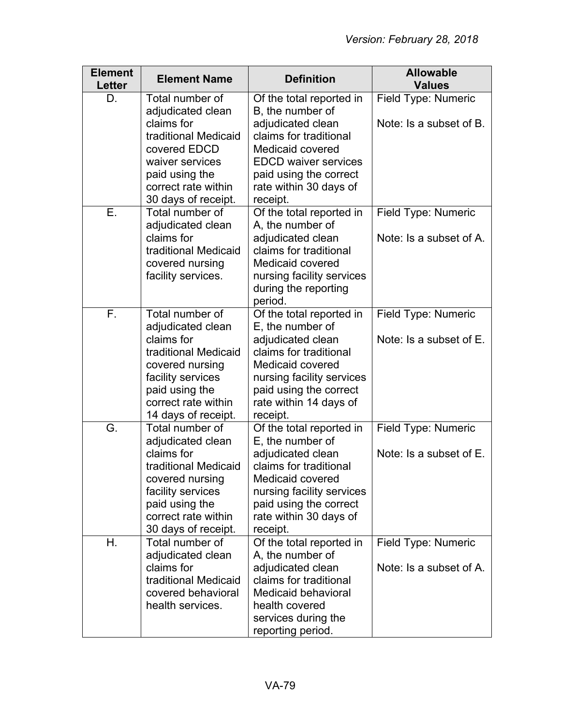| <b>Element</b><br><b>Letter</b> | <b>Element Name</b>                                                                                                                                                                | <b>Definition</b>                                                                                                                                                                                            | <b>Allowable</b><br><b>Values</b>              |
|---------------------------------|------------------------------------------------------------------------------------------------------------------------------------------------------------------------------------|--------------------------------------------------------------------------------------------------------------------------------------------------------------------------------------------------------------|------------------------------------------------|
| D.                              | Total number of<br>adjudicated clean<br>claims for<br>traditional Medicaid<br>covered EDCD                                                                                         | Of the total reported in<br>B, the number of<br>adjudicated clean<br>claims for traditional<br>Medicaid covered                                                                                              | Field Type: Numeric<br>Note: Is a subset of B. |
|                                 | waiver services<br>paid using the<br>correct rate within<br>30 days of receipt.                                                                                                    | <b>EDCD waiver services</b><br>paid using the correct<br>rate within 30 days of<br>receipt.                                                                                                                  |                                                |
| Ε.                              | Total number of<br>adjudicated clean<br>claims for<br>traditional Medicaid<br>covered nursing<br>facility services.                                                                | Of the total reported in<br>A, the number of<br>adjudicated clean<br>claims for traditional<br>Medicaid covered<br>nursing facility services<br>during the reporting<br>period.                              | Field Type: Numeric<br>Note: Is a subset of A. |
| F.                              | Total number of<br>adjudicated clean<br>claims for<br>traditional Medicaid<br>covered nursing<br>facility services<br>paid using the<br>correct rate within<br>14 days of receipt. | Of the total reported in<br>E, the number of<br>adjudicated clean<br>claims for traditional<br>Medicaid covered<br>nursing facility services<br>paid using the correct<br>rate within 14 days of<br>receipt. | Field Type: Numeric<br>Note: Is a subset of E. |
| G.                              | Total number of<br>adjudicated clean<br>claims for<br>traditional Medicaid<br>covered nursing<br>facility services<br>paid using the<br>correct rate within<br>30 days of receipt. | Of the total reported in<br>E, the number of<br>adjudicated clean<br>claims for traditional<br>Medicaid covered<br>nursing facility services<br>paid using the correct<br>rate within 30 days of<br>receipt. | Field Type: Numeric<br>Note: Is a subset of E. |
| Η.                              | Total number of<br>adjudicated clean<br>claims for<br>traditional Medicaid<br>covered behavioral<br>health services.                                                               | Of the total reported in<br>A, the number of<br>adjudicated clean<br>claims for traditional<br><b>Medicaid behavioral</b><br>health covered<br>services during the<br>reporting period.                      | Field Type: Numeric<br>Note: Is a subset of A. |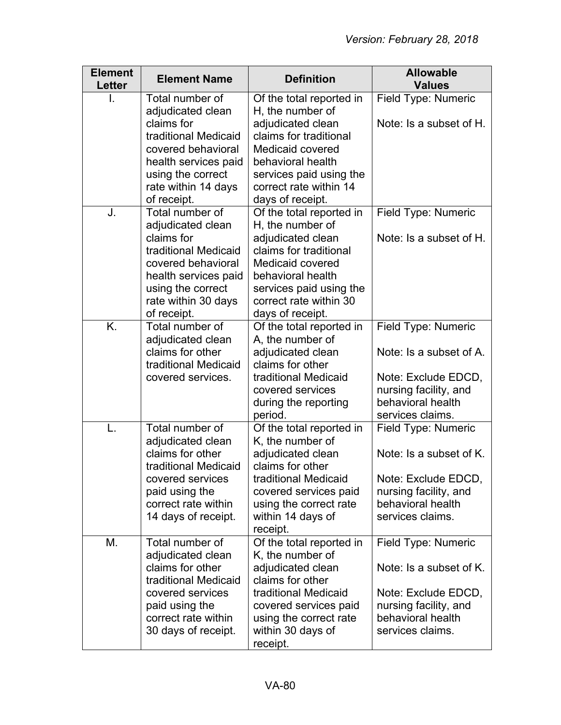| <b>Element</b><br><b>Letter</b> | <b>Element Name</b>                                                                                                                         | <b>Definition</b>                                                                                                                                             | <b>Allowable</b><br><b>Values</b>                                                     |
|---------------------------------|---------------------------------------------------------------------------------------------------------------------------------------------|---------------------------------------------------------------------------------------------------------------------------------------------------------------|---------------------------------------------------------------------------------------|
|                                 | Total number of<br>adjudicated clean                                                                                                        | Of the total reported in<br>H, the number of                                                                                                                  | Field Type: Numeric                                                                   |
|                                 | claims for<br>traditional Medicaid<br>covered behavioral                                                                                    | adjudicated clean<br>claims for traditional<br>Medicaid covered                                                                                               | Note: Is a subset of H.                                                               |
|                                 | health services paid                                                                                                                        | behavioral health                                                                                                                                             |                                                                                       |
|                                 | using the correct<br>rate within 14 days<br>of receipt.                                                                                     | services paid using the<br>correct rate within 14<br>days of receipt.                                                                                         |                                                                                       |
| J.                              | Total number of<br>adjudicated clean                                                                                                        | Of the total reported in<br>H, the number of                                                                                                                  | Field Type: Numeric                                                                   |
|                                 | claims for<br>traditional Medicaid<br>covered behavioral<br>health services paid<br>using the correct<br>rate within 30 days<br>of receipt. | adjudicated clean<br>claims for traditional<br>Medicaid covered<br>behavioral health<br>services paid using the<br>correct rate within 30<br>days of receipt. | Note: Is a subset of H.                                                               |
| K.                              | Total number of                                                                                                                             | Of the total reported in                                                                                                                                      | Field Type: Numeric                                                                   |
|                                 | adjudicated clean<br>claims for other<br>traditional Medicaid                                                                               | A, the number of<br>adjudicated clean<br>claims for other                                                                                                     | Note: Is a subset of A.                                                               |
|                                 | covered services.                                                                                                                           | traditional Medicaid<br>covered services                                                                                                                      | Note: Exclude EDCD,<br>nursing facility, and                                          |
|                                 |                                                                                                                                             | during the reporting<br>period.                                                                                                                               | behavioral health<br>services claims.                                                 |
| L.                              | Total number of<br>adjudicated clean                                                                                                        | Of the total reported in<br>K, the number of                                                                                                                  | Field Type: Numeric                                                                   |
|                                 | claims for other<br>traditional Medicaid                                                                                                    | adjudicated clean<br>claims for other                                                                                                                         | Note: Is a subset of K.                                                               |
|                                 | covered services<br>paid using the<br>correct rate within<br>14 days of receipt.                                                            | traditional Medicaid<br>covered services paid<br>using the correct rate<br>within 14 days of<br>receipt.                                                      | Note: Exclude EDCD,<br>nursing facility, and<br>behavioral health<br>services claims. |
| M.                              | Total number of<br>adjudicated clean                                                                                                        | Of the total reported in<br>K, the number of                                                                                                                  | Field Type: Numeric                                                                   |
|                                 | claims for other<br>traditional Medicaid                                                                                                    | adjudicated clean<br>claims for other                                                                                                                         | Note: Is a subset of K.                                                               |
|                                 | covered services<br>paid using the                                                                                                          | traditional Medicaid<br>covered services paid                                                                                                                 | Note: Exclude EDCD,<br>nursing facility, and                                          |
|                                 | correct rate within<br>30 days of receipt.                                                                                                  | using the correct rate<br>within 30 days of<br>receipt.                                                                                                       | behavioral health<br>services claims.                                                 |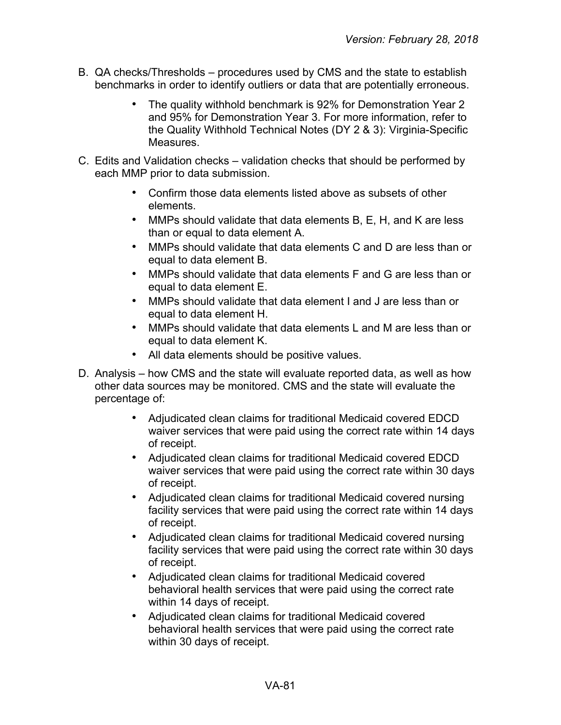- B. QA checks/Thresholds procedures used by CMS and the state to establish benchmarks in order to identify outliers or data that are potentially erroneous.
	- The quality withhold benchmark is 92% for Demonstration Year 2 and 95% for Demonstration Year 3. For more information, refer to the Quality Withhold Technical Notes (DY 2 & 3): Virginia-Specific **Measures**
- C. Edits and Validation checks validation checks that should be performed by each MMP prior to data submission.
	- Confirm those data elements listed above as subsets of other elements.
	- MMPs should validate that data elements B, E, H, and K are less than or equal to data element A.
	- MMPs should validate that data elements C and D are less than or equal to data element B.
	- MMPs should validate that data elements F and G are less than or equal to data element E.
	- MMPs should validate that data element I and J are less than or equal to data element H.
	- MMPs should validate that data elements L and M are less than or equal to data element K.
	- All data elements should be positive values.
- D. Analysis how CMS and the state will evaluate reported data, as well as how other data sources may be monitored. CMS and the state will evaluate the percentage of:
	- Adjudicated clean claims for traditional Medicaid covered EDCD waiver services that were paid using the correct rate within 14 days of receipt.
	- Adjudicated clean claims for traditional Medicaid covered EDCD waiver services that were paid using the correct rate within 30 days of receipt.
	- Adjudicated clean claims for traditional Medicaid covered nursing facility services that were paid using the correct rate within 14 days of receipt.
	- Adjudicated clean claims for traditional Medicaid covered nursing facility services that were paid using the correct rate within 30 days of receipt.
	- Adjudicated clean claims for traditional Medicaid covered behavioral health services that were paid using the correct rate within 14 days of receipt.
	- Adjudicated clean claims for traditional Medicaid covered behavioral health services that were paid using the correct rate within 30 days of receipt.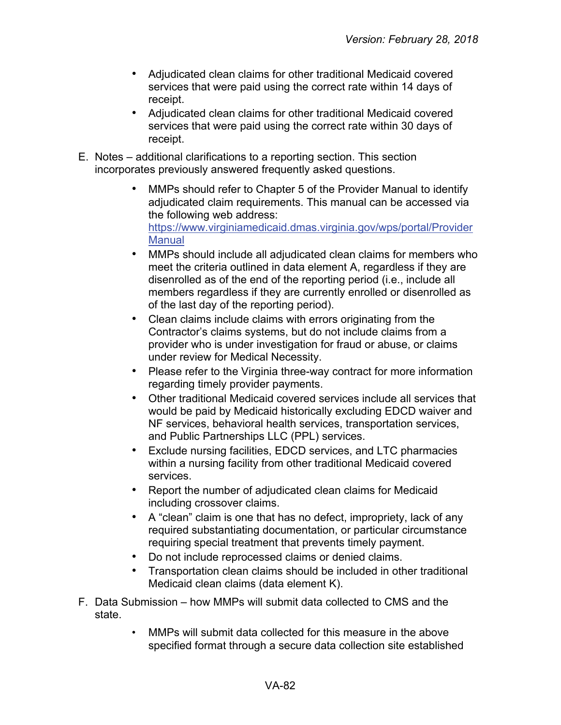- Adjudicated clean claims for other traditional Medicaid covered services that were paid using the correct rate within 14 days of receipt.
- Adjudicated clean claims for other traditional Medicaid covered services that were paid using the correct rate within 30 days of receipt.
- E. Notes additional clarifications to a reporting section. This section incorporates previously answered frequently asked questions.
	- MMPs should refer to Chapter 5 of the Provider Manual to identify adjudicated claim requirements. This manual can be accessed via the following web address: [https://www.virginiamedicaid.dmas.virginia.gov/wps/portal/Provider](https://www.virginiamedicaid.dmas.virginia.gov/wps/portal/ProviderManual) **Manual**
	- MMPs should include all adjudicated clean claims for members who meet the criteria outlined in data element A, regardless if they are disenrolled as of the end of the reporting period (i.e., include all members regardless if they are currently enrolled or disenrolled as of the last day of the reporting period).
	- Clean claims include claims with errors originating from the Contractor's claims systems, but do not include claims from a provider who is under investigation for fraud or abuse, or claims under review for Medical Necessity.
	- Please refer to the Virginia three-way contract for more information regarding timely provider payments.
	- Other traditional Medicaid covered services include all services that would be paid by Medicaid historically excluding EDCD waiver and NF services, behavioral health services, transportation services, and Public Partnerships LLC (PPL) services.
	- Exclude nursing facilities, EDCD services, and LTC pharmacies within a nursing facility from other traditional Medicaid covered services.
	- Report the number of adjudicated clean claims for Medicaid including crossover claims.
	- A "clean" claim is one that has no defect, impropriety, lack of any required substantiating documentation, or particular circumstance requiring special treatment that prevents timely payment.
	- Do not include reprocessed claims or denied claims.
	- Transportation clean claims should be included in other traditional Medicaid clean claims (data element K).
- F. Data Submission how MMPs will submit data collected to CMS and the state.
	- MMPs will submit data collected for this measure in the above specified format through a secure data collection site established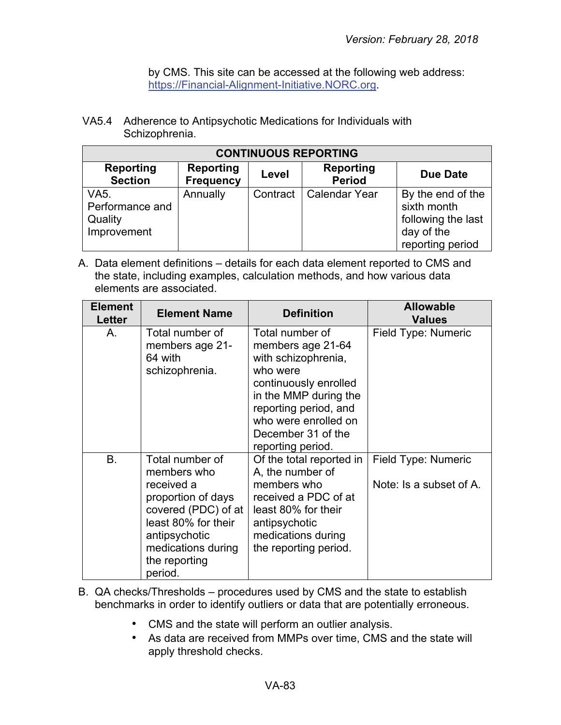by CMS. This site can be accessed at the following web address: [https://Financial-Alignment-Initiative.NORC.org.](https://financial-alignment-initiative.norc.org/)

VA5.4 Adherence to Antipsychotic Medications for Individuals with Schizophrenia.

| <b>CONTINUOUS REPORTING</b>                              |                                      |          |                                   |                                                                                          |
|----------------------------------------------------------|--------------------------------------|----------|-----------------------------------|------------------------------------------------------------------------------------------|
| <b>Reporting</b><br><b>Section</b>                       | <b>Reporting</b><br><b>Frequency</b> | Level    | <b>Reporting</b><br><b>Period</b> | <b>Due Date</b>                                                                          |
| <b>VA5.</b><br>Performance and<br>Quality<br>Improvement | Annually                             | Contract | <b>Calendar Year</b>              | By the end of the<br>sixth month<br>following the last<br>day of the<br>reporting period |

| <b>Element</b><br>Letter | <b>Element Name</b>                                                                                                                                                                 | <b>Definition</b>                                                                                                                                                                                                     | <b>Allowable</b><br><b>Values</b>              |
|--------------------------|-------------------------------------------------------------------------------------------------------------------------------------------------------------------------------------|-----------------------------------------------------------------------------------------------------------------------------------------------------------------------------------------------------------------------|------------------------------------------------|
| A.                       | Total number of<br>members age 21-<br>64 with<br>schizophrenia.                                                                                                                     | Total number of<br>members age 21-64<br>with schizophrenia,<br>who were<br>continuously enrolled<br>in the MMP during the<br>reporting period, and<br>who were enrolled on<br>December 31 of the<br>reporting period. | Field Type: Numeric                            |
| B.                       | Total number of<br>members who<br>received a<br>proportion of days<br>covered (PDC) of at<br>least 80% for their<br>antipsychotic<br>medications during<br>the reporting<br>period. | Of the total reported in<br>A, the number of<br>members who<br>received a PDC of at<br>least 80% for their<br>antipsychotic<br>medications during<br>the reporting period.                                            | Field Type: Numeric<br>Note: Is a subset of A. |

- B. QA checks/Thresholds procedures used by CMS and the state to establish benchmarks in order to identify outliers or data that are potentially erroneous.
	- CMS and the state will perform an outlier analysis.
	- As data are received from MMPs over time, CMS and the state will apply threshold checks.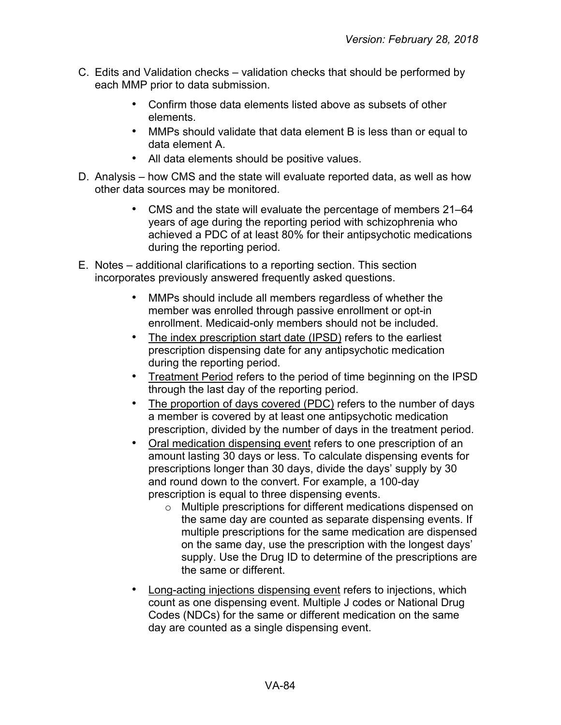- C. Edits and Validation checks validation checks that should be performed by each MMP prior to data submission.
	- Confirm those data elements listed above as subsets of other elements.
	- MMPs should validate that data element B is less than or equal to data element A.
	- All data elements should be positive values.
- D. Analysis how CMS and the state will evaluate reported data, as well as how other data sources may be monitored.
	- CMS and the state will evaluate the percentage of members 21–64 years of age during the reporting period with schizophrenia who achieved a PDC of at least 80% for their antipsychotic medications during the reporting period.
- E. Notes additional clarifications to a reporting section. This section incorporates previously answered frequently asked questions.
	- MMPs should include all members regardless of whether the member was enrolled through passive enrollment or opt-in enrollment. Medicaid-only members should not be included.
	- The index prescription start date (IPSD) refers to the earliest prescription dispensing date for any antipsychotic medication during the reporting period.
	- **Treatment Period refers to the period of time beginning on the IPSD** through the last day of the reporting period.
	- The proportion of days covered (PDC) refers to the number of days a member is covered by at least one antipsychotic medication prescription, divided by the number of days in the treatment period.
	- Oral medication dispensing event refers to one prescription of an amount lasting 30 days or less. To calculate dispensing events for prescriptions longer than 30 days, divide the days' supply by 30 and round down to the convert. For example, a 100-day prescription is equal to three dispensing events.
		- o Multiple prescriptions for different medications dispensed on the same day are counted as separate dispensing events. If multiple prescriptions for the same medication are dispensed on the same day, use the prescription with the longest days' supply. Use the Drug ID to determine of the prescriptions are the same or different.
	- Long-acting injections dispensing event refers to injections, which count as one dispensing event. Multiple J codes or National Drug Codes (NDCs) for the same or different medication on the same day are counted as a single dispensing event.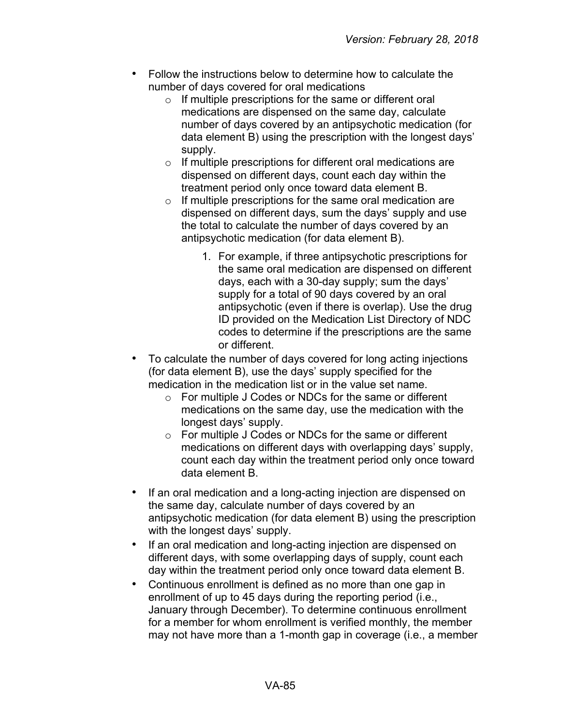- Follow the instructions below to determine how to calculate the number of days covered for oral medications
	- o If multiple prescriptions for the same or different oral medications are dispensed on the same day, calculate number of days covered by an antipsychotic medication (for data element B) using the prescription with the longest days' supply.
	- o If multiple prescriptions for different oral medications are dispensed on different days, count each day within the treatment period only once toward data element B.
	- $\circ$  If multiple prescriptions for the same oral medication are dispensed on different days, sum the days' supply and use the total to calculate the number of days covered by an antipsychotic medication (for data element B).
		- 1. For example, if three antipsychotic prescriptions for the same oral medication are dispensed on different days, each with a 30-day supply; sum the days' supply for a total of 90 days covered by an oral antipsychotic (even if there is overlap). Use the drug ID provided on the Medication List Directory of NDC codes to determine if the prescriptions are the same or different.
- To calculate the number of days covered for long acting injections (for data element B), use the days' supply specified for the medication in the medication list or in the value set name.
	- o For multiple J Codes or NDCs for the same or different medications on the same day, use the medication with the longest days' supply.
	- o For multiple J Codes or NDCs for the same or different medications on different days with overlapping days' supply, count each day within the treatment period only once toward data element B.
- If an oral medication and a long-acting injection are dispensed on the same day, calculate number of days covered by an antipsychotic medication (for data element B) using the prescription with the longest days' supply.
- If an oral medication and long-acting injection are dispensed on different days, with some overlapping days of supply, count each day within the treatment period only once toward data element B.
- Continuous enrollment is defined as no more than one gap in enrollment of up to 45 days during the reporting period (i.e., January through December). To determine continuous enrollment for a member for whom enrollment is verified monthly, the member may not have more than a 1-month gap in coverage (i.e., a member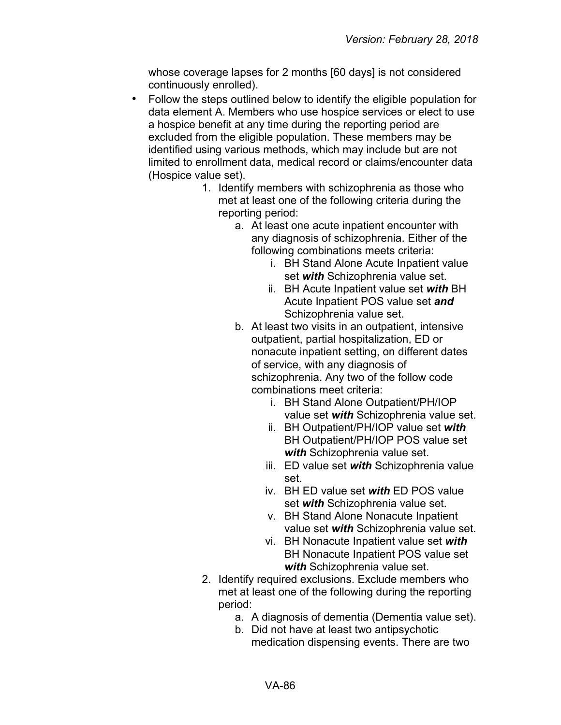whose coverage lapses for 2 months [60 days] is not considered continuously enrolled).

- Follow the steps outlined below to identify the eligible population for data element A. Members who use hospice services or elect to use a hospice benefit at any time during the reporting period are excluded from the eligible population. These members may be identified using various methods, which may include but are not limited to enrollment data, medical record or claims/encounter data (Hospice value set).
	- 1. Identify members with schizophrenia as those who met at least one of the following criteria during the reporting period:
		- a. At least one acute inpatient encounter with any diagnosis of schizophrenia. Either of the following combinations meets criteria:
			- i. BH Stand Alone Acute Inpatient value set *with* Schizophrenia value set.
			- ii. BH Acute Inpatient value set *with* BH Acute Inpatient POS value set *and* Schizophrenia value set.
		- b. At least two visits in an outpatient, intensive outpatient, partial hospitalization, ED or nonacute inpatient setting, on different dates of service, with any diagnosis of schizophrenia. Any two of the follow code combinations meet criteria:
			- i. BH Stand Alone Outpatient/PH/IOP value set *with* Schizophrenia value set.
			- ii. BH Outpatient/PH/IOP value set *with* BH Outpatient/PH/IOP POS value set *with* Schizophrenia value set.
			- iii. ED value set *with* Schizophrenia value set.
			- iv. BH ED value set *with* ED POS value set *with* Schizophrenia value set.
			- v. BH Stand Alone Nonacute Inpatient value set *with* Schizophrenia value set.
			- vi. BH Nonacute Inpatient value set *with* BH Nonacute Inpatient POS value set *with* Schizophrenia value set.
	- 2. Identify required exclusions. Exclude members who met at least one of the following during the reporting period:
		- a. A diagnosis of dementia (Dementia value set).
		- b. Did not have at least two antipsychotic medication dispensing events. There are two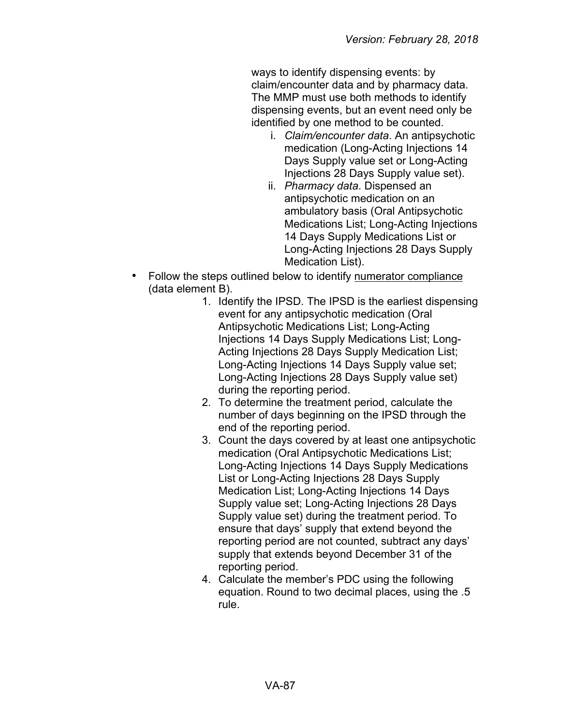ways to identify dispensing events: by claim/encounter data and by pharmacy data. The MMP must use both methods to identify dispensing events, but an event need only be identified by one method to be counted.

- i. *Claim/encounter data*. An antipsychotic medication (Long-Acting Injections 14 Days Supply value set or Long-Acting Injections 28 Days Supply value set).
- ii. *Pharmacy data*. Dispensed an antipsychotic medication on an ambulatory basis (Oral Antipsychotic Medications List; Long-Acting Injections 14 Days Supply Medications List or Long-Acting Injections 28 Days Supply Medication List).
- Follow the steps outlined below to identify numerator compliance (data element B).
	- 1. Identify the IPSD. The IPSD is the earliest dispensing event for any antipsychotic medication (Oral Antipsychotic Medications List; Long-Acting Injections 14 Days Supply Medications List; Long-Acting Injections 28 Days Supply Medication List; Long-Acting Injections 14 Days Supply value set; Long-Acting Injections 28 Days Supply value set) during the reporting period.
	- 2. To determine the treatment period, calculate the number of days beginning on the IPSD through the end of the reporting period.
	- 3. Count the days covered by at least one antipsychotic medication (Oral Antipsychotic Medications List; Long-Acting Injections 14 Days Supply Medications List or Long-Acting Injections 28 Days Supply Medication List; Long-Acting Injections 14 Days Supply value set; Long-Acting Injections 28 Days Supply value set) during the treatment period. To ensure that days' supply that extend beyond the reporting period are not counted, subtract any days' supply that extends beyond December 31 of the reporting period.
	- 4. Calculate the member's PDC using the following equation. Round to two decimal places, using the .5 rule.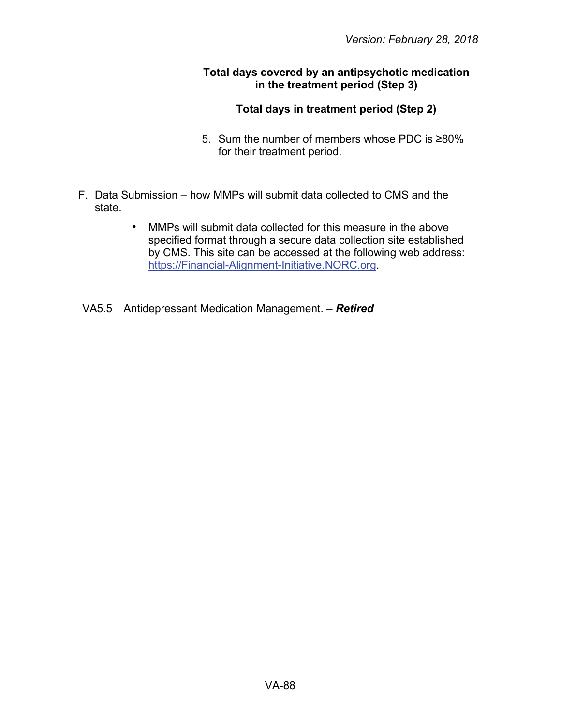### **Total days covered by an antipsychotic medication in the treatment period (Step 3)**

## **Total days in treatment period (Step 2)**

- 5. Sum the number of members whose PDC is ≥80% for their treatment period.
- F. Data Submission how MMPs will submit data collected to CMS and the state.
	- MMPs will submit data collected for this measure in the above specified format through a secure data collection site established by CMS. This site can be accessed at the following web address: [https://Financial-Alignment-Initiative.NORC.org.](https://financial-alignment-initiative.norc.org/)
- VA5.5 Antidepressant Medication Management. *Retired*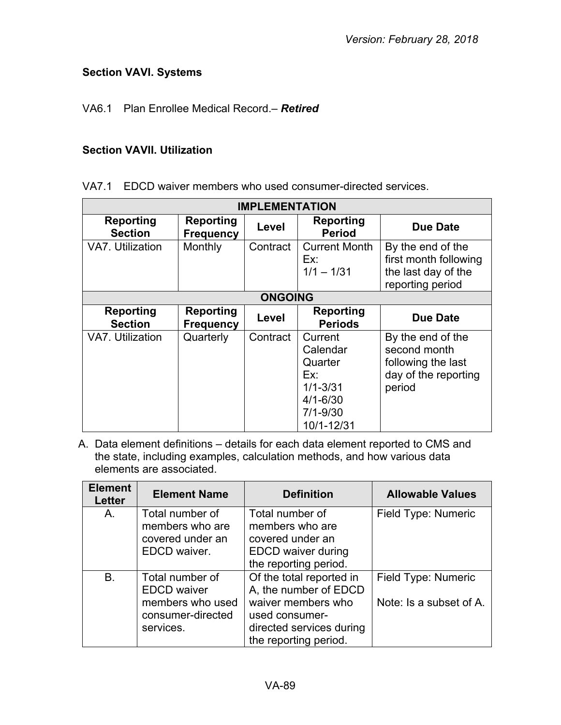# **Section VAVI. Systems**

## VA6.1 Plan Enrollee Medical Record.– *Retired*

# **Section VAVII. Utilization**

VA7.1 EDCD waiver members who used consumer-directed services.

| <b>IMPLEMENTATION</b>              |                                      |                |                                                                                                     |                                                                                           |
|------------------------------------|--------------------------------------|----------------|-----------------------------------------------------------------------------------------------------|-------------------------------------------------------------------------------------------|
| <b>Reporting</b><br><b>Section</b> | <b>Reporting</b><br><b>Frequency</b> | Level          | <b>Reporting</b><br><b>Period</b>                                                                   | <b>Due Date</b>                                                                           |
| <b>VA7. Utilization</b>            | Monthly                              | Contract       | <b>Current Month</b><br>Ex:<br>$1/1 - 1/31$                                                         | By the end of the<br>first month following<br>the last day of the<br>reporting period     |
|                                    |                                      | <b>ONGOING</b> |                                                                                                     |                                                                                           |
| <b>Reporting</b><br><b>Section</b> | <b>Reporting</b><br><b>Frequency</b> | Level          | <b>Reporting</b><br><b>Periods</b>                                                                  | Due Date                                                                                  |
| VA7. Utilization                   | Quarterly                            | Contract       | Current<br>Calendar<br>Quarter<br>Ex:<br>$1/1 - 3/31$<br>$4/1 - 6/30$<br>$7/1 - 9/30$<br>10/1-12/31 | By the end of the<br>second month<br>following the last<br>day of the reporting<br>period |

| <b>Element</b><br><b>Letter</b> | <b>Element Name</b>                   | <b>Definition</b>                                  | <b>Allowable Values</b> |
|---------------------------------|---------------------------------------|----------------------------------------------------|-------------------------|
| A.                              | Total number of<br>members who are    | Total number of<br>members who are                 | Field Type: Numeric     |
|                                 | covered under an                      | covered under an                                   |                         |
|                                 | EDCD waiver.                          | <b>EDCD</b> waiver during<br>the reporting period. |                         |
| <b>B.</b>                       | Total number of<br><b>EDCD</b> waiver | Of the total reported in<br>A, the number of EDCD  | Field Type: Numeric     |
|                                 | members who used<br>consumer-directed | waiver members who<br>used consumer-               | Note: Is a subset of A. |
|                                 | services.                             | directed services during<br>the reporting period.  |                         |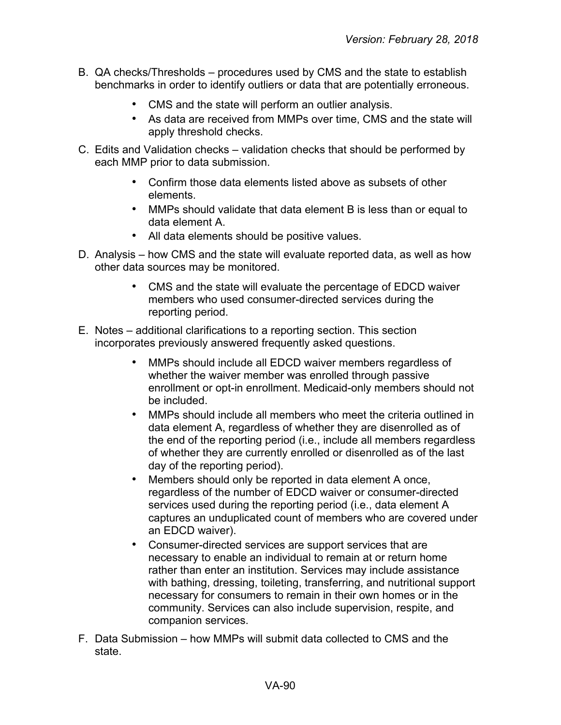- B. QA checks/Thresholds procedures used by CMS and the state to establish benchmarks in order to identify outliers or data that are potentially erroneous.
	- CMS and the state will perform an outlier analysis.
	- As data are received from MMPs over time, CMS and the state will apply threshold checks.
- C. Edits and Validation checks validation checks that should be performed by each MMP prior to data submission.
	- Confirm those data elements listed above as subsets of other elements.
	- MMPs should validate that data element B is less than or equal to data element A.
	- All data elements should be positive values.
- D. Analysis how CMS and the state will evaluate reported data, as well as how other data sources may be monitored.
	- CMS and the state will evaluate the percentage of EDCD waiver members who used consumer-directed services during the reporting period.
- E. Notes additional clarifications to a reporting section. This section incorporates previously answered frequently asked questions.
	- MMPs should include all EDCD waiver members regardless of whether the waiver member was enrolled through passive enrollment or opt-in enrollment. Medicaid-only members should not be included.
	- MMPs should include all members who meet the criteria outlined in data element A, regardless of whether they are disenrolled as of the end of the reporting period (i.e., include all members regardless of whether they are currently enrolled or disenrolled as of the last day of the reporting period).
	- Members should only be reported in data element A once, regardless of the number of EDCD waiver or consumer-directed services used during the reporting period (i.e., data element A captures an unduplicated count of members who are covered under an EDCD waiver).
	- Consumer-directed services are support services that are necessary to enable an individual to remain at or return home rather than enter an institution. Services may include assistance with bathing, dressing, toileting, transferring, and nutritional support necessary for consumers to remain in their own homes or in the community. Services can also include supervision, respite, and companion services.
- F. Data Submission how MMPs will submit data collected to CMS and the state.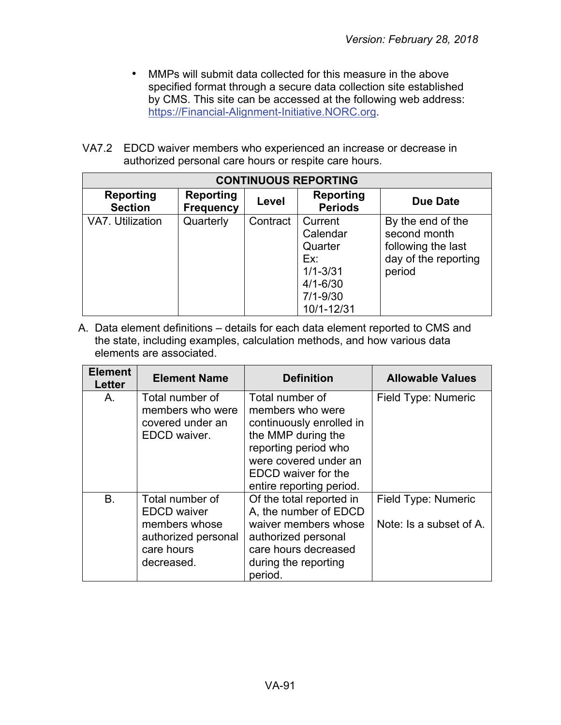- MMPs will submit data collected for this measure in the above specified format through a secure data collection site established by CMS. This site can be accessed at the following web address: [https://Financial-Alignment-Initiative.NORC.org.](https://financial-alignment-initiative.norc.org/)
- VA7.2 EDCD waiver members who experienced an increase or decrease in authorized personal care hours or respite care hours.

| <b>CONTINUOUS REPORTING</b> |                                      |          |                                                                                                     |                                                                                           |  |
|-----------------------------|--------------------------------------|----------|-----------------------------------------------------------------------------------------------------|-------------------------------------------------------------------------------------------|--|
| Reporting<br><b>Section</b> | <b>Reporting</b><br><b>Frequency</b> | Level    | Reporting<br><b>Periods</b>                                                                         | Due Date                                                                                  |  |
| VA7. Utilization            | Quarterly                            | Contract | Current<br>Calendar<br>Quarter<br>Ex:<br>$1/1 - 3/31$<br>$4/1 - 6/30$<br>$7/1 - 9/30$<br>10/1-12/31 | By the end of the<br>second month<br>following the last<br>day of the reporting<br>period |  |

| <b>Element</b><br>Letter | <b>Element Name</b>                 | <b>Definition</b>                   | <b>Allowable Values</b> |
|--------------------------|-------------------------------------|-------------------------------------|-------------------------|
| Α.                       | Total number of<br>members who were | Total number of<br>members who were | Field Type: Numeric     |
|                          | covered under an                    | continuously enrolled in            |                         |
|                          | EDCD waiver.                        | the MMP during the                  |                         |
|                          |                                     | reporting period who                |                         |
|                          |                                     | were covered under an               |                         |
|                          |                                     | EDCD waiver for the                 |                         |
|                          |                                     | entire reporting period.            |                         |
| <b>B.</b>                | Total number of                     | Of the total reported in            | Field Type: Numeric     |
|                          | <b>EDCD</b> waiver                  | A, the number of EDCD               |                         |
|                          | members whose                       | waiver members whose                | Note: Is a subset of A. |
|                          | authorized personal                 | authorized personal                 |                         |
|                          | care hours                          | care hours decreased                |                         |
|                          | decreased.                          | during the reporting                |                         |
|                          |                                     | period.                             |                         |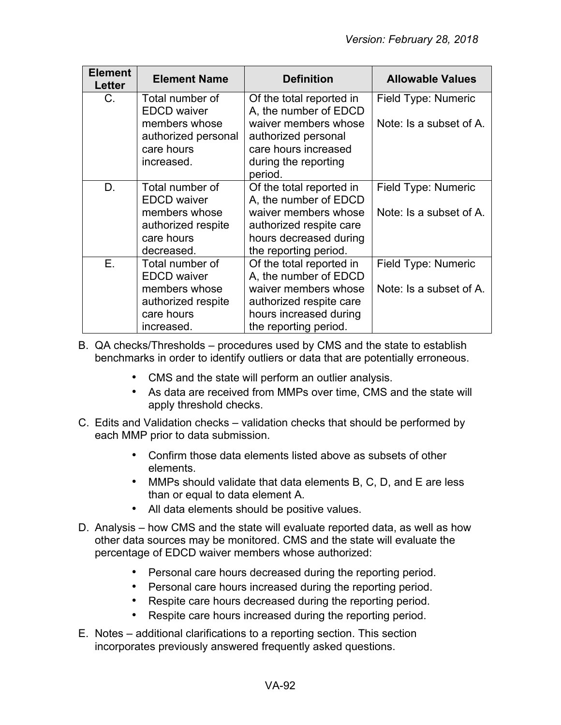| <b>Element</b><br>Letter | <b>Element Name</b>      | <b>Definition</b>               | <b>Allowable Values</b> |
|--------------------------|--------------------------|---------------------------------|-------------------------|
| C.                       | Total number of          | Of the total reported in        | Field Type: Numeric     |
|                          | <b>EDCD</b> waiver       | A, the number of EDCD           |                         |
|                          | members whose            | waiver members whose            | Note: Is a subset of A. |
|                          | authorized personal      | authorized personal             |                         |
|                          | care hours<br>increased. | care hours increased            |                         |
|                          |                          | during the reporting<br>period. |                         |
| D.                       | Total number of          | Of the total reported in        | Field Type: Numeric     |
|                          | <b>EDCD</b> waiver       | A, the number of EDCD           |                         |
|                          | members whose            | waiver members whose            | Note: Is a subset of A. |
|                          | authorized respite       | authorized respite care         |                         |
|                          | care hours               | hours decreased during          |                         |
|                          | decreased.               | the reporting period.           |                         |
| E.                       | Total number of          | Of the total reported in        | Field Type: Numeric     |
|                          | <b>EDCD</b> waiver       | A, the number of EDCD           |                         |
|                          | members whose            | waiver members whose            | Note: Is a subset of A. |
|                          | authorized respite       | authorized respite care         |                         |
|                          | care hours               | hours increased during          |                         |
|                          | increased.               | the reporting period.           |                         |

- B. QA checks/Thresholds procedures used by CMS and the state to establish benchmarks in order to identify outliers or data that are potentially erroneous.
	- CMS and the state will perform an outlier analysis.
	- As data are received from MMPs over time, CMS and the state will apply threshold checks.
- C. Edits and Validation checks validation checks that should be performed by each MMP prior to data submission.
	- Confirm those data elements listed above as subsets of other elements.
	- MMPs should validate that data elements B, C, D, and E are less than or equal to data element A.
	- All data elements should be positive values.
- D. Analysis how CMS and the state will evaluate reported data, as well as how other data sources may be monitored. CMS and the state will evaluate the percentage of EDCD waiver members whose authorized:
	- Personal care hours decreased during the reporting period.
	- Personal care hours increased during the reporting period.
	- Respite care hours decreased during the reporting period.
	- Respite care hours increased during the reporting period.
- E. Notes additional clarifications to a reporting section. This section incorporates previously answered frequently asked questions.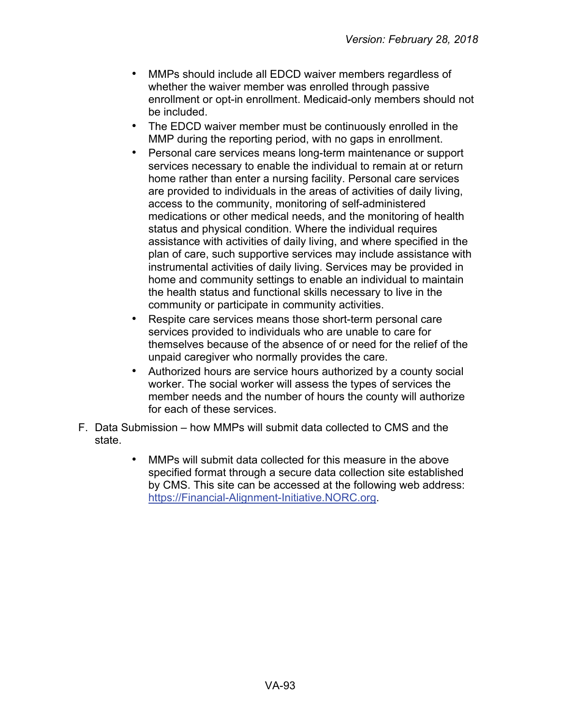- MMPs should include all EDCD waiver members regardless of whether the waiver member was enrolled through passive enrollment or opt-in enrollment. Medicaid-only members should not be included.
- The EDCD waiver member must be continuously enrolled in the MMP during the reporting period, with no gaps in enrollment.
- Personal care services means long-term maintenance or support services necessary to enable the individual to remain at or return home rather than enter a nursing facility. Personal care services are provided to individuals in the areas of activities of daily living, access to the community, monitoring of self-administered medications or other medical needs, and the monitoring of health status and physical condition. Where the individual requires assistance with activities of daily living, and where specified in the plan of care, such supportive services may include assistance with instrumental activities of daily living. Services may be provided in home and community settings to enable an individual to maintain the health status and functional skills necessary to live in the community or participate in community activities.
- Respite care services means those short-term personal care services provided to individuals who are unable to care for themselves because of the absence of or need for the relief of the unpaid caregiver who normally provides the care.
- Authorized hours are service hours authorized by a county social worker. The social worker will assess the types of services the member needs and the number of hours the county will authorize for each of these services.
- F. Data Submission how MMPs will submit data collected to CMS and the state.
	- MMPs will submit data collected for this measure in the above specified format through a secure data collection site established by CMS. This site can be accessed at the following web address: [https://Financial-Alignment-Initiative.NORC.org.](https://financial-alignment-initiative.norc.org/)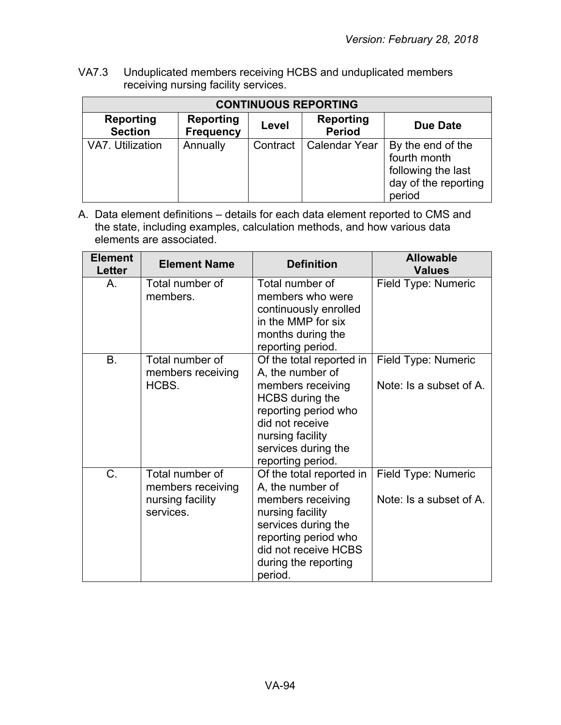VA7.3 Unduplicated members receiving HCBS and unduplicated members receiving nursing facility services.

| <b>CONTINUOUS REPORTING</b>        |                                      |          |                            |                                                                                           |
|------------------------------------|--------------------------------------|----------|----------------------------|-------------------------------------------------------------------------------------------|
| <b>Reporting</b><br><b>Section</b> | <b>Reporting</b><br><b>Frequency</b> | Level    | Reporting<br><b>Period</b> | <b>Due Date</b>                                                                           |
| VA7. Utilization                   | Annually                             | Contract | <b>Calendar Year</b>       | By the end of the<br>fourth month<br>following the last<br>day of the reporting<br>period |

| <b>Element</b><br>Letter | <b>Element Name</b>                                                   | <b>Definition</b>                                                                                                                                                                                      | <b>Allowable</b><br><b>Values</b>              |
|--------------------------|-----------------------------------------------------------------------|--------------------------------------------------------------------------------------------------------------------------------------------------------------------------------------------------------|------------------------------------------------|
| Α.                       | Total number of<br>members.                                           | Total number of<br>members who were<br>continuously enrolled<br>in the MMP for six<br>months during the<br>reporting period.                                                                           | Field Type: Numeric                            |
| B.                       | Total number of<br>members receiving<br>HCBS.                         | Of the total reported in<br>A, the number of<br>members receiving<br><b>HCBS</b> during the<br>reporting period who<br>did not receive<br>nursing facility<br>services during the<br>reporting period. | Field Type: Numeric<br>Note: Is a subset of A. |
| C.                       | Total number of<br>members receiving<br>nursing facility<br>services. | Of the total reported in<br>A, the number of<br>members receiving<br>nursing facility<br>services during the<br>reporting period who<br>did not receive HCBS<br>during the reporting<br>period.        | Field Type: Numeric<br>Note: Is a subset of A. |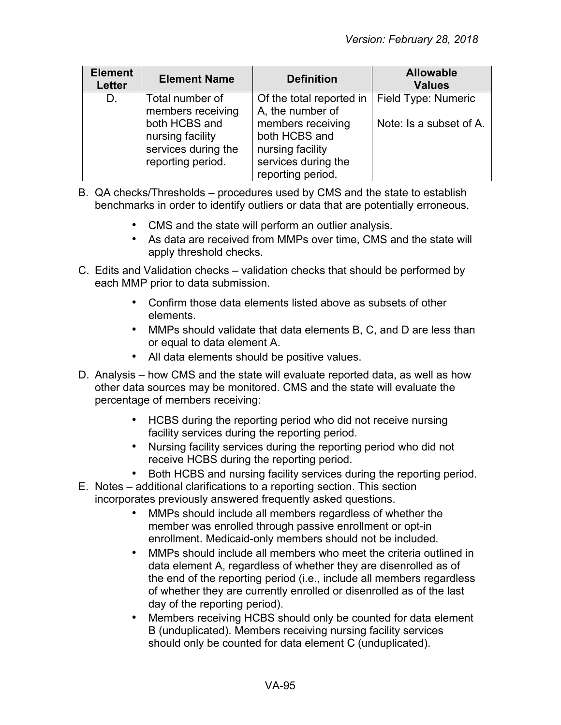| <b>Element</b><br><b>Letter</b> | <b>Element Name</b>                                                                                                   | <b>Definition</b>                                                                                                             | <b>Allowable</b><br><b>Values</b>              |
|---------------------------------|-----------------------------------------------------------------------------------------------------------------------|-------------------------------------------------------------------------------------------------------------------------------|------------------------------------------------|
| D.                              | Total number of<br>members receiving<br>both HCBS and<br>nursing facility<br>services during the<br>reporting period. | Of the total reported in<br>A, the number of<br>members receiving<br>both HCBS and<br>nursing facility<br>services during the | Field Type: Numeric<br>Note: Is a subset of A. |
|                                 |                                                                                                                       | reporting period.                                                                                                             |                                                |

- B. QA checks/Thresholds procedures used by CMS and the state to establish benchmarks in order to identify outliers or data that are potentially erroneous.
	- CMS and the state will perform an outlier analysis.
	- As data are received from MMPs over time, CMS and the state will apply threshold checks.
- C. Edits and Validation checks validation checks that should be performed by each MMP prior to data submission.
	- Confirm those data elements listed above as subsets of other elements.
	- MMPs should validate that data elements B, C, and D are less than or equal to data element A.
	- All data elements should be positive values.
- D. Analysis how CMS and the state will evaluate reported data, as well as how other data sources may be monitored. CMS and the state will evaluate the percentage of members receiving:
	- HCBS during the reporting period who did not receive nursing facility services during the reporting period.
	- Nursing facility services during the reporting period who did not receive HCBS during the reporting period.
	- Both HCBS and nursing facility services during the reporting period.
- E. Notes additional clarifications to a reporting section. This section incorporates previously answered frequently asked questions.
	- MMPs should include all members regardless of whether the member was enrolled through passive enrollment or opt-in enrollment. Medicaid-only members should not be included.
	- MMPs should include all members who meet the criteria outlined in data element A, regardless of whether they are disenrolled as of the end of the reporting period (i.e., include all members regardless of whether they are currently enrolled or disenrolled as of the last day of the reporting period).
	- Members receiving HCBS should only be counted for data element B (unduplicated). Members receiving nursing facility services should only be counted for data element C (unduplicated).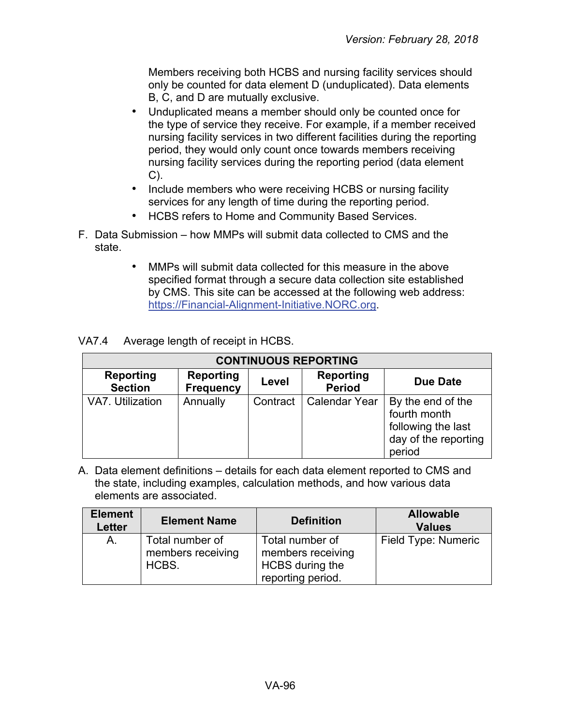Members receiving both HCBS and nursing facility services should only be counted for data element D (unduplicated). Data elements B, C, and D are mutually exclusive.

- Unduplicated means a member should only be counted once for the type of service they receive. For example, if a member received nursing facility services in two different facilities during the reporting period, they would only count once towards members receiving nursing facility services during the reporting period (data element C).
- Include members who were receiving HCBS or nursing facility services for any length of time during the reporting period.
- HCBS refers to Home and Community Based Services.
- F. Data Submission how MMPs will submit data collected to CMS and the state.
	- MMPs will submit data collected for this measure in the above specified format through a secure data collection site established by CMS. This site can be accessed at the following web address: [https://Financial-Alignment-Initiative.NORC.org.](https://financial-alignment-initiative.norc.org/)

VA7.4 Average length of receipt in HCBS.

| <b>CONTINUOUS REPORTING</b> |                                      |          |                            |                                                                                           |  |
|-----------------------------|--------------------------------------|----------|----------------------------|-------------------------------------------------------------------------------------------|--|
| Reporting<br><b>Section</b> | <b>Reporting</b><br><b>Frequency</b> | Level    | Reporting<br><b>Period</b> | <b>Due Date</b>                                                                           |  |
| VA7. Utilization            | Annually                             | Contract | <b>Calendar Year</b>       | By the end of the<br>fourth month<br>following the last<br>day of the reporting<br>period |  |

| <b>Element</b><br>Letter | <b>Element Name</b>                           | <b>Definition</b>                                                            | <b>Allowable</b><br><b>Values</b> |
|--------------------------|-----------------------------------------------|------------------------------------------------------------------------------|-----------------------------------|
| A.                       | Total number of<br>members receiving<br>HCBS. | Total number of<br>members receiving<br>HCBS during the<br>reporting period. | Field Type: Numeric               |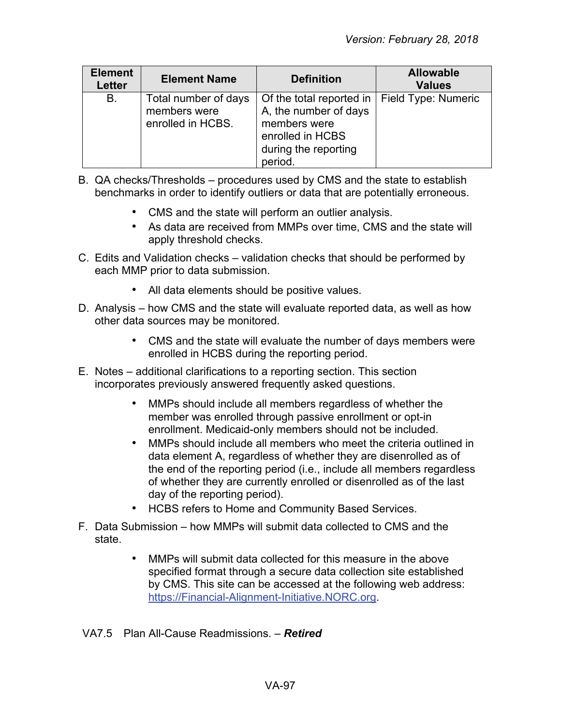| <b>Element</b><br><b>Letter</b> | <b>Element Name</b>                                       | <b>Definition</b>                                                                                                        | <b>Allowable</b><br><b>Values</b> |
|---------------------------------|-----------------------------------------------------------|--------------------------------------------------------------------------------------------------------------------------|-----------------------------------|
| В.                              | Total number of days<br>members were<br>enrolled in HCBS. | Of the total reported in<br>A, the number of days<br>members were<br>enrolled in HCBS<br>during the reporting<br>period. | Field Type: Numeric               |

- B. QA checks/Thresholds procedures used by CMS and the state to establish benchmarks in order to identify outliers or data that are potentially erroneous.
	- CMS and the state will perform an outlier analysis.
	- As data are received from MMPs over time, CMS and the state will apply threshold checks.
- C. Edits and Validation checks validation checks that should be performed by each MMP prior to data submission.
	- All data elements should be positive values.
- D. Analysis how CMS and the state will evaluate reported data, as well as how other data sources may be monitored.
	- CMS and the state will evaluate the number of days members were enrolled in HCBS during the reporting period.
- E. Notes additional clarifications to a reporting section. This section incorporates previously answered frequently asked questions.
	- MMPs should include all members regardless of whether the member was enrolled through passive enrollment or opt-in enrollment. Medicaid-only members should not be included.
	- MMPs should include all members who meet the criteria outlined in data element A, regardless of whether they are disenrolled as of the end of the reporting period (i.e., include all members regardless of whether they are currently enrolled or disenrolled as of the last day of the reporting period).
	- HCBS refers to Home and Community Based Services.
- F. Data Submission how MMPs will submit data collected to CMS and the state.
	- MMPs will submit data collected for this measure in the above specified format through a secure data collection site established by CMS. This site can be accessed at the following web address: [https://Financial-Alignment-Initiative.NORC.org.](https://financial-alignment-initiative.norc.org/)

### VA7.5 Plan All-Cause Readmissions. – *Retired*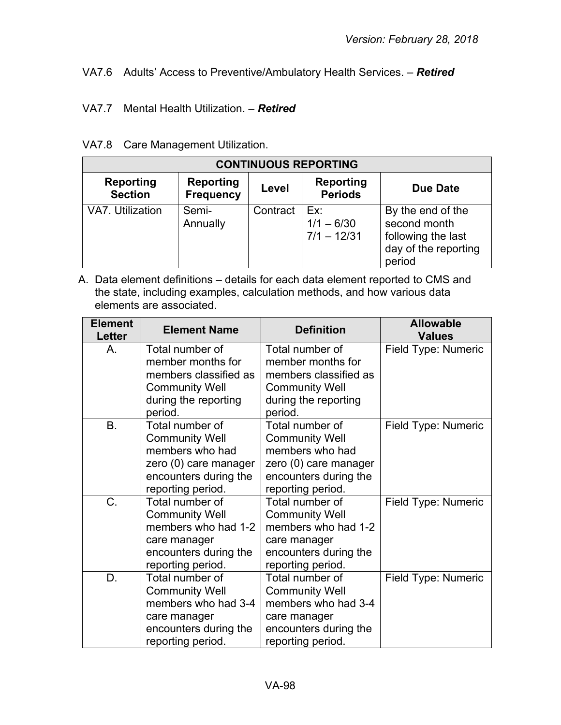# VA7.6 Adults' Access to Preventive/Ambulatory Health Services. – *Retired*

### VA7.7 Mental Health Utilization. – *Retired*

### VA7.8 Care Management Utilization.

| <b>CONTINUOUS REPORTING</b>                                                                                                                  |                   |          |                                      |                                                                                           |  |
|----------------------------------------------------------------------------------------------------------------------------------------------|-------------------|----------|--------------------------------------|-------------------------------------------------------------------------------------------|--|
| <b>Reporting</b><br><b>Reporting</b><br><b>Reporting</b><br><b>Due Date</b><br>Level<br><b>Periods</b><br><b>Section</b><br><b>Frequency</b> |                   |          |                                      |                                                                                           |  |
| VA7. Utilization                                                                                                                             | Semi-<br>Annually | Contract | Ex:<br>$1/1 - 6/30$<br>$7/1 - 12/31$ | By the end of the<br>second month<br>following the last<br>day of the reporting<br>period |  |

| <b>Element</b><br><b>Letter</b> | <b>Element Name</b>                  | <b>Definition</b>                    | <b>Allowable</b><br><b>Values</b> |
|---------------------------------|--------------------------------------|--------------------------------------|-----------------------------------|
| Α.                              | Total number of<br>member months for | Total number of<br>member months for | Field Type: Numeric               |
|                                 | members classified as                | members classified as                |                                   |
|                                 | <b>Community Well</b>                | <b>Community Well</b>                |                                   |
|                                 | during the reporting                 | during the reporting                 |                                   |
|                                 | period.                              | period.                              |                                   |
| <b>B.</b>                       | Total number of                      | Total number of                      | Field Type: Numeric               |
|                                 | <b>Community Well</b>                | <b>Community Well</b>                |                                   |
|                                 | members who had                      | members who had                      |                                   |
|                                 | zero (0) care manager                | zero (0) care manager                |                                   |
|                                 | encounters during the                | encounters during the                |                                   |
|                                 | reporting period.                    | reporting period.                    |                                   |
| C.                              | Total number of                      | Total number of                      | Field Type: Numeric               |
|                                 | <b>Community Well</b>                | <b>Community Well</b>                |                                   |
|                                 | members who had 1-2                  | members who had 1-2                  |                                   |
|                                 | care manager                         | care manager                         |                                   |
|                                 | encounters during the                | encounters during the                |                                   |
|                                 | reporting period.                    | reporting period.                    |                                   |
| D.                              | Total number of                      | Total number of                      | Field Type: Numeric               |
|                                 | <b>Community Well</b>                | <b>Community Well</b>                |                                   |
|                                 | members who had 3-4                  | members who had 3-4                  |                                   |
|                                 | care manager                         | care manager                         |                                   |
|                                 | encounters during the                | encounters during the                |                                   |
|                                 | reporting period.                    | reporting period.                    |                                   |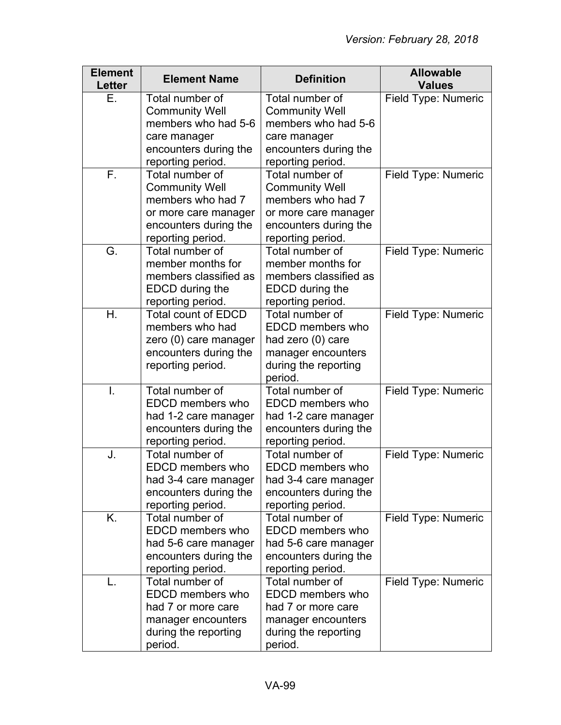| <b>Element</b><br>Letter | <b>Element Name</b>        | <b>Definition</b>               | <b>Allowable</b><br><b>Values</b> |
|--------------------------|----------------------------|---------------------------------|-----------------------------------|
| Е.                       | Total number of            | Total number of                 | Field Type: Numeric               |
|                          | <b>Community Well</b>      | <b>Community Well</b>           |                                   |
|                          | members who had 5-6        | members who had 5-6             |                                   |
|                          | care manager               | care manager                    |                                   |
|                          | encounters during the      | encounters during the           |                                   |
|                          | reporting period.          | reporting period.               |                                   |
| F.                       | Total number of            | Total number of                 | Field Type: Numeric               |
|                          | <b>Community Well</b>      | <b>Community Well</b>           |                                   |
|                          | members who had 7          | members who had 7               |                                   |
|                          | or more care manager       | or more care manager            |                                   |
|                          | encounters during the      | encounters during the           |                                   |
|                          | reporting period.          | reporting period.               |                                   |
| G.                       | Total number of            | Total number of                 | Field Type: Numeric               |
|                          | member months for          | member months for               |                                   |
|                          | members classified as      | members classified as           |                                   |
|                          | EDCD during the            | EDCD during the                 |                                   |
|                          | reporting period.          | reporting period.               |                                   |
| $H_{\cdot}$              | <b>Total count of EDCD</b> | Total number of                 | Field Type: Numeric               |
|                          | members who had            | EDCD members who                |                                   |
|                          | zero (0) care manager      | had zero (0) care               |                                   |
|                          | encounters during the      | manager encounters              |                                   |
|                          | reporting period.          | during the reporting<br>period. |                                   |
| Ι.                       | Total number of            | Total number of                 | Field Type: Numeric               |
|                          | EDCD members who           | EDCD members who                |                                   |
|                          | had 1-2 care manager       | had 1-2 care manager            |                                   |
|                          | encounters during the      | encounters during the           |                                   |
|                          | reporting period.          | reporting period.               |                                   |
| J.                       | Total number of            | Total number of                 | Field Type: Numeric               |
|                          | EDCD members who           | <b>EDCD</b> members who         |                                   |
|                          | had 3-4 care manager       | had 3-4 care manager            |                                   |
|                          | encounters during the      | encounters during the           |                                   |
|                          | reporting period.          | reporting period.               |                                   |
| K.                       | Total number of            | Total number of                 | Field Type: Numeric               |
|                          | EDCD members who           | EDCD members who                |                                   |
|                          | had 5-6 care manager       | had 5-6 care manager            |                                   |
|                          | encounters during the      | encounters during the           |                                   |
|                          | reporting period.          | reporting period.               |                                   |
| L.                       | Total number of            | Total number of                 | Field Type: Numeric               |
|                          | EDCD members who           | EDCD members who                |                                   |
|                          | had 7 or more care         | had 7 or more care              |                                   |
|                          | manager encounters         | manager encounters              |                                   |
|                          | during the reporting       | during the reporting            |                                   |
|                          | period.                    | period.                         |                                   |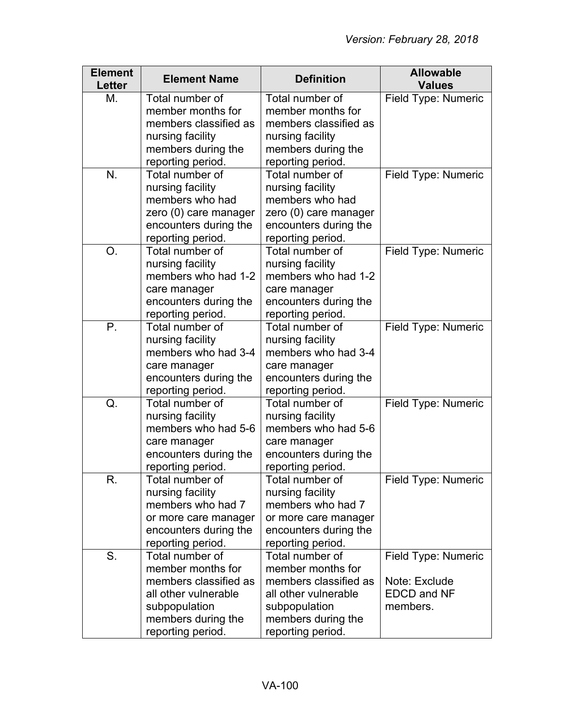| <b>Element</b><br><b>Letter</b> | <b>Element Name</b>                  | <b>Definition</b>                    | <b>Allowable</b><br><b>Values</b> |
|---------------------------------|--------------------------------------|--------------------------------------|-----------------------------------|
| М.                              | Total number of                      | Total number of                      | Field Type: Numeric               |
|                                 | member months for                    | member months for                    |                                   |
|                                 | members classified as                | members classified as                |                                   |
|                                 | nursing facility                     | nursing facility                     |                                   |
|                                 | members during the                   | members during the                   |                                   |
|                                 | reporting period.                    | reporting period.                    |                                   |
| N.                              | Total number of                      | Total number of                      | Field Type: Numeric               |
|                                 | nursing facility                     | nursing facility                     |                                   |
|                                 | members who had                      | members who had                      |                                   |
|                                 | zero (0) care manager                | zero (0) care manager                |                                   |
|                                 | encounters during the                | encounters during the                |                                   |
|                                 | reporting period.                    | reporting period.                    |                                   |
| O.                              | Total number of                      | Total number of                      | Field Type: Numeric               |
|                                 | nursing facility                     | nursing facility                     |                                   |
|                                 | members who had 1-2                  | members who had 1-2                  |                                   |
|                                 | care manager                         | care manager                         |                                   |
|                                 | encounters during the                | encounters during the                |                                   |
|                                 | reporting period.                    | reporting period.                    |                                   |
| P.                              | Total number of                      | Total number of                      | Field Type: Numeric               |
|                                 | nursing facility                     | nursing facility                     |                                   |
|                                 | members who had 3-4                  | members who had 3-4                  |                                   |
|                                 | care manager                         | care manager                         |                                   |
|                                 | encounters during the                | encounters during the                |                                   |
|                                 | reporting period.                    | reporting period.                    |                                   |
| Q.                              | Total number of                      | Total number of                      | Field Type: Numeric               |
|                                 | nursing facility                     | nursing facility                     |                                   |
|                                 | members who had 5-6                  | members who had 5-6                  |                                   |
|                                 | care manager                         | care manager                         |                                   |
|                                 | encounters during the                | encounters during the                |                                   |
|                                 | reporting period.                    | reporting period.                    |                                   |
| R.                              | Total number of                      | Total number of                      | Field Type: Numeric               |
|                                 | nursing facility                     | nursing facility                     |                                   |
|                                 | members who had 7                    | members who had 7                    |                                   |
|                                 | or more care manager                 | or more care manager                 |                                   |
|                                 | encounters during the                | encounters during the                |                                   |
|                                 | reporting period.                    | reporting period.                    |                                   |
| S.                              | Total number of<br>member months for | Total number of<br>member months for | Field Type: Numeric               |
|                                 | members classified as                | members classified as                |                                   |
|                                 |                                      |                                      | Note: Exclude                     |
|                                 | all other vulnerable                 | all other vulnerable                 | <b>EDCD and NF</b><br>members.    |
|                                 | subpopulation                        | subpopulation                        |                                   |
|                                 | members during the                   | members during the                   |                                   |
|                                 | reporting period.                    | reporting period.                    |                                   |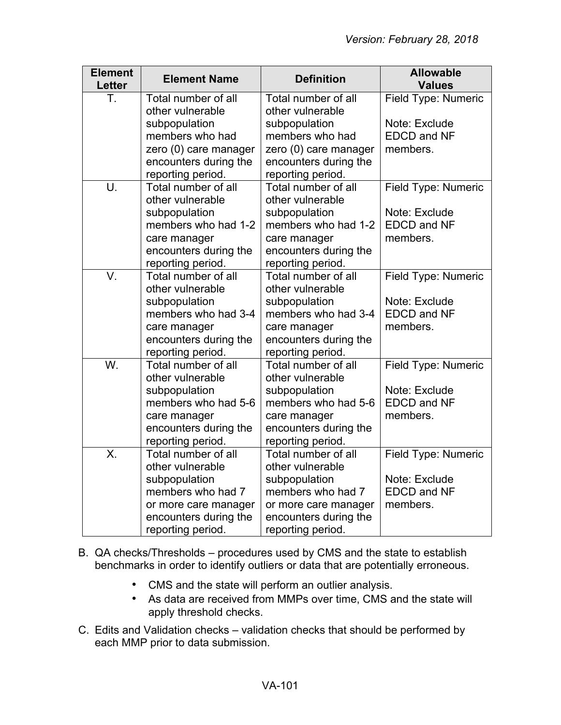| <b>Element</b><br><b>Letter</b> | <b>Element Name</b>   | <b>Definition</b>     | <b>Allowable</b><br><b>Values</b> |
|---------------------------------|-----------------------|-----------------------|-----------------------------------|
| Τ.                              | Total number of all   | Total number of all   | Field Type: Numeric               |
|                                 | other vulnerable      | other vulnerable      |                                   |
|                                 | subpopulation         | subpopulation         | Note: Exclude                     |
|                                 | members who had       | members who had       | <b>EDCD and NF</b>                |
|                                 | zero (0) care manager | zero (0) care manager | members.                          |
|                                 | encounters during the | encounters during the |                                   |
|                                 | reporting period.     | reporting period.     |                                   |
| U.                              | Total number of all   | Total number of all   | Field Type: Numeric               |
|                                 | other vulnerable      | other vulnerable      |                                   |
|                                 | subpopulation         | subpopulation         | Note: Exclude                     |
|                                 | members who had 1-2   | members who had 1-2   | <b>EDCD and NF</b>                |
|                                 | care manager          | care manager          | members.                          |
|                                 | encounters during the | encounters during the |                                   |
|                                 | reporting period.     | reporting period.     |                                   |
| V.                              | Total number of all   | Total number of all   | Field Type: Numeric               |
|                                 | other vulnerable      | other vulnerable      |                                   |
|                                 | subpopulation         | subpopulation         | Note: Exclude                     |
|                                 | members who had 3-4   | members who had 3-4   | <b>EDCD and NF</b>                |
|                                 | care manager          | care manager          | members.                          |
|                                 | encounters during the | encounters during the |                                   |
|                                 | reporting period.     | reporting period.     |                                   |
| $\overline{\mathsf{W}}$ .       | Total number of all   | Total number of all   | Field Type: Numeric               |
|                                 | other vulnerable      | other vulnerable      |                                   |
|                                 | subpopulation         | subpopulation         | Note: Exclude                     |
|                                 | members who had 5-6   | members who had 5-6   | <b>EDCD and NF</b>                |
|                                 | care manager          | care manager          | members.                          |
|                                 | encounters during the | encounters during the |                                   |
|                                 | reporting period.     | reporting period.     |                                   |
| $\overline{\mathsf{X}}$         | Total number of all   | Total number of all   | Field Type: Numeric               |
|                                 | other vulnerable      | other vulnerable      |                                   |
|                                 | subpopulation         | subpopulation         | Note: Exclude                     |
|                                 | members who had 7     | members who had 7     | <b>EDCD and NF</b>                |
|                                 | or more care manager  | or more care manager  | members.                          |
|                                 | encounters during the | encounters during the |                                   |
|                                 | reporting period.     | reporting period.     |                                   |

- B. QA checks/Thresholds procedures used by CMS and the state to establish benchmarks in order to identify outliers or data that are potentially erroneous.
	- CMS and the state will perform an outlier analysis.
	- As data are received from MMPs over time, CMS and the state will apply threshold checks.
- C. Edits and Validation checks validation checks that should be performed by each MMP prior to data submission.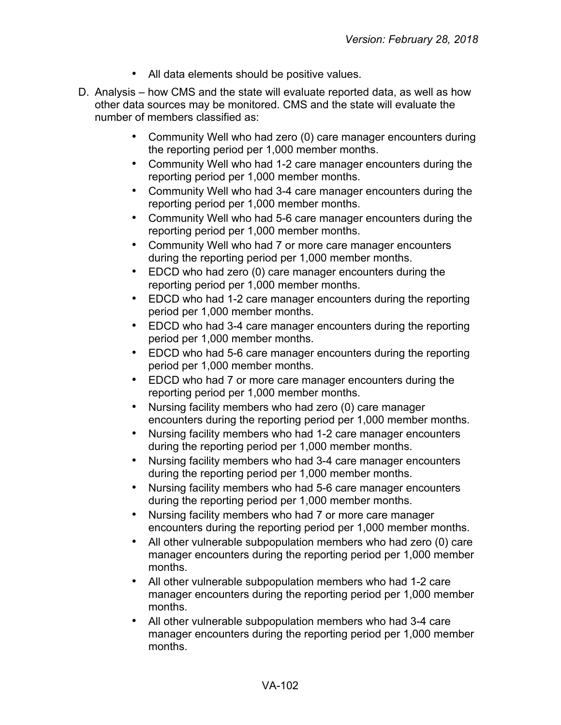- All data elements should be positive values.
- D. Analysis how CMS and the state will evaluate reported data, as well as how other data sources may be monitored. CMS and the state will evaluate the number of members classified as:
	- Community Well who had zero (0) care manager encounters during the reporting period per 1,000 member months.
	- Community Well who had 1-2 care manager encounters during the reporting period per 1,000 member months.
	- Community Well who had 3-4 care manager encounters during the reporting period per 1,000 member months.
	- Community Well who had 5-6 care manager encounters during the reporting period per 1,000 member months.
	- Community Well who had 7 or more care manager encounters during the reporting period per 1,000 member months.
	- EDCD who had zero (0) care manager encounters during the reporting period per 1,000 member months.
	- EDCD who had 1-2 care manager encounters during the reporting period per 1,000 member months.
	- EDCD who had 3-4 care manager encounters during the reporting period per 1,000 member months.
	- EDCD who had 5-6 care manager encounters during the reporting period per 1,000 member months.
	- EDCD who had 7 or more care manager encounters during the reporting period per 1,000 member months.
	- Nursing facility members who had zero (0) care manager encounters during the reporting period per 1,000 member months.
	- Nursing facility members who had 1-2 care manager encounters during the reporting period per 1,000 member months.
	- Nursing facility members who had 3-4 care manager encounters during the reporting period per 1,000 member months.
	- Nursing facility members who had 5-6 care manager encounters during the reporting period per 1,000 member months.
	- Nursing facility members who had 7 or more care manager encounters during the reporting period per 1,000 member months.
	- All other vulnerable subpopulation members who had zero (0) care manager encounters during the reporting period per 1,000 member months.
	- All other vulnerable subpopulation members who had 1-2 care manager encounters during the reporting period per 1,000 member months.
	- All other vulnerable subpopulation members who had 3-4 care manager encounters during the reporting period per 1,000 member months.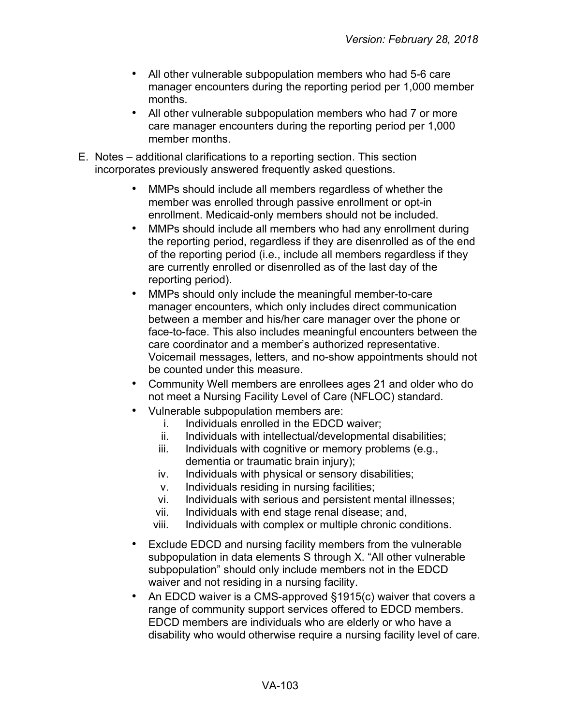- All other vulnerable subpopulation members who had 5-6 care manager encounters during the reporting period per 1,000 member months.
- All other vulnerable subpopulation members who had 7 or more care manager encounters during the reporting period per 1,000 member months.
- E. Notes additional clarifications to a reporting section. This section incorporates previously answered frequently asked questions.
	- MMPs should include all members regardless of whether the member was enrolled through passive enrollment or opt-in enrollment. Medicaid-only members should not be included.
	- MMPs should include all members who had any enrollment during the reporting period, regardless if they are disenrolled as of the end of the reporting period (i.e., include all members regardless if they are currently enrolled or disenrolled as of the last day of the reporting period).
	- MMPs should only include the meaningful member-to-care manager encounters, which only includes direct communication between a member and his/her care manager over the phone or face-to-face. This also includes meaningful encounters between the care coordinator and a member's authorized representative. Voicemail messages, letters, and no-show appointments should not be counted under this measure.
	- Community Well members are enrollees ages 21 and older who do not meet a Nursing Facility Level of Care (NFLOC) standard.
	- Vulnerable subpopulation members are:
		- i. Individuals enrolled in the EDCD waiver;
		- ii. Individuals with intellectual/developmental disabilities;
		- iii. Individuals with cognitive or memory problems (e.g., dementia or traumatic brain injury);
		- iv. Individuals with physical or sensory disabilities;
		- v. Individuals residing in nursing facilities;
		- vi. Individuals with serious and persistent mental illnesses;
		- vii. Individuals with end stage renal disease; and,
		- viii. Individuals with complex or multiple chronic conditions.
	- Exclude EDCD and nursing facility members from the vulnerable subpopulation in data elements S through X. "All other vulnerable subpopulation" should only include members not in the EDCD waiver and not residing in a nursing facility.
	- An EDCD waiver is a CMS-approved §1915(c) waiver that covers a range of community support services offered to EDCD members. EDCD members are individuals who are elderly or who have a disability who would otherwise require a nursing facility level of care.